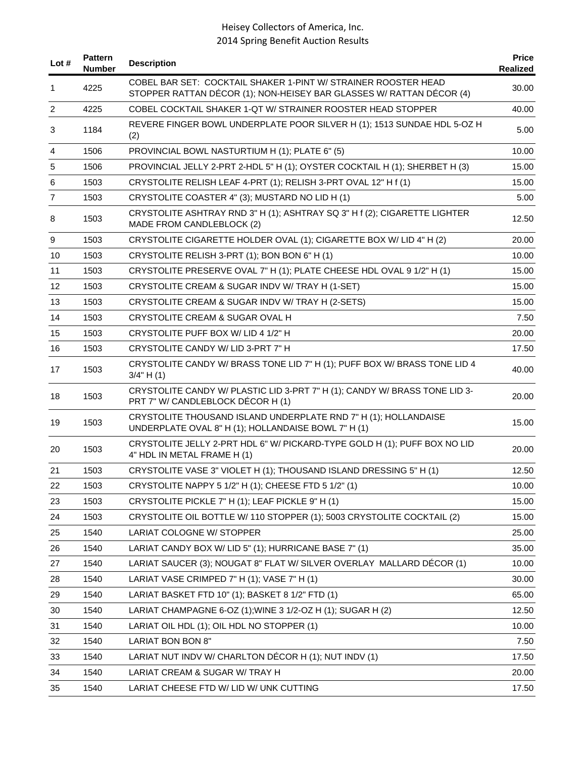| Lot $#$        | <b>Pattern</b><br><b>Number</b> | <b>Description</b>                                                                                                                     | <b>Price</b><br>Realized |
|----------------|---------------------------------|----------------------------------------------------------------------------------------------------------------------------------------|--------------------------|
| 1              | 4225                            | COBEL BAR SET: COCKTAIL SHAKER 1-PINT W/ STRAINER ROOSTER HEAD<br>STOPPER RATTAN DÉCOR (1); NON-HEISEY BAR GLASSES W/ RATTAN DÉCOR (4) | 30.00                    |
| 2              | 4225                            | COBEL COCKTAIL SHAKER 1-QT W/ STRAINER ROOSTER HEAD STOPPER                                                                            | 40.00                    |
| 3              | 1184                            | REVERE FINGER BOWL UNDERPLATE POOR SILVER H (1); 1513 SUNDAE HDL 5-OZ H<br>(2)                                                         | 5.00                     |
| 4              | 1506                            | PROVINCIAL BOWL NASTURTIUM H (1); PLATE 6" (5)                                                                                         | 10.00                    |
| 5              | 1506                            | PROVINCIAL JELLY 2-PRT 2-HDL 5" H (1); OYSTER COCKTAIL H (1); SHERBET H (3)                                                            | 15.00                    |
| 6              | 1503                            | CRYSTOLITE RELISH LEAF 4-PRT (1); RELISH 3-PRT OVAL 12" H f (1)                                                                        | 15.00                    |
| $\overline{7}$ | 1503                            | CRYSTOLITE COASTER 4" (3); MUSTARD NO LID H (1)                                                                                        | 5.00                     |
| 8              | 1503                            | CRYSTOLITE ASHTRAY RND 3" H (1); ASHTRAY SQ 3" H f (2); CIGARETTE LIGHTER<br>MADE FROM CANDLEBLOCK (2)                                 | 12.50                    |
| 9              | 1503                            | CRYSTOLITE CIGARETTE HOLDER OVAL (1); CIGARETTE BOX W/ LID 4" H (2)                                                                    | 20.00                    |
| 10             | 1503                            | CRYSTOLITE RELISH 3-PRT (1); BON BON 6" H (1)                                                                                          | 10.00                    |
| 11             | 1503                            | CRYSTOLITE PRESERVE OVAL 7" H (1); PLATE CHEESE HDL OVAL 9 1/2" H (1)                                                                  | 15.00                    |
| 12             | 1503                            | CRYSTOLITE CREAM & SUGAR INDV W/ TRAY H (1-SET)                                                                                        | 15.00                    |
| 13             | 1503                            | CRYSTOLITE CREAM & SUGAR INDV W/ TRAY H (2-SETS)                                                                                       | 15.00                    |
| 14             | 1503                            | CRYSTOLITE CREAM & SUGAR OVAL H                                                                                                        | 7.50                     |
| 15             | 1503                            | CRYSTOLITE PUFF BOX W/ LID 4 1/2" H                                                                                                    | 20.00                    |
| 16             | 1503                            | CRYSTOLITE CANDY W/LID 3-PRT 7" H                                                                                                      | 17.50                    |
| 17             | 1503                            | CRYSTOLITE CANDY W/ BRASS TONE LID 7" H (1); PUFF BOX W/ BRASS TONE LID 4<br>$3/4$ " H $(1)$                                           | 40.00                    |
| 18             | 1503                            | CRYSTOLITE CANDY W/ PLASTIC LID 3-PRT 7" H (1); CANDY W/ BRASS TONE LID 3-<br>PRT 7" W/ CANDLEBLOCK DÉCOR H (1)                        | 20.00                    |
| 19             | 1503                            | CRYSTOLITE THOUSAND ISLAND UNDERPLATE RND 7" H (1); HOLLANDAISE<br>UNDERPLATE OVAL 8" H (1); HOLLANDAISE BOWL 7" H (1)                 | 15.00                    |
| 20             | 1503                            | CRYSTOLITE JELLY 2-PRT HDL 6" W/ PICKARD-TYPE GOLD H (1); PUFF BOX NO LID<br>4" HDL IN METAL FRAME H (1)                               | 20.00                    |
| 21             | 1503                            | CRYSTOLITE VASE 3" VIOLET H (1); THOUSAND ISLAND DRESSING 5" H (1)                                                                     | 12.50                    |
| 22             | 1503                            | CRYSTOLITE NAPPY 5 1/2" H (1); CHEESE FTD 5 1/2" (1)                                                                                   | 10.00                    |
| 23             | 1503                            | CRYSTOLITE PICKLE 7" H (1); LEAF PICKLE 9" H (1)                                                                                       | 15.00                    |
| 24             | 1503                            | CRYSTOLITE OIL BOTTLE W/ 110 STOPPER (1); 5003 CRYSTOLITE COCKTAIL (2)                                                                 | 15.00                    |
| 25             | 1540                            | LARIAT COLOGNE W/ STOPPER                                                                                                              | 25.00                    |
| 26             | 1540                            | LARIAT CANDY BOX W/ LID 5" (1); HURRICANE BASE 7" (1)                                                                                  | 35.00                    |
| 27             | 1540                            | LARIAT SAUCER (3); NOUGAT 8" FLAT W/ SILVER OVERLAY MALLARD DÉCOR (1)                                                                  | 10.00                    |
| 28             | 1540                            | LARIAT VASE CRIMPED 7" H (1); VASE 7" H (1)                                                                                            | 30.00                    |
| 29             | 1540                            | LARIAT BASKET FTD 10" (1); BASKET 8 1/2" FTD (1)                                                                                       | 65.00                    |
| 30             | 1540                            | LARIAT CHAMPAGNE 6-OZ (1); WINE 3 1/2-OZ H (1); SUGAR H (2)                                                                            | 12.50                    |
| 31             | 1540                            | LARIAT OIL HDL (1); OIL HDL NO STOPPER (1)                                                                                             | 10.00                    |
| 32             | 1540                            | LARIAT BON BON 8"                                                                                                                      | 7.50                     |
| 33             | 1540                            | LARIAT NUT INDV W/ CHARLTON DÉCOR H (1); NUT INDV (1)                                                                                  | 17.50                    |
| 34             | 1540                            | LARIAT CREAM & SUGAR W/ TRAY H                                                                                                         | 20.00                    |
| 35             | 1540                            | LARIAT CHEESE FTD W/ LID W/ UNK CUTTING                                                                                                | 17.50                    |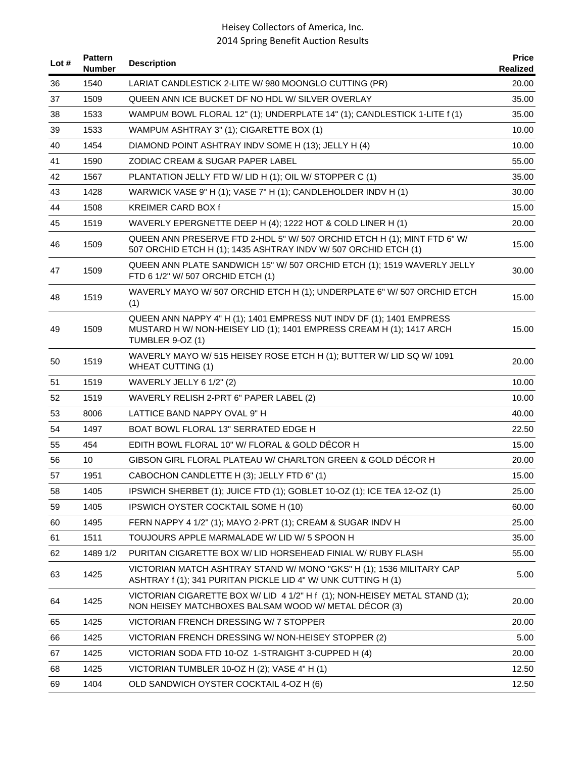| Lot # | <b>Pattern</b><br><b>Number</b> | <b>Description</b>                                                                                                                                                      | <b>Price</b><br>Realized |
|-------|---------------------------------|-------------------------------------------------------------------------------------------------------------------------------------------------------------------------|--------------------------|
| 36    | 1540                            | LARIAT CANDLESTICK 2-LITE W/ 980 MOONGLO CUTTING (PR)                                                                                                                   | 20.00                    |
| 37    | 1509                            | QUEEN ANN ICE BUCKET DF NO HDL W/ SILVER OVERLAY                                                                                                                        | 35.00                    |
| 38    | 1533                            | WAMPUM BOWL FLORAL 12" (1); UNDERPLATE 14" (1); CANDLESTICK 1-LITE f (1)                                                                                                | 35.00                    |
| 39    | 1533                            | WAMPUM ASHTRAY 3" (1); CIGARETTE BOX (1)                                                                                                                                | 10.00                    |
| 40    | 1454                            | DIAMOND POINT ASHTRAY INDV SOME H (13); JELLY H (4)                                                                                                                     | 10.00                    |
| 41    | 1590                            | <b>ZODIAC CREAM &amp; SUGAR PAPER LABEL</b>                                                                                                                             | 55.00                    |
| 42    | 1567                            | PLANTATION JELLY FTD W/ LID H (1); OIL W/ STOPPER C (1)                                                                                                                 | 35.00                    |
| 43    | 1428                            | WARWICK VASE 9" H (1); VASE 7" H (1); CANDLEHOLDER INDV H (1)                                                                                                           | 30.00                    |
| 44    | 1508                            | <b>KREIMER CARD BOX f</b>                                                                                                                                               | 15.00                    |
| 45    | 1519                            | WAVERLY EPERGNETTE DEEP H (4); 1222 HOT & COLD LINER H (1)                                                                                                              | 20.00                    |
| 46    | 1509                            | QUEEN ANN PRESERVE FTD 2-HDL 5" W/ 507 ORCHID ETCH H (1); MINT FTD 6" W/<br>507 ORCHID ETCH H (1); 1435 ASHTRAY INDV W/ 507 ORCHID ETCH (1)                             | 15.00                    |
| 47    | 1509                            | QUEEN ANN PLATE SANDWICH 15" W/ 507 ORCHID ETCH (1); 1519 WAVERLY JELLY<br>FTD 6 1/2" W/ 507 ORCHID ETCH (1)                                                            | 30.00                    |
| 48    | 1519                            | WAVERLY MAYO W/ 507 ORCHID ETCH H (1); UNDERPLATE 6" W/ 507 ORCHID ETCH<br>(1)                                                                                          | 15.00                    |
| 49    | 1509                            | QUEEN ANN NAPPY 4" H (1); 1401 EMPRESS NUT INDV DF (1); 1401 EMPRESS<br>MUSTARD H W/ NON-HEISEY LID (1); 1401 EMPRESS CREAM H (1); 1417 ARCH<br><b>TUMBLER 9-OZ (1)</b> | 15.00                    |
| 50    | 1519                            | WAVERLY MAYO W/ 515 HEISEY ROSE ETCH H (1); BUTTER W/ LID SQ W/ 1091<br><b>WHEAT CUTTING (1)</b>                                                                        | 20.00                    |
| 51    | 1519                            | WAVERLY JELLY 6 1/2" (2)                                                                                                                                                | 10.00                    |
| 52    | 1519                            | WAVERLY RELISH 2-PRT 6" PAPER LABEL (2)                                                                                                                                 | 10.00                    |
| 53    | 8006                            | LATTICE BAND NAPPY OVAL 9" H                                                                                                                                            | 40.00                    |
| 54    | 1497                            | <b>BOAT BOWL FLORAL 13" SERRATED EDGE H</b>                                                                                                                             | 22.50                    |
| 55    | 454                             | EDITH BOWL FLORAL 10" W/ FLORAL & GOLD DÉCOR H                                                                                                                          | 15.00                    |
| 56    | 10                              | GIBSON GIRL FLORAL PLATEAU W/ CHARLTON GREEN & GOLD DÉCOR H                                                                                                             | 20.00                    |
| 57    | 1951                            | CABOCHON CANDLETTE H (3); JELLY FTD 6" (1)                                                                                                                              | 15.00                    |
| 58    | 1405                            | IPSWICH SHERBET (1); JUICE FTD (1); GOBLET 10-OZ (1); ICE TEA 12-OZ (1)                                                                                                 | 25.00                    |
| 59    | 1405                            | IPSWICH OYSTER COCKTAIL SOME H (10)                                                                                                                                     | 60.00                    |
| 60    | 1495                            | FERN NAPPY 4 1/2" (1); MAYO 2-PRT (1); CREAM & SUGAR INDV H                                                                                                             | 25.00                    |
| 61    | 1511                            | TOUJOURS APPLE MARMALADE W/ LID W/ 5 SPOON H                                                                                                                            | 35.00                    |
| 62    | 1489 1/2                        | PURITAN CIGARETTE BOX W/ LID HORSEHEAD FINIAL W/ RUBY FLASH                                                                                                             | 55.00                    |
| 63    | 1425                            | VICTORIAN MATCH ASHTRAY STAND W/ MONO "GKS" H (1); 1536 MILITARY CAP<br>ASHTRAY f (1); 341 PURITAN PICKLE LID 4" W/ UNK CUTTING H (1)                                   | 5.00                     |
| 64    | 1425                            | VICTORIAN CIGARETTE BOX W/ LID 4 1/2" H f (1); NON-HEISEY METAL STAND (1);<br>NON HEISEY MATCHBOXES BALSAM WOOD W/ METAL DÉCOR (3)                                      | 20.00                    |
| 65    | 1425                            | VICTORIAN FRENCH DRESSING W/ 7 STOPPER                                                                                                                                  | 20.00                    |
| 66    | 1425                            | VICTORIAN FRENCH DRESSING W/ NON-HEISEY STOPPER (2)                                                                                                                     | 5.00                     |
| 67    | 1425                            | VICTORIAN SODA FTD 10-OZ 1-STRAIGHT 3-CUPPED H (4)                                                                                                                      | 20.00                    |
| 68    | 1425                            | VICTORIAN TUMBLER 10-OZ H (2); VASE 4" H (1)                                                                                                                            | 12.50                    |
| 69    | 1404                            | OLD SANDWICH OYSTER COCKTAIL 4-OZ H (6)                                                                                                                                 | 12.50                    |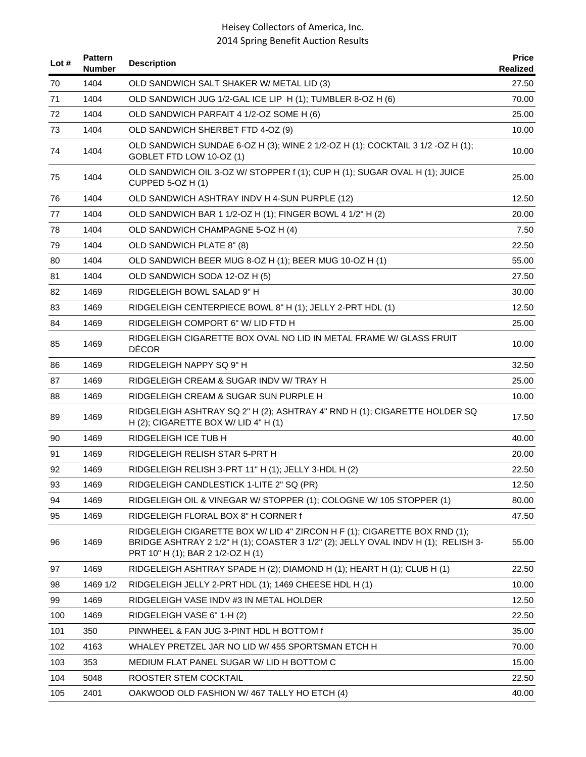| Lot $#$ | <b>Pattern</b><br>Number | <b>Description</b>                                                                                                                                                                                  | <b>Price</b><br>Realized |
|---------|--------------------------|-----------------------------------------------------------------------------------------------------------------------------------------------------------------------------------------------------|--------------------------|
| 70      | 1404                     | OLD SANDWICH SALT SHAKER W/ METAL LID (3)                                                                                                                                                           | 27.50                    |
| 71      | 1404                     | OLD SANDWICH JUG 1/2-GAL ICE LIP H (1); TUMBLER 8-OZ H (6)                                                                                                                                          | 70.00                    |
| 72      | 1404                     | OLD SANDWICH PARFAIT 4 1/2-OZ SOME H (6)                                                                                                                                                            | 25.00                    |
| 73      | 1404                     | OLD SANDWICH SHERBET FTD 4-OZ (9)                                                                                                                                                                   | 10.00                    |
| 74      | 1404                     | OLD SANDWICH SUNDAE 6-OZ H (3); WINE 2 1/2-OZ H (1); COCKTAIL 3 1/2 -OZ H (1);<br>GOBLET FTD LOW 10-OZ (1)                                                                                          | 10.00                    |
| 75      | 1404                     | OLD SANDWICH OIL 3-OZ W/ STOPPER f (1); CUP H (1); SUGAR OVAL H (1); JUICE<br><b>CUPPED 5-OZ H (1)</b>                                                                                              | 25.00                    |
| 76      | 1404                     | OLD SANDWICH ASHTRAY INDV H 4-SUN PURPLE (12)                                                                                                                                                       | 12.50                    |
| 77      | 1404                     | OLD SANDWICH BAR 1 1/2-OZ H (1); FINGER BOWL 4 1/2" H (2)                                                                                                                                           | 20.00                    |
| 78      | 1404                     | OLD SANDWICH CHAMPAGNE 5-OZ H (4)                                                                                                                                                                   | 7.50                     |
| 79      | 1404                     | OLD SANDWICH PLATE 8" (8)                                                                                                                                                                           | 22.50                    |
| 80      | 1404                     | OLD SANDWICH BEER MUG 8-OZ H (1); BEER MUG 10-OZ H (1)                                                                                                                                              | 55.00                    |
| 81      | 1404                     | OLD SANDWICH SODA 12-OZ H (5)                                                                                                                                                                       | 27.50                    |
| 82      | 1469                     | RIDGELEIGH BOWL SALAD 9" H                                                                                                                                                                          | 30.00                    |
| 83      | 1469                     | RIDGELEIGH CENTERPIECE BOWL 8" H (1); JELLY 2-PRT HDL (1)                                                                                                                                           | 12.50                    |
| 84      | 1469                     | RIDGELEIGH COMPORT 6" W/ LID FTD H                                                                                                                                                                  | 25.00                    |
| 85      | 1469                     | RIDGELEIGH CIGARETTE BOX OVAL NO LID IN METAL FRAME W/ GLASS FRUIT<br><b>DÉCOR</b>                                                                                                                  | 10.00                    |
| 86      | 1469                     | RIDGELEIGH NAPPY SQ 9" H                                                                                                                                                                            | 32.50                    |
| 87      | 1469                     | RIDGELEIGH CREAM & SUGAR INDV W/ TRAY H                                                                                                                                                             | 25.00                    |
| 88      | 1469                     | RIDGELEIGH CREAM & SUGAR SUN PURPLE H                                                                                                                                                               | 10.00                    |
| 89      | 1469                     | RIDGELEIGH ASHTRAY SQ 2" H (2); ASHTRAY 4" RND H (1); CIGARETTE HOLDER SQ<br>H (2); CIGARETTE BOX W/ LID 4" H (1)                                                                                   | 17.50                    |
| 90      | 1469                     | RIDGELEIGH ICE TUB H                                                                                                                                                                                | 40.00                    |
| 91      | 1469                     | RIDGELEIGH RELISH STAR 5-PRT H                                                                                                                                                                      | 20.00                    |
| 92      | 1469                     | RIDGELEIGH RELISH 3-PRT 11" H (1); JELLY 3-HDL H (2)                                                                                                                                                | 22.50                    |
| 93      | 1469                     | RIDGELEIGH CANDLESTICK 1-LITE 2" SQ (PR)                                                                                                                                                            | 12.50                    |
| 94      | 1469                     | RIDGELEIGH OIL & VINEGAR W/ STOPPER (1); COLOGNE W/ 105 STOPPER (1)                                                                                                                                 | 80.00                    |
| 95      | 1469                     | RIDGELEIGH FLORAL BOX 8" H CORNER f                                                                                                                                                                 | 47.50                    |
| 96      | 1469                     | RIDGELEIGH CIGARETTE BOX W/ LID 4" ZIRCON H F (1); CIGARETTE BOX RND (1);<br>BRIDGE ASHTRAY 2 1/2" H (1); COASTER 3 1/2" (2); JELLY OVAL INDV H (1); RELISH 3-<br>PRT 10" H (1); BAR 2 1/2-OZ H (1) | 55.00                    |
| 97      | 1469                     | RIDGELEIGH ASHTRAY SPADE H (2); DIAMOND H (1); HEART H (1); CLUB H (1)                                                                                                                              | 22.50                    |
| 98      | 1469 1/2                 | RIDGELEIGH JELLY 2-PRT HDL (1); 1469 CHEESE HDL H (1)                                                                                                                                               | 10.00                    |
| 99      | 1469                     | RIDGELEIGH VASE INDV #3 IN METAL HOLDER                                                                                                                                                             | 12.50                    |
| 100     | 1469                     | RIDGELEIGH VASE 6" 1-H (2)                                                                                                                                                                          | 22.50                    |
| 101     | 350                      | PINWHEEL & FAN JUG 3-PINT HDL H BOTTOM f                                                                                                                                                            | 35.00                    |
| 102     | 4163                     | WHALEY PRETZEL JAR NO LID W/ 455 SPORTSMAN ETCH H                                                                                                                                                   | 70.00                    |
| 103     | 353                      | MEDIUM FLAT PANEL SUGAR W/ LID H BOTTOM C                                                                                                                                                           | 15.00                    |
| 104     | 5048                     | ROOSTER STEM COCKTAIL                                                                                                                                                                               | 22.50                    |
| 105     | 2401                     | OAKWOOD OLD FASHION W/467 TALLY HO ETCH (4)                                                                                                                                                         | 40.00                    |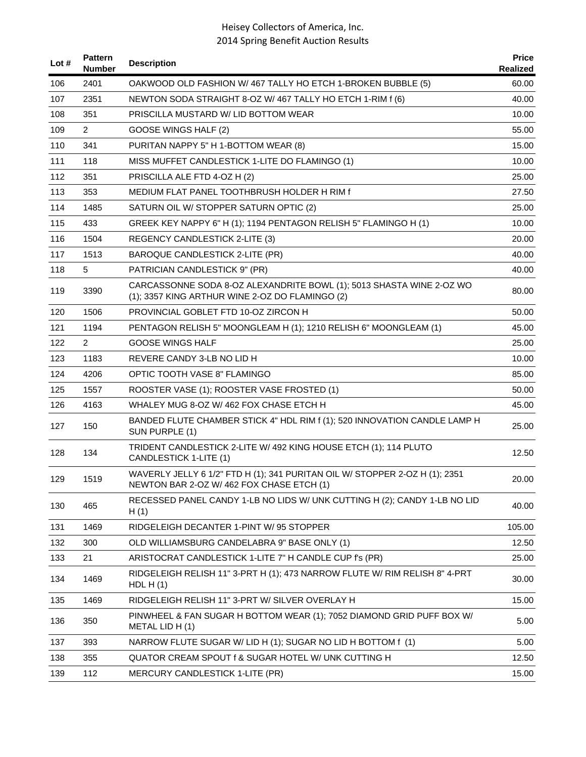| Lot # | <b>Pattern</b><br><b>Number</b> | <b>Description</b>                                                                                                      | <b>Price</b><br>Realized |
|-------|---------------------------------|-------------------------------------------------------------------------------------------------------------------------|--------------------------|
| 106   | 2401                            | OAKWOOD OLD FASHION W/467 TALLY HO ETCH 1-BROKEN BUBBLE (5)                                                             | 60.00                    |
| 107   | 2351                            | NEWTON SODA STRAIGHT 8-OZ W/467 TALLY HO ETCH 1-RIM f (6)                                                               | 40.00                    |
| 108   | 351                             | PRISCILLA MUSTARD W/ LID BOTTOM WEAR                                                                                    | 10.00                    |
| 109   | $\overline{2}$                  | GOOSE WINGS HALF (2)                                                                                                    | 55.00                    |
| 110   | 341                             | PURITAN NAPPY 5" H 1-BOTTOM WEAR (8)                                                                                    | 15.00                    |
| 111   | 118                             | MISS MUFFET CANDLESTICK 1-LITE DO FLAMINGO (1)                                                                          | 10.00                    |
| 112   | 351                             | PRISCILLA ALE FTD 4-OZ H (2)                                                                                            | 25.00                    |
| 113   | 353                             | MEDIUM FLAT PANEL TOOTHBRUSH HOLDER H RIM f                                                                             | 27.50                    |
| 114   | 1485                            | SATURN OIL W/ STOPPER SATURN OPTIC (2)                                                                                  | 25.00                    |
| 115   | 433                             | GREEK KEY NAPPY 6" H (1); 1194 PENTAGON RELISH 5" FLAMINGO H (1)                                                        | 10.00                    |
| 116   | 1504                            | REGENCY CANDLESTICK 2-LITE (3)                                                                                          | 20.00                    |
| 117   | 1513                            | <b>BAROQUE CANDLESTICK 2-LITE (PR)</b>                                                                                  | 40.00                    |
| 118   | 5                               | PATRICIAN CANDLESTICK 9" (PR)                                                                                           | 40.00                    |
| 119   | 3390                            | CARCASSONNE SODA 8-OZ ALEXANDRITE BOWL (1); 5013 SHASTA WINE 2-OZ WO<br>(1); 3357 KING ARTHUR WINE 2-OZ DO FLAMINGO (2) | 80.00                    |
| 120   | 1506                            | PROVINCIAL GOBLET FTD 10-OZ ZIRCON H                                                                                    | 50.00                    |
| 121   | 1194                            | PENTAGON RELISH 5" MOONGLEAM H (1); 1210 RELISH 6" MOONGLEAM (1)                                                        | 45.00                    |
| 122   | $\overline{2}$                  | <b>GOOSE WINGS HALF</b>                                                                                                 | 25.00                    |
| 123   | 1183                            | REVERE CANDY 3-LB NO LID H                                                                                              | 10.00                    |
| 124   | 4206                            | OPTIC TOOTH VASE 8" FLAMINGO                                                                                            | 85.00                    |
| 125   | 1557                            | ROOSTER VASE (1); ROOSTER VASE FROSTED (1)                                                                              | 50.00                    |
| 126   | 4163                            | WHALEY MUG 8-OZ W/462 FOX CHASE ETCH H                                                                                  | 45.00                    |
| 127   | 150                             | BANDED FLUTE CHAMBER STICK 4" HDL RIM f (1); 520 INNOVATION CANDLE LAMP H<br>SUN PURPLE (1)                             | 25.00                    |
| 128   | 134                             | TRIDENT CANDLESTICK 2-LITE W/ 492 KING HOUSE ETCH (1); 114 PLUTO<br>CANDLESTICK 1-LITE (1)                              | 12.50                    |
| 129   | 1519                            | WAVERLY JELLY 6 1/2" FTD H (1); 341 PURITAN OIL W/ STOPPER 2-OZ H (1); 2351<br>NEWTON BAR 2-OZ W/462 FOX CHASE ETCH (1) | 20.00                    |
| 130   | 465                             | RECESSED PANEL CANDY 1-LB NO LIDS W/ UNK CUTTING H (2); CANDY 1-LB NO LID<br>H(1)                                       | 40.00                    |
| 131   | 1469                            | RIDGELEIGH DECANTER 1-PINT W/95 STOPPER                                                                                 | 105.00                   |
| 132   | 300                             | OLD WILLIAMSBURG CANDELABRA 9" BASE ONLY (1)                                                                            | 12.50                    |
| 133   | 21                              | ARISTOCRAT CANDLESTICK 1-LITE 7" H CANDLE CUP f's (PR)                                                                  | 25.00                    |
| 134   | 1469                            | RIDGELEIGH RELISH 11" 3-PRT H (1); 473 NARROW FLUTE W/ RIM RELISH 8" 4-PRT<br>HDLH(1)                                   | 30.00                    |
| 135   | 1469                            | RIDGELEIGH RELISH 11" 3-PRT W/ SILVER OVERLAY H                                                                         | 15.00                    |
| 136   | 350                             | PINWHEEL & FAN SUGAR H BOTTOM WEAR (1); 7052 DIAMOND GRID PUFF BOX W/<br>METAL LID H (1)                                | 5.00                     |
| 137   | 393                             | NARROW FLUTE SUGAR W/ LID H (1); SUGAR NO LID H BOTTOM f (1)                                                            | 5.00                     |
| 138   | 355                             | QUATOR CREAM SPOUT f & SUGAR HOTEL W/ UNK CUTTING H                                                                     | 12.50                    |
| 139   | 112                             | MERCURY CANDLESTICK 1-LITE (PR)                                                                                         | 15.00                    |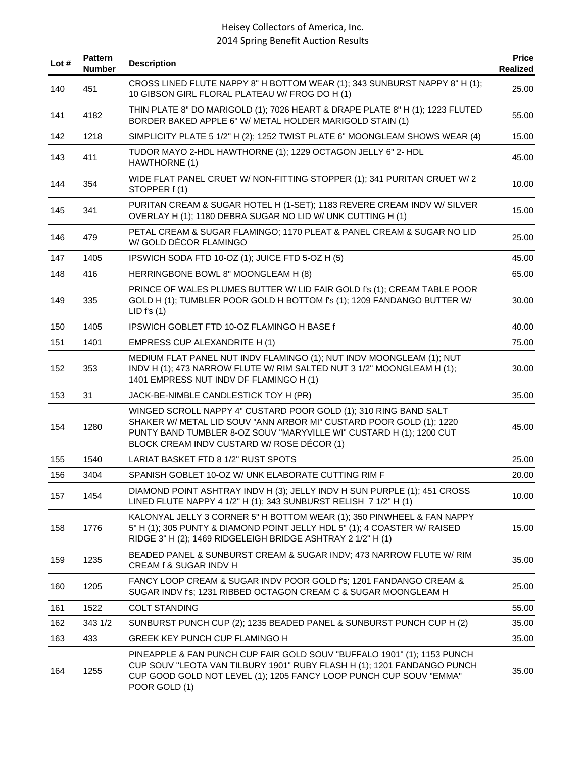| Lot # | <b>Pattern</b><br><b>Number</b> | <b>Description</b>                                                                                                                                                                                                                                           | <b>Price</b><br><b>Realized</b> |
|-------|---------------------------------|--------------------------------------------------------------------------------------------------------------------------------------------------------------------------------------------------------------------------------------------------------------|---------------------------------|
| 140   | 451                             | CROSS LINED FLUTE NAPPY 8" H BOTTOM WEAR (1); 343 SUNBURST NAPPY 8" H (1);<br>10 GIBSON GIRL FLORAL PLATEAU W/ FROG DO H (1)                                                                                                                                 | 25.00                           |
| 141   | 4182                            | THIN PLATE 8" DO MARIGOLD (1); 7026 HEART & DRAPE PLATE 8" H (1); 1223 FLUTED<br>BORDER BAKED APPLE 6" W/ METAL HOLDER MARIGOLD STAIN (1)                                                                                                                    | 55.00                           |
| 142   | 1218                            | SIMPLICITY PLATE 5 1/2" H (2); 1252 TWIST PLATE 6" MOONGLEAM SHOWS WEAR (4)                                                                                                                                                                                  | 15.00                           |
| 143   | 411                             | TUDOR MAYO 2-HDL HAWTHORNE (1); 1229 OCTAGON JELLY 6" 2- HDL<br>HAWTHORNE (1)                                                                                                                                                                                | 45.00                           |
| 144   | 354                             | WIDE FLAT PANEL CRUET W/ NON-FITTING STOPPER (1); 341 PURITAN CRUET W/ 2<br>STOPPER f(1)                                                                                                                                                                     | 10.00                           |
| 145   | 341                             | PURITAN CREAM & SUGAR HOTEL H (1-SET); 1183 REVERE CREAM INDV W/ SILVER<br>OVERLAY H (1); 1180 DEBRA SUGAR NO LID W/ UNK CUTTING H (1)                                                                                                                       | 15.00                           |
| 146   | 479                             | PETAL CREAM & SUGAR FLAMINGO; 1170 PLEAT & PANEL CREAM & SUGAR NO LID<br>W/GOLD DÉCOR FLAMINGO                                                                                                                                                               | 25.00                           |
| 147   | 1405                            | IPSWICH SODA FTD 10-OZ (1); JUICE FTD 5-OZ H (5)                                                                                                                                                                                                             | 45.00                           |
| 148   | 416                             | HERRINGBONE BOWL 8" MOONGLEAM H (8)                                                                                                                                                                                                                          | 65.00                           |
| 149   | 335                             | PRINCE OF WALES PLUMES BUTTER W/ LID FAIR GOLD f's (1); CREAM TABLE POOR<br>GOLD H (1); TUMBLER POOR GOLD H BOTTOM f's (1); 1209 FANDANGO BUTTER W/<br>LID f's (1)                                                                                           | 30.00                           |
| 150   | 1405                            | IPSWICH GOBLET FTD 10-OZ FLAMINGO H BASE f                                                                                                                                                                                                                   | 40.00                           |
| 151   | 1401                            | EMPRESS CUP ALEXANDRITE H (1)                                                                                                                                                                                                                                | 75.00                           |
| 152   | 353                             | MEDIUM FLAT PANEL NUT INDV FLAMINGO (1); NUT INDV MOONGLEAM (1); NUT<br>INDV H (1); 473 NARROW FLUTE W/ RIM SALTED NUT 3 1/2" MOONGLEAM H (1);<br>1401 EMPRESS NUT INDV DF FLAMINGO H (1)                                                                    | 30.00                           |
| 153   | 31                              | JACK-BE-NIMBLE CANDLESTICK TOY H (PR)                                                                                                                                                                                                                        | 35.00                           |
| 154   | 1280                            | WINGED SCROLL NAPPY 4" CUSTARD POOR GOLD (1); 310 RING BAND SALT<br>SHAKER W/ METAL LID SOUV "ANN ARBOR MI" CUSTARD POOR GOLD (1); 1220<br>PUNTY BAND TUMBLER 8-OZ SOUV "MARYVILLE WI" CUSTARD H (1); 1200 CUT<br>BLOCK CREAM INDV CUSTARD W/ ROSE DÉCOR (1) | 45.00                           |
| 155   | 1540                            | LARIAT BASKET FTD 8 1/2" RUST SPOTS                                                                                                                                                                                                                          | 25.00                           |
| 156   | 3404                            | SPANISH GOBLET 10-OZ W/ UNK ELABORATE CUTTING RIM F                                                                                                                                                                                                          | 20.00                           |
| 157   | 1454                            | DIAMOND POINT ASHTRAY INDV H (3); JELLY INDV H SUN PURPLE (1); 451 CROSS<br>LINED FLUTE NAPPY 4 1/2" H (1); 343 SUNBURST RELISH 7 1/2" H (1)                                                                                                                 | 10.00                           |
| 158   | 1776                            | KALONYAL JELLY 3 CORNER 5" H BOTTOM WEAR (1); 350 PINWHEEL & FAN NAPPY<br>5" H (1); 305 PUNTY & DIAMOND POINT JELLY HDL 5" (1); 4 COASTER W/ RAISED<br>RIDGE 3" H (2); 1469 RIDGELEIGH BRIDGE ASHTRAY 2 1/2" H (1)                                           | 15.00                           |
| 159   | 1235                            | BEADED PANEL & SUNBURST CREAM & SUGAR INDV; 473 NARROW FLUTE W/ RIM<br>CREAM f & SUGAR INDV H                                                                                                                                                                | 35.00                           |
| 160   | 1205                            | FANCY LOOP CREAM & SUGAR INDV POOR GOLD f's; 1201 FANDANGO CREAM &<br>SUGAR INDV f's; 1231 RIBBED OCTAGON CREAM C & SUGAR MOONGLEAM H                                                                                                                        | 25.00                           |
| 161   | 1522                            | <b>COLT STANDING</b>                                                                                                                                                                                                                                         | 55.00                           |
| 162   | 343 1/2                         | SUNBURST PUNCH CUP (2); 1235 BEADED PANEL & SUNBURST PUNCH CUP H (2)                                                                                                                                                                                         | 35.00                           |
| 163   | 433                             | GREEK KEY PUNCH CUP FLAMINGO H                                                                                                                                                                                                                               | 35.00                           |
| 164   | 1255                            | PINEAPPLE & FAN PUNCH CUP FAIR GOLD SOUV "BUFFALO 1901" (1); 1153 PUNCH<br>CUP SOUV "LEOTA VAN TILBURY 1901" RUBY FLASH H (1); 1201 FANDANGO PUNCH<br>CUP GOOD GOLD NOT LEVEL (1); 1205 FANCY LOOP PUNCH CUP SOUV "EMMA"<br>POOR GOLD (1)                    | 35.00                           |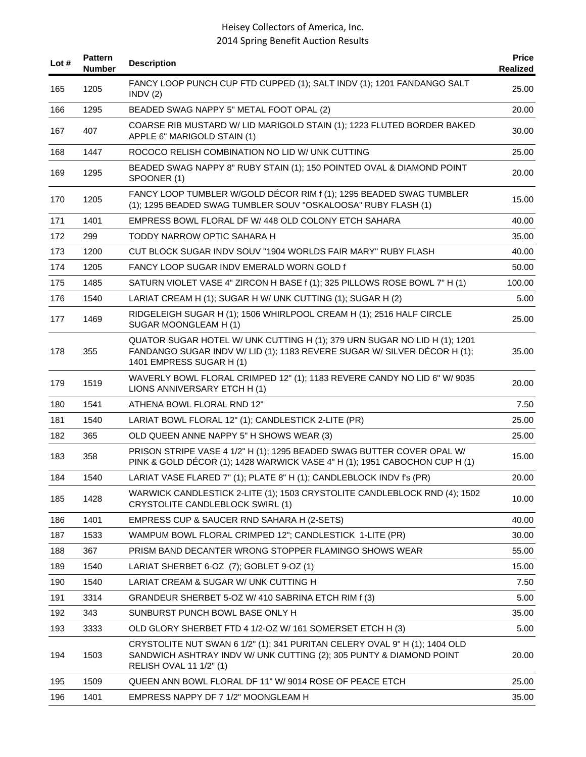| Lot $#$ | <b>Pattern</b><br><b>Number</b> | <b>Description</b>                                                                                                                                                                | <b>Price</b><br>Realized |
|---------|---------------------------------|-----------------------------------------------------------------------------------------------------------------------------------------------------------------------------------|--------------------------|
| 165     | 1205                            | FANCY LOOP PUNCH CUP FTD CUPPED (1); SALT INDV (1); 1201 FANDANGO SALT<br>INDV(2)                                                                                                 | 25.00                    |
| 166     | 1295                            | BEADED SWAG NAPPY 5" METAL FOOT OPAL (2)                                                                                                                                          | 20.00                    |
| 167     | 407                             | COARSE RIB MUSTARD W/ LID MARIGOLD STAIN (1); 1223 FLUTED BORDER BAKED<br>APPLE 6" MARIGOLD STAIN (1)                                                                             | 30.00                    |
| 168     | 1447                            | ROCOCO RELISH COMBINATION NO LID W/ UNK CUTTING                                                                                                                                   | 25.00                    |
| 169     | 1295                            | BEADED SWAG NAPPY 8" RUBY STAIN (1); 150 POINTED OVAL & DIAMOND POINT<br>SPOONER (1)                                                                                              | 20.00                    |
| 170     | 1205                            | FANCY LOOP TUMBLER W/GOLD DÉCOR RIM f (1); 1295 BEADED SWAG TUMBLER<br>(1); 1295 BEADED SWAG TUMBLER SOUV "OSKALOOSA" RUBY FLASH (1)                                              | 15.00                    |
| 171     | 1401                            | EMPRESS BOWL FLORAL DF W/ 448 OLD COLONY ETCH SAHARA                                                                                                                              | 40.00                    |
| 172     | 299                             | TODDY NARROW OPTIC SAHARA H                                                                                                                                                       | 35.00                    |
| 173     | 1200                            | CUT BLOCK SUGAR INDV SOUV "1904 WORLDS FAIR MARY" RUBY FLASH                                                                                                                      | 40.00                    |
| 174     | 1205                            | FANCY LOOP SUGAR INDV EMERALD WORN GOLD f                                                                                                                                         | 50.00                    |
| 175     | 1485                            | SATURN VIOLET VASE 4" ZIRCON H BASE f (1); 325 PILLOWS ROSE BOWL 7" H (1)                                                                                                         | 100.00                   |
| 176     | 1540                            | LARIAT CREAM H (1); SUGAR H W/ UNK CUTTING (1); SUGAR H (2)                                                                                                                       | 5.00                     |
| 177     | 1469                            | RIDGELEIGH SUGAR H (1); 1506 WHIRLPOOL CREAM H (1); 2516 HALF CIRCLE<br>SUGAR MOONGLEAM H (1)                                                                                     | 25.00                    |
| 178     | 355                             | QUATOR SUGAR HOTEL W/ UNK CUTTING H (1); 379 URN SUGAR NO LID H (1); 1201<br>FANDANGO SUGAR INDV W/ LID (1); 1183 REVERE SUGAR W/ SILVER DÉCOR H (1);<br>1401 EMPRESS SUGAR H (1) | 35.00                    |
| 179     | 1519                            | WAVERLY BOWL FLORAL CRIMPED 12" (1); 1183 REVERE CANDY NO LID 6" W/ 9035<br>LIONS ANNIVERSARY ETCH H (1)                                                                          | 20.00                    |
| 180     | 1541                            | ATHENA BOWL FLORAL RND 12"                                                                                                                                                        | 7.50                     |
| 181     | 1540                            | LARIAT BOWL FLORAL 12" (1); CANDLESTICK 2-LITE (PR)                                                                                                                               | 25.00                    |
| 182     | 365                             | OLD QUEEN ANNE NAPPY 5" H SHOWS WEAR (3)                                                                                                                                          | 25.00                    |
| 183     | 358                             | PRISON STRIPE VASE 4 1/2" H (1); 1295 BEADED SWAG BUTTER COVER OPAL W/<br>PINK & GOLD DÉCOR (1); 1428 WARWICK VASE 4" H (1); 1951 CABOCHON CUP H (1)                              | 15.00                    |
| 184     | 1540                            | LARIAT VASE FLARED 7" (1); PLATE 8" H (1); CANDLEBLOCK INDV f's (PR)                                                                                                              | 20.00                    |
| 185     | 1428                            | WARWICK CANDLESTICK 2-LITE (1); 1503 CRYSTOLITE CANDLEBLOCK RND (4); 1502<br><b>CRYSTOLITE CANDLEBLOCK SWIRL (1)</b>                                                              | 10.00                    |
| 186     | 1401                            | EMPRESS CUP & SAUCER RND SAHARA H (2-SETS)                                                                                                                                        | 40.00                    |
| 187     | 1533                            | WAMPUM BOWL FLORAL CRIMPED 12"; CANDLESTICK 1-LITE (PR)                                                                                                                           | 30.00                    |
| 188     | 367                             | PRISM BAND DECANTER WRONG STOPPER FLAMINGO SHOWS WEAR                                                                                                                             | 55.00                    |
| 189     | 1540                            | LARIAT SHERBET 6-OZ (7); GOBLET 9-OZ (1)                                                                                                                                          | 15.00                    |
| 190     | 1540                            | LARIAT CREAM & SUGAR W/ UNK CUTTING H                                                                                                                                             | 7.50                     |
| 191     | 3314                            | GRANDEUR SHERBET 5-OZ W/ 410 SABRINA ETCH RIM f (3)                                                                                                                               | 5.00                     |
| 192     | 343                             | SUNBURST PUNCH BOWL BASE ONLY H                                                                                                                                                   | 35.00                    |
| 193     | 3333                            | OLD GLORY SHERBET FTD 4 1/2-OZ W/ 161 SOMERSET ETCH H (3)                                                                                                                         | 5.00                     |
| 194     | 1503                            | CRYSTOLITE NUT SWAN 6 1/2" (1); 341 PURITAN CELERY OVAL 9" H (1); 1404 OLD<br>SANDWICH ASHTRAY INDV W/ UNK CUTTING (2); 305 PUNTY & DIAMOND POINT<br>RELISH OVAL 11 1/2" (1)      | 20.00                    |
| 195     | 1509                            | QUEEN ANN BOWL FLORAL DF 11" W/ 9014 ROSE OF PEACE ETCH                                                                                                                           | 25.00                    |
| 196     | 1401                            | EMPRESS NAPPY DF 7 1/2" MOONGLEAM H                                                                                                                                               | 35.00                    |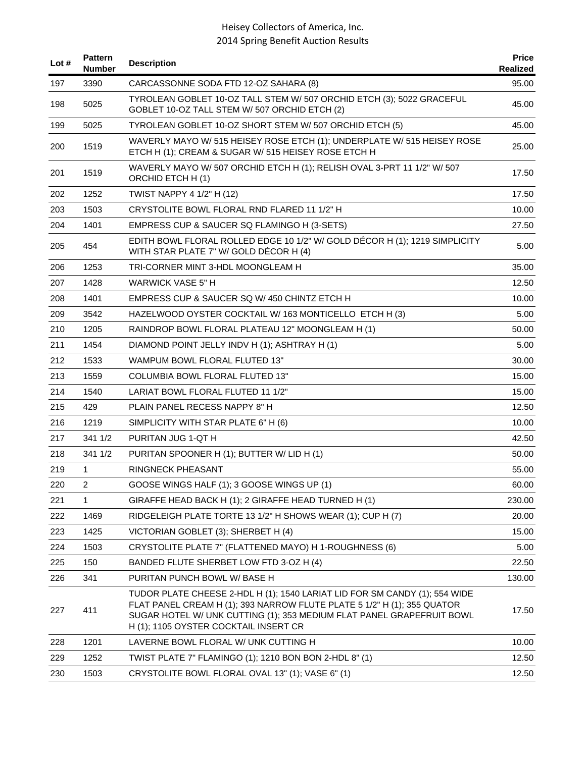| Lot $#$ | <b>Pattern</b><br><b>Number</b> | <b>Description</b>                                                                                                                                                                                                                                                      | <b>Price</b><br>Realized |
|---------|---------------------------------|-------------------------------------------------------------------------------------------------------------------------------------------------------------------------------------------------------------------------------------------------------------------------|--------------------------|
| 197     | 3390                            | CARCASSONNE SODA FTD 12-OZ SAHARA (8)                                                                                                                                                                                                                                   | 95.00                    |
| 198     | 5025                            | TYROLEAN GOBLET 10-OZ TALL STEM W/ 507 ORCHID ETCH (3); 5022 GRACEFUL<br>GOBLET 10-OZ TALL STEM W/ 507 ORCHID ETCH (2)                                                                                                                                                  | 45.00                    |
| 199     | 5025                            | TYROLEAN GOBLET 10-OZ SHORT STEM W/ 507 ORCHID ETCH (5)                                                                                                                                                                                                                 | 45.00                    |
| 200     | 1519                            | WAVERLY MAYO W/ 515 HEISEY ROSE ETCH (1); UNDERPLATE W/ 515 HEISEY ROSE<br>ETCH H (1); CREAM & SUGAR W/ 515 HEISEY ROSE ETCH H                                                                                                                                          | 25.00                    |
| 201     | 1519                            | WAVERLY MAYO W/ 507 ORCHID ETCH H (1); RELISH OVAL 3-PRT 11 1/2" W/ 507<br>ORCHID ETCH H (1)                                                                                                                                                                            | 17.50                    |
| 202     | 1252                            | TWIST NAPPY 4 1/2" H (12)                                                                                                                                                                                                                                               | 17.50                    |
| 203     | 1503                            | CRYSTOLITE BOWL FLORAL RND FLARED 11 1/2" H                                                                                                                                                                                                                             | 10.00                    |
| 204     | 1401                            | EMPRESS CUP & SAUCER SQ FLAMINGO H (3-SETS)                                                                                                                                                                                                                             | 27.50                    |
| 205     | 454                             | EDITH BOWL FLORAL ROLLED EDGE 10 1/2" W/ GOLD DÉCOR H (1); 1219 SIMPLICITY<br>WITH STAR PLATE 7" W/ GOLD DÉCOR H (4)                                                                                                                                                    | 5.00                     |
| 206     | 1253                            | TRI-CORNER MINT 3-HDL MOONGLEAM H                                                                                                                                                                                                                                       | 35.00                    |
| 207     | 1428                            | <b>WARWICK VASE 5" H</b>                                                                                                                                                                                                                                                | 12.50                    |
| 208     | 1401                            | EMPRESS CUP & SAUCER SQ W/450 CHINTZ ETCH H                                                                                                                                                                                                                             | 10.00                    |
| 209     | 3542                            | HAZELWOOD OYSTER COCKTAIL W/ 163 MONTICELLO ETCH H (3)                                                                                                                                                                                                                  | 5.00                     |
| 210     | 1205                            | RAINDROP BOWL FLORAL PLATEAU 12" MOONGLEAM H (1)                                                                                                                                                                                                                        | 50.00                    |
| 211     | 1454                            | DIAMOND POINT JELLY INDV H (1); ASHTRAY H (1)                                                                                                                                                                                                                           | 5.00                     |
| 212     | 1533                            | <b>WAMPUM BOWL FLORAL FLUTED 13"</b>                                                                                                                                                                                                                                    | 30.00                    |
| 213     | 1559                            | <b>COLUMBIA BOWL FLORAL FLUTED 13"</b>                                                                                                                                                                                                                                  | 15.00                    |
| 214     | 1540                            | LARIAT BOWL FLORAL FLUTED 11 1/2"                                                                                                                                                                                                                                       | 15.00                    |
| 215     | 429                             | PLAIN PANEL RECESS NAPPY 8" H                                                                                                                                                                                                                                           | 12.50                    |
| 216     | 1219                            | SIMPLICITY WITH STAR PLATE 6" H (6)                                                                                                                                                                                                                                     | 10.00                    |
| 217     | 341 1/2                         | PURITAN JUG 1-QT H                                                                                                                                                                                                                                                      | 42.50                    |
| 218     | 341 1/2                         | PURITAN SPOONER H (1); BUTTER W/ LID H (1)                                                                                                                                                                                                                              | 50.00                    |
| 219     | $\mathbf{1}$                    | <b>RINGNECK PHEASANT</b>                                                                                                                                                                                                                                                | 55.00                    |
| 220     | $\overline{2}$                  | GOOSE WINGS HALF (1); 3 GOOSE WINGS UP (1)                                                                                                                                                                                                                              | 60.00                    |
| 221     | 1                               | GIRAFFE HEAD BACK H (1); 2 GIRAFFE HEAD TURNED H (1)                                                                                                                                                                                                                    | 230.00                   |
| 222     | 1469                            | RIDGELEIGH PLATE TORTE 13 1/2" H SHOWS WEAR (1); CUP H (7)                                                                                                                                                                                                              | 20.00                    |
| 223     | 1425                            | VICTORIAN GOBLET (3); SHERBET H (4)                                                                                                                                                                                                                                     | 15.00                    |
| 224     | 1503                            | CRYSTOLITE PLATE 7" (FLATTENED MAYO) H 1-ROUGHNESS (6)                                                                                                                                                                                                                  | 5.00                     |
| 225     | 150                             | BANDED FLUTE SHERBET LOW FTD 3-OZ H (4)                                                                                                                                                                                                                                 | 22.50                    |
| 226     | 341                             | PURITAN PUNCH BOWL W/ BASE H                                                                                                                                                                                                                                            | 130.00                   |
| 227     | 411                             | TUDOR PLATE CHEESE 2-HDL H (1); 1540 LARIAT LID FOR SM CANDY (1); 554 WIDE<br>FLAT PANEL CREAM H (1); 393 NARROW FLUTE PLATE 5 1/2" H (1); 355 QUATOR<br>SUGAR HOTEL W/ UNK CUTTING (1); 353 MEDIUM FLAT PANEL GRAPEFRUIT BOWL<br>H (1); 1105 OYSTER COCKTAIL INSERT CR | 17.50                    |
| 228     | 1201                            | LAVERNE BOWL FLORAL W/ UNK CUTTING H                                                                                                                                                                                                                                    | 10.00                    |
| 229     | 1252                            | TWIST PLATE 7" FLAMINGO (1); 1210 BON BON 2-HDL 8" (1)                                                                                                                                                                                                                  | 12.50                    |
| 230     | 1503                            | CRYSTOLITE BOWL FLORAL OVAL 13" (1); VASE 6" (1)                                                                                                                                                                                                                        | 12.50                    |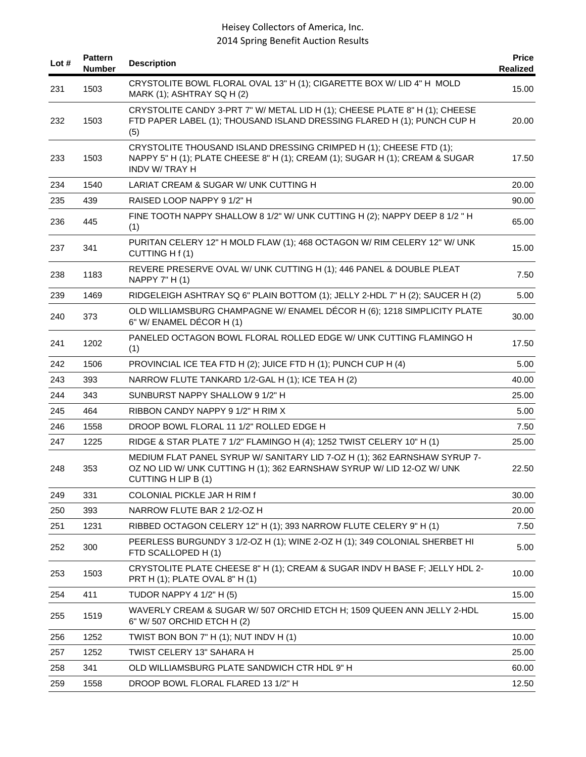| Lot # | <b>Pattern</b><br><b>Number</b> | <b>Description</b>                                                                                                                                                         | <b>Price</b><br><b>Realized</b> |
|-------|---------------------------------|----------------------------------------------------------------------------------------------------------------------------------------------------------------------------|---------------------------------|
| 231   | 1503                            | CRYSTOLITE BOWL FLORAL OVAL 13" H (1); CIGARETTE BOX W/ LID 4" H MOLD<br>MARK (1); ASHTRAY SQ H (2)                                                                        | 15.00                           |
| 232   | 1503                            | CRYSTOLITE CANDY 3-PRT 7" W/ METAL LID H (1); CHEESE PLATE 8" H (1); CHEESE<br>FTD PAPER LABEL (1); THOUSAND ISLAND DRESSING FLARED H (1); PUNCH CUP H<br>(5)              | 20.00                           |
| 233   | 1503                            | CRYSTOLITE THOUSAND ISLAND DRESSING CRIMPED H (1); CHEESE FTD (1);<br>NAPPY 5" H (1); PLATE CHEESE 8" H (1); CREAM (1); SUGAR H (1); CREAM & SUGAR<br>INDV W/TRAY H        | 17.50                           |
| 234   | 1540                            | LARIAT CREAM & SUGAR W/ UNK CUTTING H                                                                                                                                      | 20.00                           |
| 235   | 439                             | RAISED LOOP NAPPY 9 1/2" H                                                                                                                                                 | 90.00                           |
| 236   | 445                             | FINE TOOTH NAPPY SHALLOW 8 1/2" W/ UNK CUTTING H (2); NAPPY DEEP 8 1/2 " H<br>(1)                                                                                          | 65.00                           |
| 237   | 341                             | PURITAN CELERY 12" H MOLD FLAW (1); 468 OCTAGON W/ RIM CELERY 12" W/ UNK<br>CUTTING H f (1)                                                                                | 15.00                           |
| 238   | 1183                            | REVERE PRESERVE OVAL W/ UNK CUTTING H (1); 446 PANEL & DOUBLE PLEAT<br>NAPPY 7" H (1)                                                                                      | 7.50                            |
| 239   | 1469                            | RIDGELEIGH ASHTRAY SQ 6" PLAIN BOTTOM (1); JELLY 2-HDL 7" H (2); SAUCER H (2)                                                                                              | 5.00                            |
| 240   | 373                             | OLD WILLIAMSBURG CHAMPAGNE W/ ENAMEL DÉCOR H (6); 1218 SIMPLICITY PLATE<br>6" W/ ENAMEL DÉCOR H (1)                                                                        | 30.00                           |
| 241   | 1202                            | PANELED OCTAGON BOWL FLORAL ROLLED EDGE W/ UNK CUTTING FLAMINGO H<br>(1)                                                                                                   | 17.50                           |
| 242   | 1506                            | PROVINCIAL ICE TEA FTD H (2); JUICE FTD H (1); PUNCH CUP H (4)                                                                                                             | 5.00                            |
| 243   | 393                             | NARROW FLUTE TANKARD 1/2-GAL H (1); ICE TEA H (2)                                                                                                                          | 40.00                           |
| 244   | 343                             | SUNBURST NAPPY SHALLOW 9 1/2" H                                                                                                                                            | 25.00                           |
| 245   | 464                             | RIBBON CANDY NAPPY 9 1/2" H RIM X                                                                                                                                          | 5.00                            |
| 246   | 1558                            | DROOP BOWL FLORAL 11 1/2" ROLLED EDGE H                                                                                                                                    | 7.50                            |
| 247   | 1225                            | RIDGE & STAR PLATE 7 1/2" FLAMINGO H (4); 1252 TWIST CELERY 10" H (1)                                                                                                      | 25.00                           |
| 248   | 353                             | MEDIUM FLAT PANEL SYRUP W/ SANITARY LID 7-OZ H (1); 362 EARNSHAW SYRUP 7-<br>OZ NO LID W/ UNK CUTTING H (1); 362 EARNSHAW SYRUP W/ LID 12-OZ W/ UNK<br>CUTTING H LIP B (1) | 22.50                           |
| 249   | 331                             | COLONIAL PICKLE JAR H RIM f                                                                                                                                                | 30.00                           |
| 250   | 393                             | NARROW FLUTE BAR 2 1/2-OZ H                                                                                                                                                | 20.00                           |
| 251   | 1231                            | RIBBED OCTAGON CELERY 12" H (1); 393 NARROW FLUTE CELERY 9" H (1)                                                                                                          | 7.50                            |
| 252   | 300                             | PEERLESS BURGUNDY 3 1/2-OZ H (1); WINE 2-OZ H (1); 349 COLONIAL SHERBET HI<br>FTD SCALLOPED H (1)                                                                          | 5.00                            |
| 253   | 1503                            | CRYSTOLITE PLATE CHEESE 8" H (1); CREAM & SUGAR INDV H BASE F; JELLY HDL 2-<br>PRT H (1); PLATE OVAL 8" H (1)                                                              | 10.00                           |
| 254   | 411                             | <b>TUDOR NAPPY 4 1/2" H (5)</b>                                                                                                                                            | 15.00                           |
| 255   | 1519                            | WAVERLY CREAM & SUGAR W/ 507 ORCHID ETCH H; 1509 QUEEN ANN JELLY 2-HDL<br>6" W/ 507 ORCHID ETCH H (2)                                                                      | 15.00                           |
| 256   | 1252                            | TWIST BON BON 7" H (1); NUT INDV H (1)                                                                                                                                     | 10.00                           |
| 257   | 1252                            | TWIST CELERY 13" SAHARA H                                                                                                                                                  | 25.00                           |
| 258   | 341                             | OLD WILLIAMSBURG PLATE SANDWICH CTR HDL 9" H                                                                                                                               | 60.00                           |
| 259   | 1558                            | DROOP BOWL FLORAL FLARED 13 1/2" H                                                                                                                                         | 12.50                           |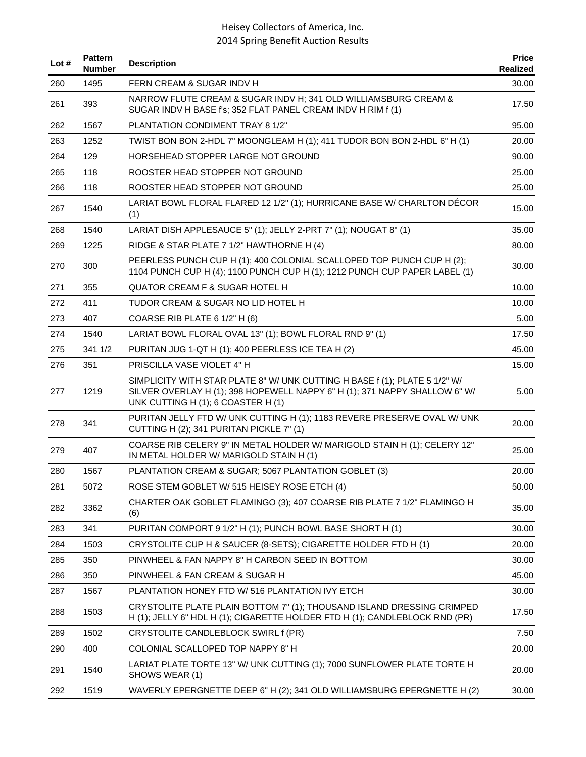| Lot $#$ | <b>Pattern</b><br><b>Number</b> | <b>Description</b>                                                                                                                                                                             | <b>Price</b><br>Realized |
|---------|---------------------------------|------------------------------------------------------------------------------------------------------------------------------------------------------------------------------------------------|--------------------------|
| 260     | 1495                            | FERN CREAM & SUGAR INDV H                                                                                                                                                                      | 30.00                    |
| 261     | 393                             | NARROW FLUTE CREAM & SUGAR INDV H; 341 OLD WILLIAMSBURG CREAM &<br>SUGAR INDV H BASE f's; 352 FLAT PANEL CREAM INDV H RIM f (1)                                                                | 17.50                    |
| 262     | 1567                            | PLANTATION CONDIMENT TRAY 8 1/2"                                                                                                                                                               | 95.00                    |
| 263     | 1252                            | TWIST BON BON 2-HDL 7" MOONGLEAM H (1); 411 TUDOR BON BON 2-HDL 6" H (1)                                                                                                                       | 20.00                    |
| 264     | 129                             | HORSEHEAD STOPPER LARGE NOT GROUND                                                                                                                                                             | 90.00                    |
| 265     | 118                             | ROOSTER HEAD STOPPER NOT GROUND                                                                                                                                                                | 25.00                    |
| 266     | 118                             | ROOSTER HEAD STOPPER NOT GROUND                                                                                                                                                                | 25.00                    |
| 267     | 1540                            | LARIAT BOWL FLORAL FLARED 12 1/2" (1); HURRICANE BASE W/ CHARLTON DÉCOR<br>(1)                                                                                                                 | 15.00                    |
| 268     | 1540                            | LARIAT DISH APPLESAUCE 5" (1); JELLY 2-PRT 7" (1); NOUGAT 8" (1)                                                                                                                               | 35.00                    |
| 269     | 1225                            | RIDGE & STAR PLATE 7 1/2" HAWTHORNE H (4)                                                                                                                                                      | 80.00                    |
| 270     | 300                             | PEERLESS PUNCH CUP H (1); 400 COLONIAL SCALLOPED TOP PUNCH CUP H (2);<br>1104 PUNCH CUP H (4); 1100 PUNCH CUP H (1); 1212 PUNCH CUP PAPER LABEL (1)                                            | 30.00                    |
| 271     | 355                             | <b>QUATOR CREAM F &amp; SUGAR HOTEL H</b>                                                                                                                                                      | 10.00                    |
| 272     | 411                             | TUDOR CREAM & SUGAR NO LID HOTEL H                                                                                                                                                             | 10.00                    |
| 273     | 407                             | COARSE RIB PLATE 6 1/2" H (6)                                                                                                                                                                  | 5.00                     |
| 274     | 1540                            | LARIAT BOWL FLORAL OVAL 13" (1); BOWL FLORAL RND 9" (1)                                                                                                                                        | 17.50                    |
| 275     | 341 1/2                         | PURITAN JUG 1-QT H (1); 400 PEERLESS ICE TEA H (2)                                                                                                                                             | 45.00                    |
| 276     | 351                             | PRISCILLA VASE VIOLET 4" H                                                                                                                                                                     | 15.00                    |
| 277     | 1219                            | SIMPLICITY WITH STAR PLATE 8" W/ UNK CUTTING H BASE f (1); PLATE 5 1/2" W/<br>SILVER OVERLAY H (1); 398 HOPEWELL NAPPY 6" H (1); 371 NAPPY SHALLOW 6" W/<br>UNK CUTTING H (1); 6 COASTER H (1) | 5.00                     |
| 278     | 341                             | PURITAN JELLY FTD W/ UNK CUTTING H (1); 1183 REVERE PRESERVE OVAL W/ UNK<br>CUTTING H (2); 341 PURITAN PICKLE 7" (1)                                                                           | 20.00                    |
| 279     | 407                             | COARSE RIB CELERY 9" IN METAL HOLDER W/ MARIGOLD STAIN H (1); CELERY 12"<br>IN METAL HOLDER W/ MARIGOLD STAIN H (1)                                                                            | 25.00                    |
| 280     | 1567                            | PLANTATION CREAM & SUGAR; 5067 PLANTATION GOBLET (3)                                                                                                                                           | 20.00                    |
| 281     | 5072                            | ROSE STEM GOBLET W/ 515 HEISEY ROSE ETCH (4)                                                                                                                                                   | 50.00                    |
| 282     | 3362                            | CHARTER OAK GOBLET FLAMINGO (3); 407 COARSE RIB PLATE 7 1/2" FLAMINGO H<br>(6)                                                                                                                 | 35.00                    |
| 283     | 341                             | PURITAN COMPORT 9 1/2" H (1); PUNCH BOWL BASE SHORT H (1)                                                                                                                                      | 30.00                    |
| 284     | 1503                            | CRYSTOLITE CUP H & SAUCER (8-SETS); CIGARETTE HOLDER FTD H (1)                                                                                                                                 | 20.00                    |
| 285     | 350                             | PINWHEEL & FAN NAPPY 8" H CARBON SEED IN BOTTOM                                                                                                                                                | 30.00                    |
| 286     | 350                             | PINWHEEL & FAN CREAM & SUGAR H                                                                                                                                                                 | 45.00                    |
| 287     | 1567                            | PLANTATION HONEY FTD W/516 PLANTATION IVY ETCH                                                                                                                                                 | 30.00                    |
| 288     | 1503                            | CRYSTOLITE PLATE PLAIN BOTTOM 7" (1); THOUSAND ISLAND DRESSING CRIMPED<br>H (1); JELLY 6" HDL H (1); CIGARETTE HOLDER FTD H (1); CANDLEBLOCK RND (PR)                                          | 17.50                    |
| 289     | 1502                            | CRYSTOLITE CANDLEBLOCK SWIRL f (PR)                                                                                                                                                            | 7.50                     |
| 290     | 400                             | COLONIAL SCALLOPED TOP NAPPY 8" H                                                                                                                                                              | 20.00                    |
| 291     | 1540                            | LARIAT PLATE TORTE 13" W/ UNK CUTTING (1); 7000 SUNFLOWER PLATE TORTE H<br>SHOWS WEAR (1)                                                                                                      | 20.00                    |
| 292     | 1519                            | WAVERLY EPERGNETTE DEEP 6" H (2); 341 OLD WILLIAMSBURG EPERGNETTE H (2)                                                                                                                        | 30.00                    |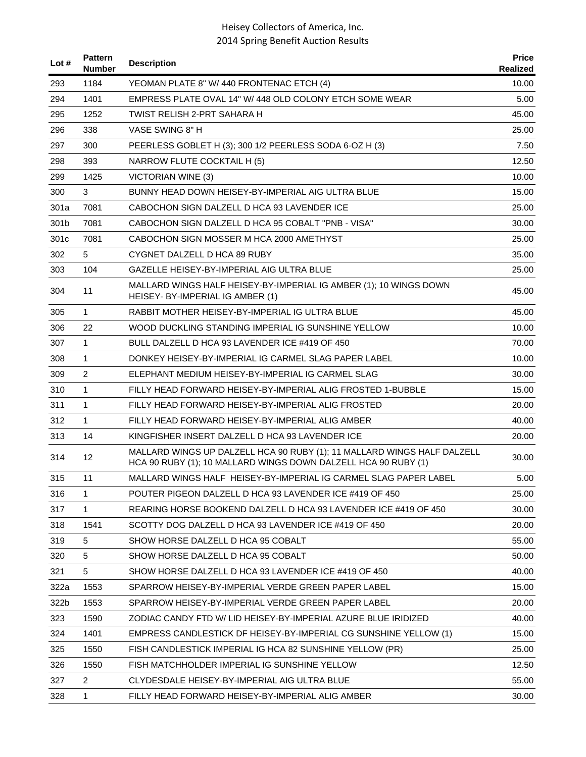| Lot #            | <b>Pattern</b><br><b>Number</b> | <b>Description</b>                                                                                                                        | <b>Price</b><br><b>Realized</b> |
|------------------|---------------------------------|-------------------------------------------------------------------------------------------------------------------------------------------|---------------------------------|
| 293              | 1184                            | YEOMAN PLATE 8" W/ 440 FRONTENAC ETCH (4)                                                                                                 | 10.00                           |
| 294              | 1401                            | EMPRESS PLATE OVAL 14" W/ 448 OLD COLONY ETCH SOME WEAR                                                                                   | 5.00                            |
| 295              | 1252                            | TWIST RELISH 2-PRT SAHARA H                                                                                                               | 45.00                           |
| 296              | 338                             | VASE SWING 8" H                                                                                                                           | 25.00                           |
| 297              | 300                             | PEERLESS GOBLET H (3); 300 1/2 PEERLESS SODA 6-OZ H (3)                                                                                   | 7.50                            |
| 298              | 393                             | NARROW FLUTE COCKTAIL H (5)                                                                                                               | 12.50                           |
| 299              | 1425                            | VICTORIAN WINE (3)                                                                                                                        | 10.00                           |
| 300              | 3                               | BUNNY HEAD DOWN HEISEY-BY-IMPERIAL AIG ULTRA BLUE                                                                                         | 15.00                           |
| 301a             | 7081                            | CABOCHON SIGN DALZELL D HCA 93 LAVENDER ICE                                                                                               | 25.00                           |
| 301b             | 7081                            | CABOCHON SIGN DALZELL D HCA 95 COBALT "PNB - VISA"                                                                                        | 30.00                           |
| 301 <sub>c</sub> | 7081                            | CABOCHON SIGN MOSSER M HCA 2000 AMETHYST                                                                                                  | 25.00                           |
| 302              | 5                               | CYGNET DALZELL D HCA 89 RUBY                                                                                                              | 35.00                           |
| 303              | 104                             | GAZELLE HEISEY-BY-IMPERIAL AIG ULTRA BLUE                                                                                                 | 25.00                           |
| 304              | 11                              | MALLARD WINGS HALF HEISEY-BY-IMPERIAL IG AMBER (1); 10 WINGS DOWN<br>HEISEY- BY-IMPERIAL IG AMBER (1)                                     | 45.00                           |
| 305              | 1                               | RABBIT MOTHER HEISEY-BY-IMPERIAL IG ULTRA BLUE                                                                                            | 45.00                           |
| 306              | 22                              | WOOD DUCKLING STANDING IMPERIAL IG SUNSHINE YELLOW                                                                                        | 10.00                           |
| 307              | $\mathbf{1}$                    | BULL DALZELL D HCA 93 LAVENDER ICE #419 OF 450                                                                                            | 70.00                           |
| 308              | $\mathbf{1}$                    | DONKEY HEISEY-BY-IMPERIAL IG CARMEL SLAG PAPER LABEL                                                                                      | 10.00                           |
| 309              | $\overline{2}$                  | ELEPHANT MEDIUM HEISEY-BY-IMPERIAL IG CARMEL SLAG                                                                                         | 30.00                           |
| 310              | $\mathbf{1}$                    | FILLY HEAD FORWARD HEISEY-BY-IMPERIAL ALIG FROSTED 1-BUBBLE                                                                               | 15.00                           |
| 311              | $\mathbf{1}$                    | FILLY HEAD FORWARD HEISEY-BY-IMPERIAL ALIG FROSTED                                                                                        | 20.00                           |
| 312              | $\mathbf{1}$                    | FILLY HEAD FORWARD HEISEY-BY-IMPERIAL ALIG AMBER                                                                                          | 40.00                           |
| 313              | 14                              | KINGFISHER INSERT DALZELL D HCA 93 LAVENDER ICE                                                                                           | 20.00                           |
| 314              | 12                              | MALLARD WINGS UP DALZELL HCA 90 RUBY (1); 11 MALLARD WINGS HALF DALZELL<br>HCA 90 RUBY (1); 10 MALLARD WINGS DOWN DALZELL HCA 90 RUBY (1) | 30.00                           |
| 315              | 11                              | MALLARD WINGS HALF HEISEY-BY-IMPERIAL IG CARMEL SLAG PAPER LABEL                                                                          | 5.00                            |
| 316              | 1                               | POUTER PIGEON DALZELL D HCA 93 LAVENDER ICE #419 OF 450                                                                                   | 25.00                           |
| 317              | $\mathbf{1}$                    | REARING HORSE BOOKEND DALZELL D HCA 93 LAVENDER ICE #419 OF 450                                                                           | 30.00                           |
| 318              | 1541                            | SCOTTY DOG DALZELL D HCA 93 LAVENDER ICE #419 OF 450                                                                                      | 20.00                           |
| 319              | 5                               | SHOW HORSE DALZELL D HCA 95 COBALT                                                                                                        | 55.00                           |
| 320              | 5                               | SHOW HORSE DALZELL D HCA 95 COBALT                                                                                                        | 50.00                           |
| 321              | 5                               | SHOW HORSE DALZELL D HCA 93 LAVENDER ICE #419 OF 450                                                                                      | 40.00                           |
| 322a             | 1553                            | SPARROW HEISEY-BY-IMPERIAL VERDE GREEN PAPER LABEL                                                                                        | 15.00                           |
| 322b             | 1553                            | SPARROW HEISEY-BY-IMPERIAL VERDE GREEN PAPER LABEL                                                                                        | 20.00                           |
| 323              | 1590                            | ZODIAC CANDY FTD W/ LID HEISEY-BY-IMPERIAL AZURE BLUE IRIDIZED                                                                            | 40.00                           |
| 324              | 1401                            | EMPRESS CANDLESTICK DF HEISEY-BY-IMPERIAL CG SUNSHINE YELLOW (1)                                                                          | 15.00                           |
| 325              | 1550                            | FISH CANDLESTICK IMPERIAL IG HCA 82 SUNSHINE YELLOW (PR)                                                                                  | 25.00                           |
| 326              | 1550                            | FISH MATCHHOLDER IMPERIAL IG SUNSHINE YELLOW                                                                                              | 12.50                           |
| 327              | $\overline{2}$                  | CLYDESDALE HEISEY-BY-IMPERIAL AIG ULTRA BLUE                                                                                              | 55.00                           |
| 328              | $\mathbf{1}$                    | FILLY HEAD FORWARD HEISEY-BY-IMPERIAL ALIG AMBER                                                                                          | 30.00                           |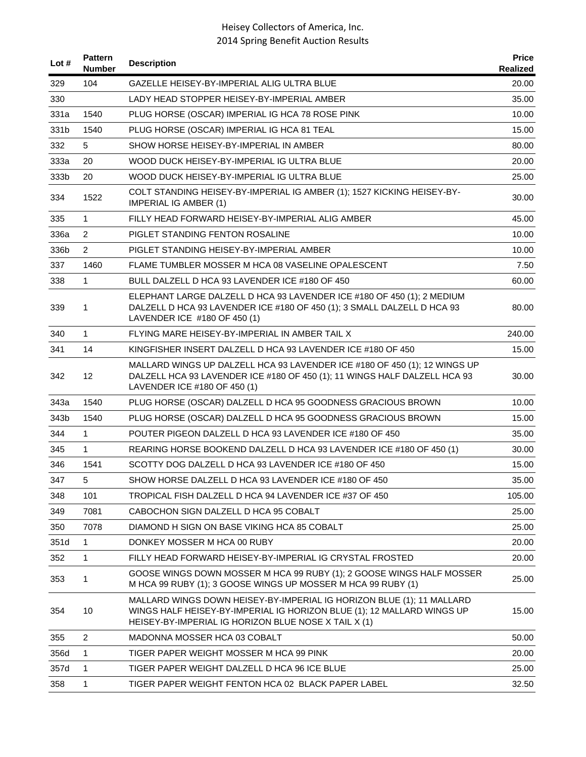| Lot $#$ | <b>Pattern</b><br><b>Number</b> | <b>Description</b>                                                                                                                                                                                      | <b>Price</b><br>Realized |
|---------|---------------------------------|---------------------------------------------------------------------------------------------------------------------------------------------------------------------------------------------------------|--------------------------|
| 329     | 104                             | GAZELLE HEISEY-BY-IMPERIAL ALIG ULTRA BLUE                                                                                                                                                              | 20.00                    |
| 330     |                                 | LADY HEAD STOPPER HEISEY-BY-IMPERIAL AMBER                                                                                                                                                              | 35.00                    |
| 331a    | 1540                            | PLUG HORSE (OSCAR) IMPERIAL IG HCA 78 ROSE PINK                                                                                                                                                         | 10.00                    |
| 331b    | 1540                            | PLUG HORSE (OSCAR) IMPERIAL IG HCA 81 TEAL                                                                                                                                                              | 15.00                    |
| 332     | 5                               | SHOW HORSE HEISEY-BY-IMPERIAL IN AMBER                                                                                                                                                                  | 80.00                    |
| 333a    | 20                              | WOOD DUCK HEISEY-BY-IMPERIAL IG ULTRA BLUE                                                                                                                                                              | 20.00                    |
| 333b    | 20                              | WOOD DUCK HEISEY-BY-IMPERIAL IG ULTRA BLUE                                                                                                                                                              | 25.00                    |
| 334     | 1522                            | COLT STANDING HEISEY-BY-IMPERIAL IG AMBER (1); 1527 KICKING HEISEY-BY-<br><b>IMPERIAL IG AMBER (1)</b>                                                                                                  | 30.00                    |
| 335     | 1                               | FILLY HEAD FORWARD HEISEY-BY-IMPERIAL ALIG AMBER                                                                                                                                                        | 45.00                    |
| 336a    | $\overline{2}$                  | PIGLET STANDING FENTON ROSALINE                                                                                                                                                                         | 10.00                    |
| 336b    | $\overline{2}$                  | PIGLET STANDING HEISEY-BY-IMPERIAL AMBER                                                                                                                                                                | 10.00                    |
| 337     | 1460                            | FLAME TUMBLER MOSSER M HCA 08 VASELINE OPALESCENT                                                                                                                                                       | 7.50                     |
| 338     | 1                               | BULL DALZELL D HCA 93 LAVENDER ICE #180 OF 450                                                                                                                                                          | 60.00                    |
| 339     | 1                               | ELEPHANT LARGE DALZELL D HCA 93 LAVENDER ICE #180 OF 450 (1); 2 MEDIUM<br>DALZELL D HCA 93 LAVENDER ICE #180 OF 450 (1); 3 SMALL DALZELL D HCA 93<br>LAVENDER ICE #180 OF 450 (1)                       | 80.00                    |
| 340     | 1                               | FLYING MARE HEISEY-BY-IMPERIAL IN AMBER TAIL X                                                                                                                                                          | 240.00                   |
| 341     | 14                              | KINGFISHER INSERT DALZELL D HCA 93 LAVENDER ICE #180 OF 450                                                                                                                                             | 15.00                    |
| 342     | 12                              | MALLARD WINGS UP DALZELL HCA 93 LAVENDER ICE #180 OF 450 (1); 12 WINGS UP<br>DALZELL HCA 93 LAVENDER ICE #180 OF 450 (1); 11 WINGS HALF DALZELL HCA 93<br>LAVENDER ICE #180 OF 450 (1)                  | 30.00                    |
| 343a    | 1540                            | PLUG HORSE (OSCAR) DALZELL D HCA 95 GOODNESS GRACIOUS BROWN                                                                                                                                             | 10.00                    |
| 343b    | 1540                            | PLUG HORSE (OSCAR) DALZELL D HCA 95 GOODNESS GRACIOUS BROWN                                                                                                                                             | 15.00                    |
| 344     | 1                               | POUTER PIGEON DALZELL D HCA 93 LAVENDER ICE #180 OF 450                                                                                                                                                 | 35.00                    |
| 345     | 1                               | REARING HORSE BOOKEND DALZELL D HCA 93 LAVENDER ICE #180 OF 450 (1)                                                                                                                                     | 30.00                    |
| 346     | 1541                            | SCOTTY DOG DALZELL D HCA 93 LAVENDER ICE #180 OF 450                                                                                                                                                    | 15.00                    |
| 347     | 5.                              | SHOW HORSE DALZELL D HCA 93 LAVENDER ICE #180 OF 450                                                                                                                                                    | 35.00                    |
| 348     | 101                             | TROPICAL FISH DALZELL D HCA 94 LAVENDER ICE #37 OF 450                                                                                                                                                  | 105.00                   |
| 349     | 7081                            | CABOCHON SIGN DALZELL D HCA 95 COBALT                                                                                                                                                                   | 25.00                    |
| 350     | 7078                            | DIAMOND H SIGN ON BASE VIKING HCA 85 COBALT                                                                                                                                                             | 25.00                    |
| 351d    | 1                               | DONKEY MOSSER M HCA 00 RUBY                                                                                                                                                                             | 20.00                    |
| 352     | 1                               | FILLY HEAD FORWARD HEISEY-BY-IMPERIAL IG CRYSTAL FROSTED                                                                                                                                                | 20.00                    |
| 353     | 1                               | GOOSE WINGS DOWN MOSSER M HCA 99 RUBY (1); 2 GOOSE WINGS HALF MOSSER<br>M HCA 99 RUBY (1); 3 GOOSE WINGS UP MOSSER M HCA 99 RUBY (1)                                                                    | 25.00                    |
| 354     | 10                              | MALLARD WINGS DOWN HEISEY-BY-IMPERIAL IG HORIZON BLUE (1); 11 MALLARD<br>WINGS HALF HEISEY-BY-IMPERIAL IG HORIZON BLUE (1); 12 MALLARD WINGS UP<br>HEISEY-BY-IMPERIAL IG HORIZON BLUE NOSE X TAIL X (1) | 15.00                    |
| 355     | 2                               | MADONNA MOSSER HCA 03 COBALT                                                                                                                                                                            | 50.00                    |
| 356d    | 1                               | TIGER PAPER WEIGHT MOSSER M HCA 99 PINK                                                                                                                                                                 | 20.00                    |
| 357d    | $\mathbf{1}$                    | TIGER PAPER WEIGHT DALZELL D HCA 96 ICE BLUE                                                                                                                                                            | 25.00                    |
| 358     | 1                               | TIGER PAPER WEIGHT FENTON HCA 02 BLACK PAPER LABEL                                                                                                                                                      | 32.50                    |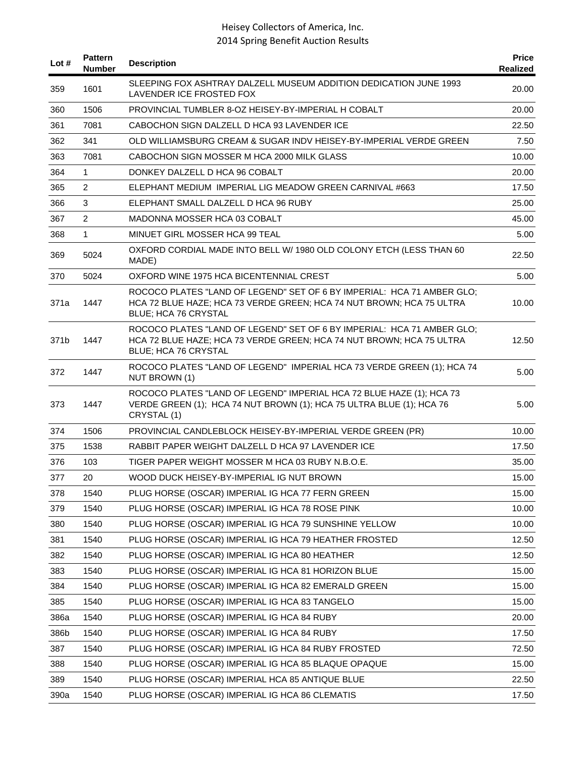| Lot # | <b>Pattern</b><br><b>Number</b> | <b>Description</b>                                                                                                                                                     | <b>Price</b><br>Realized |
|-------|---------------------------------|------------------------------------------------------------------------------------------------------------------------------------------------------------------------|--------------------------|
| 359   | 1601                            | SLEEPING FOX ASHTRAY DALZELL MUSEUM ADDITION DEDICATION JUNE 1993<br>LAVENDER ICE FROSTED FOX                                                                          | 20.00                    |
| 360   | 1506                            | PROVINCIAL TUMBLER 8-OZ HEISEY-BY-IMPERIAL H COBALT                                                                                                                    | 20.00                    |
| 361   | 7081                            | CABOCHON SIGN DALZELL D HCA 93 LAVENDER ICE                                                                                                                            | 22.50                    |
| 362   | 341                             | OLD WILLIAMSBURG CREAM & SUGAR INDV HEISEY-BY-IMPERIAL VERDE GREEN                                                                                                     | 7.50                     |
| 363   | 7081                            | CABOCHON SIGN MOSSER M HCA 2000 MILK GLASS                                                                                                                             | 10.00                    |
| 364   | $\mathbf{1}$                    | DONKEY DALZELL D HCA 96 COBALT                                                                                                                                         | 20.00                    |
| 365   | $\overline{2}$                  | ELEPHANT MEDIUM IMPERIAL LIG MEADOW GREEN CARNIVAL #663                                                                                                                | 17.50                    |
| 366   | 3                               | ELEPHANT SMALL DALZELL D HCA 96 RUBY                                                                                                                                   | 25.00                    |
| 367   | $\overline{2}$                  | MADONNA MOSSER HCA 03 COBALT                                                                                                                                           | 45.00                    |
| 368   | $\mathbf{1}$                    | MINUET GIRL MOSSER HCA 99 TEAL                                                                                                                                         | 5.00                     |
| 369   | 5024                            | OXFORD CORDIAL MADE INTO BELL W/ 1980 OLD COLONY ETCH (LESS THAN 60<br>MADE)                                                                                           | 22.50                    |
| 370   | 5024                            | OXFORD WINE 1975 HCA BICENTENNIAL CREST                                                                                                                                | 5.00                     |
| 371a  | 1447                            | ROCOCO PLATES "LAND OF LEGEND" SET OF 6 BY IMPERIAL: HCA 71 AMBER GLO;<br>HCA 72 BLUE HAZE; HCA 73 VERDE GREEN; HCA 74 NUT BROWN; HCA 75 ULTRA<br>BLUE; HCA 76 CRYSTAL | 10.00                    |
| 371b  | 1447                            | ROCOCO PLATES "LAND OF LEGEND" SET OF 6 BY IMPERIAL: HCA 71 AMBER GLO;<br>HCA 72 BLUE HAZE; HCA 73 VERDE GREEN; HCA 74 NUT BROWN; HCA 75 ULTRA<br>BLUE; HCA 76 CRYSTAL | 12.50                    |
| 372   | 1447                            | ROCOCO PLATES "LAND OF LEGEND" IMPERIAL HCA 73 VERDE GREEN (1); HCA 74<br>NUT BROWN (1)                                                                                | 5.00                     |
| 373   | 1447                            | ROCOCO PLATES "LAND OF LEGEND" IMPERIAL HCA 72 BLUE HAZE (1); HCA 73<br>VERDE GREEN (1); HCA 74 NUT BROWN (1); HCA 75 ULTRA BLUE (1); HCA 76<br>CRYSTAL (1)            | 5.00                     |
| 374   | 1506                            | PROVINCIAL CANDLEBLOCK HEISEY-BY-IMPERIAL VERDE GREEN (PR)                                                                                                             | 10.00                    |
| 375   | 1538                            | RABBIT PAPER WEIGHT DALZELL D HCA 97 LAVENDER ICE                                                                                                                      | 17.50                    |
| 376   | 103                             | TIGER PAPER WEIGHT MOSSER M HCA 03 RUBY N.B.O.E.                                                                                                                       | 35.00                    |
| 377   | 20                              | WOOD DUCK HEISEY-BY-IMPERIAL IG NUT BROWN                                                                                                                              | 15.00                    |
| 378   | 1540                            | PLUG HORSE (OSCAR) IMPERIAL IG HCA 77 FERN GREEN                                                                                                                       | 15.00                    |
| 379   | 1540                            | PLUG HORSE (OSCAR) IMPERIAL IG HCA 78 ROSE PINK                                                                                                                        | 10.00                    |
| 380   | 1540                            | PLUG HORSE (OSCAR) IMPERIAL IG HCA 79 SUNSHINE YELLOW                                                                                                                  | 10.00                    |
| 381   | 1540                            | PLUG HORSE (OSCAR) IMPERIAL IG HCA 79 HEATHER FROSTED                                                                                                                  | 12.50                    |
| 382   | 1540                            | PLUG HORSE (OSCAR) IMPERIAL IG HCA 80 HEATHER                                                                                                                          | 12.50                    |
| 383   | 1540                            | PLUG HORSE (OSCAR) IMPERIAL IG HCA 81 HORIZON BLUE                                                                                                                     | 15.00                    |
| 384   | 1540                            | PLUG HORSE (OSCAR) IMPERIAL IG HCA 82 EMERALD GREEN                                                                                                                    | 15.00                    |
| 385   | 1540                            | PLUG HORSE (OSCAR) IMPERIAL IG HCA 83 TANGELO                                                                                                                          | 15.00                    |
| 386a  | 1540                            | PLUG HORSE (OSCAR) IMPERIAL IG HCA 84 RUBY                                                                                                                             | 20.00                    |
| 386b  | 1540                            | PLUG HORSE (OSCAR) IMPERIAL IG HCA 84 RUBY                                                                                                                             | 17.50                    |
| 387   | 1540                            | PLUG HORSE (OSCAR) IMPERIAL IG HCA 84 RUBY FROSTED                                                                                                                     | 72.50                    |
| 388   | 1540                            | PLUG HORSE (OSCAR) IMPERIAL IG HCA 85 BLAQUE OPAQUE                                                                                                                    | 15.00                    |
| 389   | 1540                            | PLUG HORSE (OSCAR) IMPERIAL HCA 85 ANTIQUE BLUE                                                                                                                        | 22.50                    |
| 390a  | 1540                            | PLUG HORSE (OSCAR) IMPERIAL IG HCA 86 CLEMATIS                                                                                                                         | 17.50                    |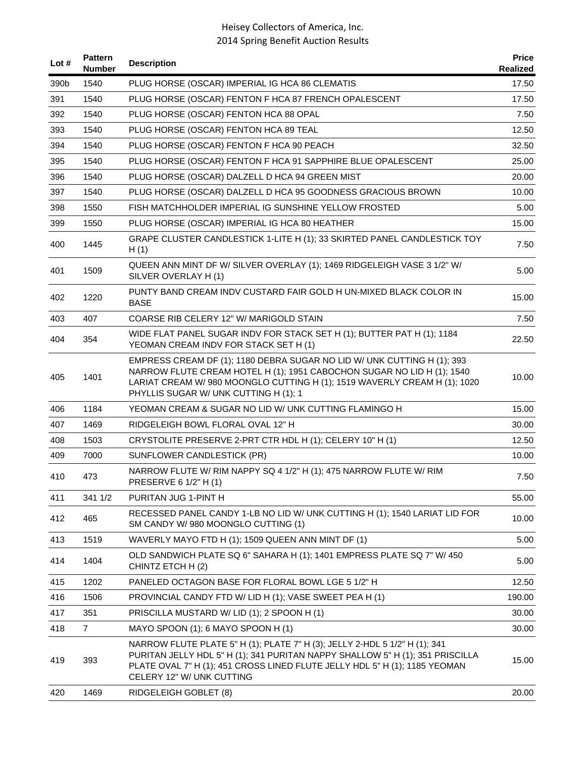| Lot # | <b>Pattern</b><br><b>Number</b> | <b>Description</b>                                                                                                                                                                                                                                                     | <b>Price</b><br>Realized |
|-------|---------------------------------|------------------------------------------------------------------------------------------------------------------------------------------------------------------------------------------------------------------------------------------------------------------------|--------------------------|
| 390b  | 1540                            | PLUG HORSE (OSCAR) IMPERIAL IG HCA 86 CLEMATIS                                                                                                                                                                                                                         | 17.50                    |
| 391   | 1540                            | PLUG HORSE (OSCAR) FENTON F HCA 87 FRENCH OPALESCENT                                                                                                                                                                                                                   | 17.50                    |
| 392   | 1540                            | PLUG HORSE (OSCAR) FENTON HCA 88 OPAL                                                                                                                                                                                                                                  | 7.50                     |
| 393   | 1540                            | PLUG HORSE (OSCAR) FENTON HCA 89 TEAL                                                                                                                                                                                                                                  | 12.50                    |
| 394   | 1540                            | PLUG HORSE (OSCAR) FENTON F HCA 90 PEACH                                                                                                                                                                                                                               | 32.50                    |
| 395   | 1540                            | PLUG HORSE (OSCAR) FENTON F HCA 91 SAPPHIRE BLUE OPALESCENT                                                                                                                                                                                                            | 25.00                    |
| 396   | 1540                            | PLUG HORSE (OSCAR) DALZELL D HCA 94 GREEN MIST                                                                                                                                                                                                                         | 20.00                    |
| 397   | 1540                            | PLUG HORSE (OSCAR) DALZELL D HCA 95 GOODNESS GRACIOUS BROWN                                                                                                                                                                                                            | 10.00                    |
| 398   | 1550                            | FISH MATCHHOLDER IMPERIAL IG SUNSHINE YELLOW FROSTED                                                                                                                                                                                                                   | 5.00                     |
| 399   | 1550                            | PLUG HORSE (OSCAR) IMPERIAL IG HCA 80 HEATHER                                                                                                                                                                                                                          | 15.00                    |
| 400   | 1445                            | GRAPE CLUSTER CANDLESTICK 1-LITE H (1); 33 SKIRTED PANEL CANDLESTICK TOY<br>H(1)                                                                                                                                                                                       | 7.50                     |
| 401   | 1509                            | QUEEN ANN MINT DF W/ SILVER OVERLAY (1); 1469 RIDGELEIGH VASE 3 1/2" W/<br>SILVER OVERLAY H (1)                                                                                                                                                                        | 5.00                     |
| 402   | 1220                            | PUNTY BAND CREAM INDV CUSTARD FAIR GOLD H UN-MIXED BLACK COLOR IN<br><b>BASE</b>                                                                                                                                                                                       | 15.00                    |
| 403   | 407                             | COARSE RIB CELERY 12" W/ MARIGOLD STAIN                                                                                                                                                                                                                                | 7.50                     |
| 404   | 354                             | WIDE FLAT PANEL SUGAR INDV FOR STACK SET H (1); BUTTER PAT H (1); 1184<br>YEOMAN CREAM INDV FOR STACK SET H (1)                                                                                                                                                        | 22.50                    |
| 405   | 1401                            | EMPRESS CREAM DF (1); 1180 DEBRA SUGAR NO LID W/ UNK CUTTING H (1); 393<br>NARROW FLUTE CREAM HOTEL H (1); 1951 CABOCHON SUGAR NO LID H (1); 1540<br>LARIAT CREAM W/980 MOONGLO CUTTING H (1); 1519 WAVERLY CREAM H (1); 1020<br>PHYLLIS SUGAR W/ UNK CUTTING H (1); 1 | 10.00                    |
| 406   | 1184                            | YEOMAN CREAM & SUGAR NO LID W/ UNK CUTTING FLAMINGO H                                                                                                                                                                                                                  | 15.00                    |
| 407   | 1469                            | RIDGELEIGH BOWL FLORAL OVAL 12" H                                                                                                                                                                                                                                      | 30.00                    |
| 408   | 1503                            | CRYSTOLITE PRESERVE 2-PRT CTR HDL H (1); CELERY 10" H (1)                                                                                                                                                                                                              | 12.50                    |
| 409   | 7000                            | SUNFLOWER CANDLESTICK (PR)                                                                                                                                                                                                                                             | 10.00                    |
| 410   | 473                             | NARROW FLUTE W/ RIM NAPPY SQ 4 1/2" H (1); 475 NARROW FLUTE W/ RIM<br>PRESERVE 6 1/2" H (1)                                                                                                                                                                            | 7.50                     |
| 411   | 341 1/2                         | PURITAN JUG 1-PINT H                                                                                                                                                                                                                                                   | 55.00                    |
| 412   | 465                             | RECESSED PANEL CANDY 1-LB NO LID W/ UNK CUTTING H (1); 1540 LARIAT LID FOR<br>SM CANDY W/ 980 MOONGLO CUTTING (1)                                                                                                                                                      | 10.00                    |
| 413   | 1519                            | WAVERLY MAYO FTD H (1); 1509 QUEEN ANN MINT DF (1)                                                                                                                                                                                                                     | 5.00                     |
| 414   | 1404                            | OLD SANDWICH PLATE SQ 6" SAHARA H (1); 1401 EMPRESS PLATE SQ 7" W/ 450<br>CHINTZ ETCH H (2)                                                                                                                                                                            | 5.00                     |
| 415   | 1202                            | PANELED OCTAGON BASE FOR FLORAL BOWL LGE 5 1/2" H                                                                                                                                                                                                                      | 12.50                    |
| 416   | 1506                            | PROVINCIAL CANDY FTD W/ LID H (1); VASE SWEET PEA H (1)                                                                                                                                                                                                                | 190.00                   |
| 417   | 351                             | PRISCILLA MUSTARD W/ LID (1); 2 SPOON H (1)                                                                                                                                                                                                                            | 30.00                    |
| 418   | $\overline{7}$                  | MAYO SPOON (1); 6 MAYO SPOON H (1)                                                                                                                                                                                                                                     | 30.00                    |
| 419   | 393                             | NARROW FLUTE PLATE 5" H (1); PLATE 7" H (3); JELLY 2-HDL 5 1/2" H (1); 341<br>PURITAN JELLY HDL 5" H (1); 341 PURITAN NAPPY SHALLOW 5" H (1); 351 PRISCILLA<br>PLATE OVAL 7" H (1); 451 CROSS LINED FLUTE JELLY HDL 5" H (1); 1185 YEOMAN<br>CELERY 12" W/ UNK CUTTING | 15.00                    |
| 420   | 1469                            | RIDGELEIGH GOBLET (8)                                                                                                                                                                                                                                                  | 20.00                    |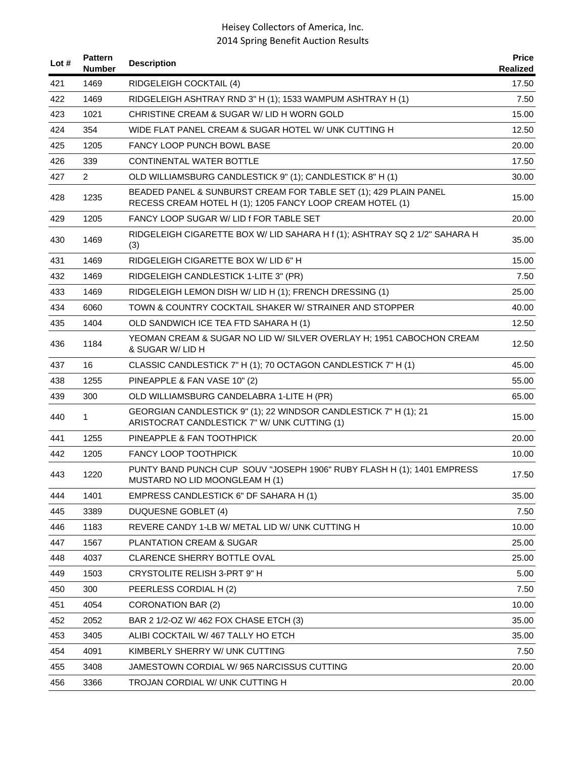| Lot # | <b>Pattern</b><br><b>Number</b> | <b>Description</b>                                                                                                            | <b>Price</b><br>Realized |
|-------|---------------------------------|-------------------------------------------------------------------------------------------------------------------------------|--------------------------|
| 421   | 1469                            | RIDGELEIGH COCKTAIL (4)                                                                                                       | 17.50                    |
| 422   | 1469                            | RIDGELEIGH ASHTRAY RND 3" H (1); 1533 WAMPUM ASHTRAY H (1)                                                                    | 7.50                     |
| 423   | 1021                            | CHRISTINE CREAM & SUGAR W/ LID H WORN GOLD                                                                                    | 15.00                    |
| 424   | 354                             | WIDE FLAT PANEL CREAM & SUGAR HOTEL W/ UNK CUTTING H                                                                          | 12.50                    |
| 425   | 1205                            | <b>FANCY LOOP PUNCH BOWL BASE</b>                                                                                             | 20.00                    |
| 426   | 339                             | CONTINENTAL WATER BOTTLE                                                                                                      | 17.50                    |
| 427   | 2                               | OLD WILLIAMSBURG CANDLESTICK 9" (1); CANDLESTICK 8" H (1)                                                                     | 30.00                    |
| 428   | 1235                            | BEADED PANEL & SUNBURST CREAM FOR TABLE SET (1); 429 PLAIN PANEL<br>RECESS CREAM HOTEL H (1); 1205 FANCY LOOP CREAM HOTEL (1) | 15.00                    |
| 429   | 1205                            | FANCY LOOP SUGAR W/ LID f FOR TABLE SET                                                                                       | 20.00                    |
| 430   | 1469                            | RIDGELEIGH CIGARETTE BOX W/ LID SAHARA H f (1); ASHTRAY SQ 2 1/2" SAHARA H<br>(3)                                             | 35.00                    |
| 431   | 1469                            | RIDGELEIGH CIGARETTE BOX W/ LID 6" H                                                                                          | 15.00                    |
| 432   | 1469                            | RIDGELEIGH CANDLESTICK 1-LITE 3" (PR)                                                                                         | 7.50                     |
| 433   | 1469                            | RIDGELEIGH LEMON DISH W/ LID H (1); FRENCH DRESSING (1)                                                                       | 25.00                    |
| 434   | 6060                            | TOWN & COUNTRY COCKTAIL SHAKER W/ STRAINER AND STOPPER                                                                        | 40.00                    |
| 435   | 1404                            | OLD SANDWICH ICE TEA FTD SAHARA H (1)                                                                                         | 12.50                    |
| 436   | 1184                            | YEOMAN CREAM & SUGAR NO LID W/ SILVER OVERLAY H; 1951 CABOCHON CREAM<br>& SUGAR W/ LID H                                      | 12.50                    |
| 437   | 16                              | CLASSIC CANDLESTICK 7" H (1); 70 OCTAGON CANDLESTICK 7" H (1)                                                                 | 45.00                    |
| 438   | 1255                            | PINEAPPLE & FAN VASE 10" (2)                                                                                                  | 55.00                    |
| 439   | 300                             | OLD WILLIAMSBURG CANDELABRA 1-LITE H (PR)                                                                                     | 65.00                    |
| 440   | 1                               | GEORGIAN CANDLESTICK 9" (1); 22 WINDSOR CANDLESTICK 7" H (1); 21<br>ARISTOCRAT CANDLESTICK 7" W/ UNK CUTTING (1)              | 15.00                    |
| 441   | 1255                            | PINEAPPLE & FAN TOOTHPICK                                                                                                     | 20.00                    |
| 442   | 1205                            | <b>FANCY LOOP TOOTHPICK</b>                                                                                                   | 10.00                    |
| 443   | 1220                            | PUNTY BAND PUNCH CUP SOUV "JOSEPH 1906" RUBY FLASH H (1); 1401 EMPRESS<br>MUSTARD NO LID MOONGLEAM H (1)                      | 17.50                    |
| 444   | 1401                            | EMPRESS CANDLESTICK 6" DF SAHARA H (1)                                                                                        | 35.00                    |
| 445   | 3389                            | DUQUESNE GOBLET (4)                                                                                                           | 7.50                     |
| 446   | 1183                            | REVERE CANDY 1-LB W/ METAL LID W/ UNK CUTTING H                                                                               | 10.00                    |
| 447   | 1567                            | PLANTATION CREAM & SUGAR                                                                                                      | 25.00                    |
| 448   | 4037                            | CLARENCE SHERRY BOTTLE OVAL                                                                                                   | 25.00                    |
| 449   | 1503                            | CRYSTOLITE RELISH 3-PRT 9" H                                                                                                  | 5.00                     |
| 450   | 300                             | PEERLESS CORDIAL H (2)                                                                                                        | 7.50                     |
| 451   | 4054                            | <b>CORONATION BAR (2)</b>                                                                                                     | 10.00                    |
| 452   | 2052                            | BAR 2 1/2-OZ W/ 462 FOX CHASE ETCH (3)                                                                                        | 35.00                    |
| 453   | 3405                            | ALIBI COCKTAIL W/467 TALLY HO ETCH                                                                                            | 35.00                    |
| 454   | 4091                            | KIMBERLY SHERRY W/ UNK CUTTING                                                                                                | 7.50                     |
| 455   | 3408                            | JAMESTOWN CORDIAL W/ 965 NARCISSUS CUTTING                                                                                    | 20.00                    |
| 456   | 3366                            | TROJAN CORDIAL W/ UNK CUTTING H                                                                                               | 20.00                    |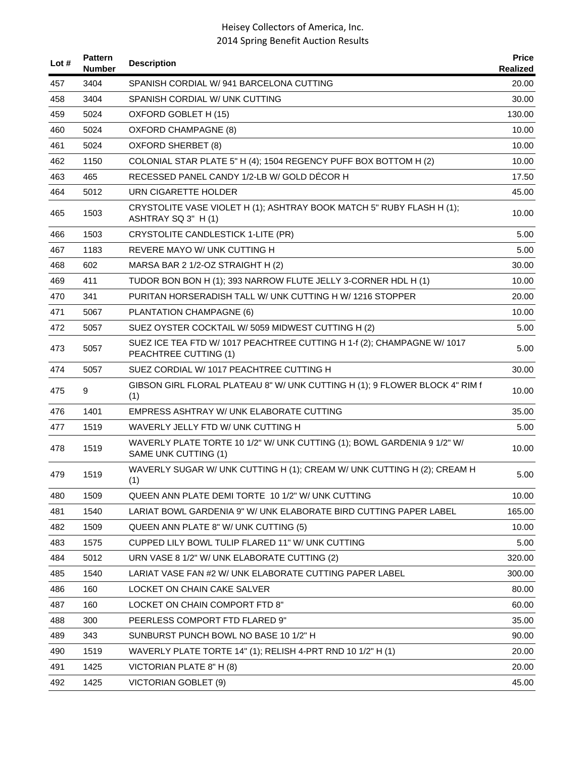| Lot # | <b>Pattern</b><br><b>Number</b> | <b>Description</b>                                                                               | <b>Price</b><br>Realized |
|-------|---------------------------------|--------------------------------------------------------------------------------------------------|--------------------------|
| 457   | 3404                            | SPANISH CORDIAL W/941 BARCELONA CUTTING                                                          | 20.00                    |
| 458   | 3404                            | SPANISH CORDIAL W/ UNK CUTTING                                                                   | 30.00                    |
| 459   | 5024                            | OXFORD GOBLET H (15)                                                                             | 130.00                   |
| 460   | 5024                            | <b>OXFORD CHAMPAGNE (8)</b>                                                                      | 10.00                    |
| 461   | 5024                            | OXFORD SHERBET (8)                                                                               | 10.00                    |
| 462   | 1150                            | COLONIAL STAR PLATE 5" H (4); 1504 REGENCY PUFF BOX BOTTOM H (2)                                 | 10.00                    |
| 463   | 465                             | RECESSED PANEL CANDY 1/2-LB W/ GOLD DÉCOR H                                                      | 17.50                    |
| 464   | 5012                            | URN CIGARETTE HOLDER                                                                             | 45.00                    |
| 465   | 1503                            | CRYSTOLITE VASE VIOLET H (1); ASHTRAY BOOK MATCH 5" RUBY FLASH H (1);<br>ASHTRAY SQ 3" H (1)     | 10.00                    |
| 466   | 1503                            | CRYSTOLITE CANDLESTICK 1-LITE (PR)                                                               | 5.00                     |
| 467   | 1183                            | <b>REVERE MAYO W/ UNK CUTTING H</b>                                                              | 5.00                     |
| 468   | 602                             | MARSA BAR 2 1/2-OZ STRAIGHT H (2)                                                                | 30.00                    |
| 469   | 411                             | TUDOR BON BON H (1); 393 NARROW FLUTE JELLY 3-CORNER HDL H (1)                                   | 10.00                    |
| 470   | 341                             | PURITAN HORSERADISH TALL W/ UNK CUTTING HW/1216 STOPPER                                          | 20.00                    |
| 471   | 5067                            | PLANTATION CHAMPAGNE (6)                                                                         | 10.00                    |
| 472   | 5057                            | SUEZ OYSTER COCKTAIL W/ 5059 MIDWEST CUTTING H (2)                                               | 5.00                     |
| 473   | 5057                            | SUEZ ICE TEA FTD W/ 1017 PEACHTREE CUTTING H 1-f (2); CHAMPAGNE W/ 1017<br>PEACHTREE CUTTING (1) | 5.00                     |
| 474   | 5057                            | SUEZ CORDIAL W/ 1017 PEACHTREE CUTTING H                                                         | 30.00                    |
| 475   | 9                               | GIBSON GIRL FLORAL PLATEAU 8" W/ UNK CUTTING H (1); 9 FLOWER BLOCK 4" RIM f<br>(1)               | 10.00                    |
| 476   | 1401                            | EMPRESS ASHTRAY W/ UNK ELABORATE CUTTING                                                         | 35.00                    |
| 477   | 1519                            | WAVERLY JELLY FTD W/ UNK CUTTING H                                                               | 5.00                     |
| 478   | 1519                            | WAVERLY PLATE TORTE 10 1/2" W/ UNK CUTTING (1); BOWL GARDENIA 9 1/2" W/<br>SAME UNK CUTTING (1)  | 10.00                    |
| 479   | 1519                            | WAVERLY SUGAR W/ UNK CUTTING H (1); CREAM W/ UNK CUTTING H (2); CREAM H<br>(1)                   | 5.00                     |
| 480   | 1509                            | QUEEN ANN PLATE DEMI TORTE 10 1/2" W/ UNK CUTTING                                                | 10.00                    |
| 481   | 1540                            | LARIAT BOWL GARDENIA 9" W/ UNK ELABORATE BIRD CUTTING PAPER LABEL                                | 165.00                   |
| 482   | 1509                            | QUEEN ANN PLATE 8" W/ UNK CUTTING (5)                                                            | 10.00                    |
| 483   | 1575                            | CUPPED LILY BOWL TULIP FLARED 11" W/ UNK CUTTING                                                 | 5.00                     |
| 484   | 5012                            | URN VASE 8 1/2" W/ UNK ELABORATE CUTTING (2)                                                     | 320.00                   |
| 485   | 1540                            | LARIAT VASE FAN #2 W/ UNK ELABORATE CUTTING PAPER LABEL                                          | 300.00                   |
| 486   | 160                             | LOCKET ON CHAIN CAKE SALVER                                                                      | 80.00                    |
| 487   | 160                             | LOCKET ON CHAIN COMPORT FTD 8"                                                                   | 60.00                    |
| 488   | 300                             | PEERLESS COMPORT FTD FLARED 9"                                                                   | 35.00                    |
| 489   | 343                             | SUNBURST PUNCH BOWL NO BASE 10 1/2" H                                                            | 90.00                    |
| 490   | 1519                            | WAVERLY PLATE TORTE 14" (1); RELISH 4-PRT RND 10 1/2" H (1)                                      | 20.00                    |
| 491   | 1425                            | VICTORIAN PLATE 8" H (8)                                                                         | 20.00                    |
| 492   | 1425                            | VICTORIAN GOBLET (9)                                                                             | 45.00                    |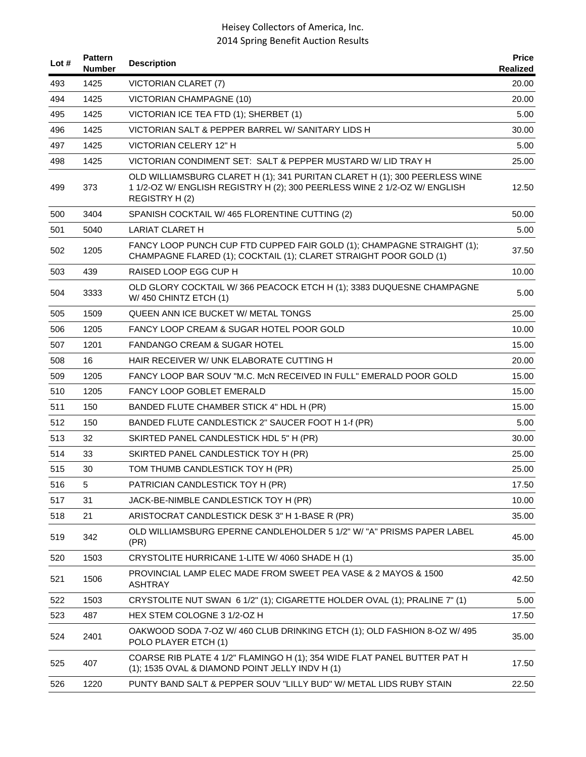| Lot $#$ | <b>Pattern</b><br><b>Number</b> | <b>Description</b>                                                                                                                                                       | <b>Price</b><br><b>Realized</b> |
|---------|---------------------------------|--------------------------------------------------------------------------------------------------------------------------------------------------------------------------|---------------------------------|
| 493     | 1425                            | VICTORIAN CLARET (7)                                                                                                                                                     | 20.00                           |
| 494     | 1425                            | <b>VICTORIAN CHAMPAGNE (10)</b>                                                                                                                                          | 20.00                           |
| 495     | 1425                            | VICTORIAN ICE TEA FTD (1); SHERBET (1)                                                                                                                                   | 5.00                            |
| 496     | 1425                            | VICTORIAN SALT & PEPPER BARREL W/ SANITARY LIDS H                                                                                                                        | 30.00                           |
| 497     | 1425                            | VICTORIAN CELERY 12" H                                                                                                                                                   | 5.00                            |
| 498     | 1425                            | VICTORIAN CONDIMENT SET: SALT & PEPPER MUSTARD W/ LID TRAY H                                                                                                             | 25.00                           |
| 499     | 373                             | OLD WILLIAMSBURG CLARET H (1); 341 PURITAN CLARET H (1); 300 PEERLESS WINE<br>1 1/2-OZ W/ ENGLISH REGISTRY H (2); 300 PEERLESS WINE 2 1/2-OZ W/ ENGLISH<br>REGISTRY H(2) | 12.50                           |
| 500     | 3404                            | SPANISH COCKTAIL W/465 FLORENTINE CUTTING (2)                                                                                                                            | 50.00                           |
| 501     | 5040                            | <b>LARIAT CLARET H</b>                                                                                                                                                   | 5.00                            |
| 502     | 1205                            | FANCY LOOP PUNCH CUP FTD CUPPED FAIR GOLD (1); CHAMPAGNE STRAIGHT (1);<br>CHAMPAGNE FLARED (1); COCKTAIL (1); CLARET STRAIGHT POOR GOLD (1)                              | 37.50                           |
| 503     | 439                             | RAISED LOOP EGG CUP H                                                                                                                                                    | 10.00                           |
| 504     | 3333                            | OLD GLORY COCKTAIL W/366 PEACOCK ETCH H (1); 3383 DUQUESNE CHAMPAGNE<br>W/ 450 CHINTZ ETCH (1)                                                                           | 5.00                            |
| 505     | 1509                            | QUEEN ANN ICE BUCKET W/ METAL TONGS                                                                                                                                      | 25.00                           |
| 506     | 1205                            | FANCY LOOP CREAM & SUGAR HOTEL POOR GOLD                                                                                                                                 | 10.00                           |
| 507     | 1201                            | <b>FANDANGO CREAM &amp; SUGAR HOTEL</b>                                                                                                                                  | 15.00                           |
| 508     | 16                              | HAIR RECEIVER W/ UNK ELABORATE CUTTING H                                                                                                                                 | 20.00                           |
| 509     | 1205                            | FANCY LOOP BAR SOUV "M.C. McN RECEIVED IN FULL" EMERALD POOR GOLD                                                                                                        | 15.00                           |
| 510     | 1205                            | FANCY LOOP GOBLET EMERALD                                                                                                                                                | 15.00                           |
| 511     | 150                             | BANDED FLUTE CHAMBER STICK 4" HDL H (PR)                                                                                                                                 | 15.00                           |
| 512     | 150                             | BANDED FLUTE CANDLESTICK 2" SAUCER FOOT H 1-f (PR)                                                                                                                       | 5.00                            |
| 513     | 32                              | SKIRTED PANEL CANDLESTICK HDL 5" H (PR)                                                                                                                                  | 30.00                           |
| 514     | 33                              | SKIRTED PANEL CANDLESTICK TOY H (PR)                                                                                                                                     | 25.00                           |
| 515     | 30                              | TOM THUMB CANDLESTICK TOY H (PR)                                                                                                                                         | 25.00                           |
| 516     | 5                               | PATRICIAN CANDLESTICK TOY H (PR)                                                                                                                                         | 17.50                           |
| 517     | 31                              | JACK-BE-NIMBLE CANDLESTICK TOY H (PR)                                                                                                                                    | 10.00                           |
| 518     | 21                              | ARISTOCRAT CANDLESTICK DESK 3" H 1-BASE R (PR)                                                                                                                           | 35.00                           |
| 519     | 342                             | OLD WILLIAMSBURG EPERNE CANDLEHOLDER 5 1/2" W/ "A" PRISMS PAPER LABEL<br>(PR)                                                                                            | 45.00                           |
| 520     | 1503                            | CRYSTOLITE HURRICANE 1-LITE W/ 4060 SHADE H (1)                                                                                                                          | 35.00                           |
| 521     | 1506                            | PROVINCIAL LAMP ELEC MADE FROM SWEET PEA VASE & 2 MAYOS & 1500<br><b>ASHTRAY</b>                                                                                         | 42.50                           |
| 522     | 1503                            | CRYSTOLITE NUT SWAN 6 1/2" (1); CIGARETTE HOLDER OVAL (1); PRALINE 7" (1)                                                                                                | 5.00                            |
| 523     | 487                             | HEX STEM COLOGNE 3 1/2-OZ H                                                                                                                                              | 17.50                           |
| 524     | 2401                            | OAKWOOD SODA 7-OZ W/ 460 CLUB DRINKING ETCH (1); OLD FASHION 8-OZ W/ 495<br>POLO PLAYER ETCH (1)                                                                         | 35.00                           |
| 525     | 407                             | COARSE RIB PLATE 4 1/2" FLAMINGO H (1); 354 WIDE FLAT PANEL BUTTER PAT H<br>(1); 1535 OVAL & DIAMOND POINT JELLY INDV H (1)                                              | 17.50                           |
| 526     | 1220                            | PUNTY BAND SALT & PEPPER SOUV "LILLY BUD" W/ METAL LIDS RUBY STAIN                                                                                                       | 22.50                           |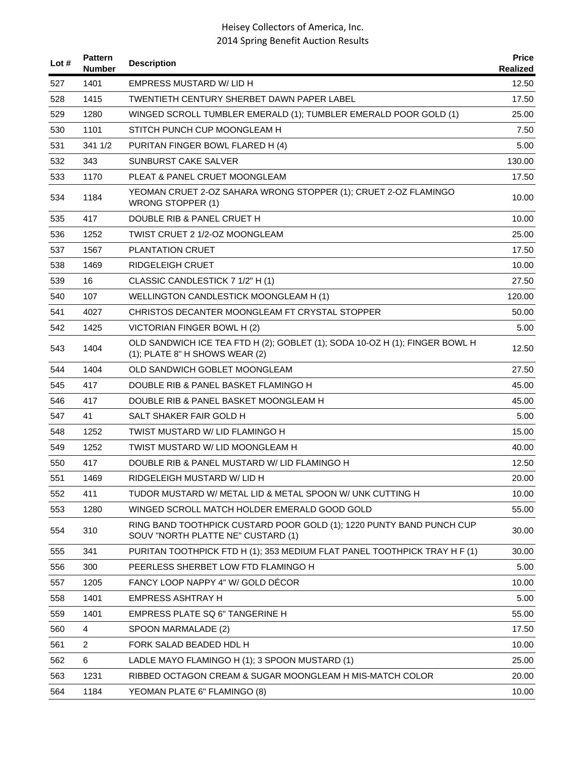| Lot # | <b>Pattern</b><br><b>Number</b> | <b>Description</b>                                                                                            | <b>Price</b><br>Realized |
|-------|---------------------------------|---------------------------------------------------------------------------------------------------------------|--------------------------|
| 527   | 1401                            | <b>EMPRESS MUSTARD W/ LID H</b>                                                                               | 12.50                    |
| 528   | 1415                            | <b>TWENTIETH CENTURY SHERBET DAWN PAPER LABEL</b>                                                             | 17.50                    |
| 529   | 1280                            | WINGED SCROLL TUMBLER EMERALD (1); TUMBLER EMERALD POOR GOLD (1)                                              | 25.00                    |
| 530   | 1101                            | STITCH PUNCH CUP MOONGLEAM H                                                                                  | 7.50                     |
| 531   | 341 1/2                         | PURITAN FINGER BOWL FLARED H (4)                                                                              | 5.00                     |
| 532   | 343                             | <b>SUNBURST CAKE SALVER</b>                                                                                   | 130.00                   |
| 533   | 1170                            | PLEAT & PANEL CRUET MOONGLEAM                                                                                 | 17.50                    |
| 534   | 1184                            | YEOMAN CRUET 2-OZ SAHARA WRONG STOPPER (1); CRUET 2-OZ FLAMINGO<br><b>WRONG STOPPER (1)</b>                   | 10.00                    |
| 535   | 417                             | DOUBLE RIB & PANEL CRUET H                                                                                    | 10.00                    |
| 536   | 1252                            | TWIST CRUET 2 1/2-OZ MOONGLEAM                                                                                | 25.00                    |
| 537   | 1567                            | <b>PLANTATION CRUET</b>                                                                                       | 17.50                    |
| 538   | 1469                            | RIDGELEIGH CRUET                                                                                              | 10.00                    |
| 539   | 16                              | CLASSIC CANDLESTICK 7 1/2" H (1)                                                                              | 27.50                    |
| 540   | 107                             | WELLINGTON CANDLESTICK MOONGLEAM H (1)                                                                        | 120.00                   |
| 541   | 4027                            | CHRISTOS DECANTER MOONGLEAM FT CRYSTAL STOPPER                                                                | 50.00                    |
| 542   | 1425                            | VICTORIAN FINGER BOWL H (2)                                                                                   | 5.00                     |
| 543   | 1404                            | OLD SANDWICH ICE TEA FTD H (2); GOBLET (1); SODA 10-OZ H (1); FINGER BOWL H<br>(1); PLATE 8" H SHOWS WEAR (2) | 12.50                    |
| 544   | 1404                            | OLD SANDWICH GOBLET MOONGLEAM                                                                                 | 27.50                    |
| 545   | 417                             | DOUBLE RIB & PANEL BASKET FLAMINGO H                                                                          | 45.00                    |
| 546   | 417                             | DOUBLE RIB & PANEL BASKET MOONGLEAM H                                                                         | 45.00                    |
| 547   | 41                              | SALT SHAKER FAIR GOLD H                                                                                       | 5.00                     |
| 548   | 1252                            | TWIST MUSTARD W/ LID FLAMINGO H                                                                               | 15.00                    |
| 549   | 1252                            | TWIST MUSTARD W/ LID MOONGLEAM H                                                                              | 40.00                    |
| 550   | 417                             | DOUBLE RIB & PANEL MUSTARD W/ LID FLAMINGO H                                                                  | 12.50                    |
| 551   | 1469                            | RIDGELEIGH MUSTARD W/ LID H                                                                                   | 20.00                    |
| 552   | 411                             | TUDOR MUSTARD W/ METAL LID & METAL SPOON W/ UNK CUTTING H                                                     | 10.00                    |
| 553   | 1280                            | WINGED SCROLL MATCH HOLDER EMERALD GOOD GOLD                                                                  | 55.00                    |
| 554   | 310                             | RING BAND TOOTHPICK CUSTARD POOR GOLD (1); 1220 PUNTY BAND PUNCH CUP<br>SOUV "NORTH PLATTE NE" CUSTARD (1)    | 30.00                    |
| 555   | 341                             | PURITAN TOOTHPICK FTD H (1); 353 MEDIUM FLAT PANEL TOOTHPICK TRAY H F (1)                                     | 30.00                    |
| 556   | 300                             | PEERLESS SHERBET LOW FTD FLAMINGO H                                                                           | 5.00                     |
| 557   | 1205                            | FANCY LOOP NAPPY 4" W/ GOLD DÉCOR                                                                             | 10.00                    |
| 558   | 1401                            | <b>EMPRESS ASHTRAY H</b>                                                                                      | 5.00                     |
| 559   | 1401                            | EMPRESS PLATE SQ 6" TANGERINE H                                                                               | 55.00                    |
| 560   | 4                               | SPOON MARMALADE (2)                                                                                           | 17.50                    |
| 561   | $\overline{2}$                  | FORK SALAD BEADED HDL H                                                                                       | 10.00                    |
| 562   | 6                               | LADLE MAYO FLAMINGO H (1); 3 SPOON MUSTARD (1)                                                                | 25.00                    |
| 563   | 1231                            | RIBBED OCTAGON CREAM & SUGAR MOONGLEAM H MIS-MATCH COLOR                                                      | 20.00                    |
| 564   | 1184                            | YEOMAN PLATE 6" FLAMINGO (8)                                                                                  | 10.00                    |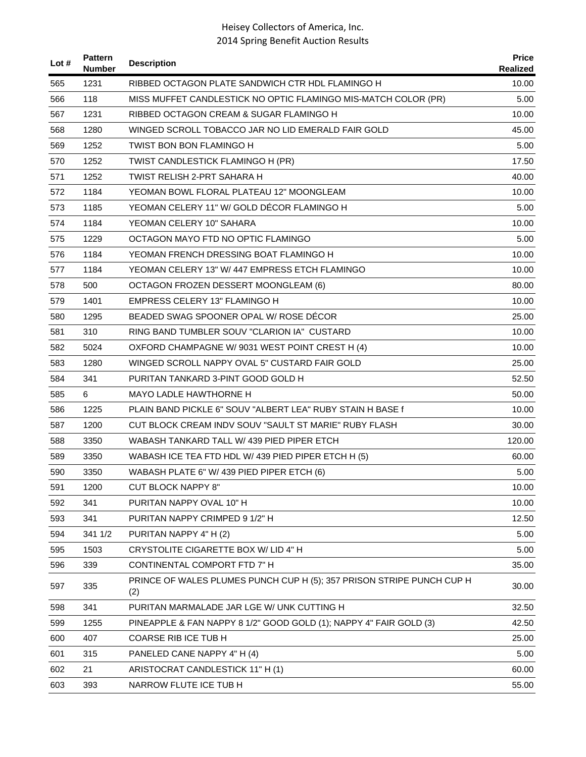| Lot # | <b>Pattern</b><br><b>Number</b> | <b>Description</b>                                                           | <b>Price</b><br>Realized |
|-------|---------------------------------|------------------------------------------------------------------------------|--------------------------|
| 565   | 1231                            | RIBBED OCTAGON PLATE SANDWICH CTR HDL FLAMINGO H                             | 10.00                    |
| 566   | 118                             | MISS MUFFET CANDLESTICK NO OPTIC FLAMINGO MIS-MATCH COLOR (PR)               | 5.00                     |
| 567   | 1231                            | RIBBED OCTAGON CREAM & SUGAR FLAMINGO H                                      | 10.00                    |
| 568   | 1280                            | WINGED SCROLL TOBACCO JAR NO LID EMERALD FAIR GOLD                           | 45.00                    |
| 569   | 1252                            | TWIST BON BON FLAMINGO H                                                     | 5.00                     |
| 570   | 1252                            | TWIST CANDLESTICK FLAMINGO H (PR)                                            | 17.50                    |
| 571   | 1252                            | TWIST RELISH 2-PRT SAHARA H                                                  | 40.00                    |
| 572   | 1184                            | YEOMAN BOWL FLORAL PLATEAU 12" MOONGLEAM                                     | 10.00                    |
| 573   | 1185                            | YEOMAN CELERY 11" W/ GOLD DÉCOR FLAMINGO H                                   | 5.00                     |
| 574   | 1184                            | YEOMAN CELERY 10" SAHARA                                                     | 10.00                    |
| 575   | 1229                            | OCTAGON MAYO FTD NO OPTIC FLAMINGO                                           | 5.00                     |
| 576   | 1184                            | YEOMAN FRENCH DRESSING BOAT FLAMINGO H                                       | 10.00                    |
| 577   | 1184                            | YEOMAN CELERY 13" W/ 447 EMPRESS ETCH FLAMINGO                               | 10.00                    |
| 578   | 500                             | OCTAGON FROZEN DESSERT MOONGLEAM (6)                                         | 80.00                    |
| 579   | 1401                            | <b>EMPRESS CELERY 13" FLAMINGO H</b>                                         | 10.00                    |
| 580   | 1295                            | BEADED SWAG SPOONER OPAL W/ ROSE DÉCOR                                       | 25.00                    |
| 581   | 310                             | RING BAND TUMBLER SOUV "CLARION IA" CUSTARD                                  | 10.00                    |
| 582   | 5024                            | OXFORD CHAMPAGNE W/ 9031 WEST POINT CREST H (4)                              | 10.00                    |
| 583   | 1280                            | WINGED SCROLL NAPPY OVAL 5" CUSTARD FAIR GOLD                                | 25.00                    |
| 584   | 341                             | PURITAN TANKARD 3-PINT GOOD GOLD H                                           | 52.50                    |
| 585   | 6                               | <b>MAYO LADLE HAWTHORNE H</b>                                                | 50.00                    |
| 586   | 1225                            | PLAIN BAND PICKLE 6" SOUV "ALBERT LEA" RUBY STAIN H BASE f                   | 10.00                    |
| 587   | 1200                            | CUT BLOCK CREAM INDV SOUV "SAULT ST MARIE" RUBY FLASH                        | 30.00                    |
| 588   | 3350                            | WABASH TANKARD TALL W/ 439 PIED PIPER ETCH                                   | 120.00                   |
| 589   | 3350                            | WABASH ICE TEA FTD HDL W/ 439 PIED PIPER ETCH H (5)                          | 60.00                    |
| 590   | 3350                            | WABASH PLATE 6" W/ 439 PIED PIPER ETCH (6)                                   | 5.00                     |
| 591   | 1200                            | <b>CUT BLOCK NAPPY 8"</b>                                                    | 10.00                    |
| 592   | 341                             | PURITAN NAPPY OVAL 10" H                                                     | 10.00                    |
| 593   | 341                             | PURITAN NAPPY CRIMPED 9 1/2" H                                               | 12.50                    |
| 594   | 341 1/2                         | PURITAN NAPPY 4" H (2)                                                       | 5.00                     |
| 595   | 1503                            | CRYSTOLITE CIGARETTE BOX W/ LID 4" H                                         | 5.00                     |
| 596   | 339                             | CONTINENTAL COMPORT FTD 7" H                                                 | 35.00                    |
| 597   | 335                             | PRINCE OF WALES PLUMES PUNCH CUP H (5); 357 PRISON STRIPE PUNCH CUP H<br>(2) | 30.00                    |
| 598   | 341                             | PURITAN MARMALADE JAR LGE W/ UNK CUTTING H                                   | 32.50                    |
| 599   | 1255                            | PINEAPPLE & FAN NAPPY 8 1/2" GOOD GOLD (1); NAPPY 4" FAIR GOLD (3)           | 42.50                    |
| 600   | 407                             | COARSE RIB ICE TUB H                                                         | 25.00                    |
| 601   | 315                             | PANELED CANE NAPPY 4" H (4)                                                  | 5.00                     |
| 602   | 21                              | ARISTOCRAT CANDLESTICK 11" H (1)                                             | 60.00                    |
| 603   | 393                             | NARROW FLUTE ICE TUB H                                                       | 55.00                    |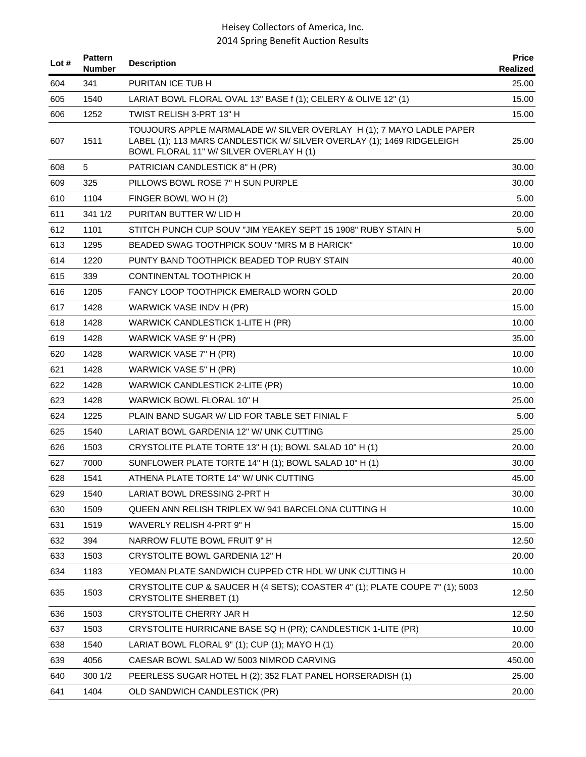| Lot $#$ | <b>Pattern</b><br><b>Number</b> | <b>Description</b>                                                                                                                                                                        | <b>Price</b><br>Realized |
|---------|---------------------------------|-------------------------------------------------------------------------------------------------------------------------------------------------------------------------------------------|--------------------------|
| 604     | 341                             | PURITAN ICE TUB H                                                                                                                                                                         | 25.00                    |
| 605     | 1540                            | LARIAT BOWL FLORAL OVAL 13" BASE f (1); CELERY & OLIVE 12" (1)                                                                                                                            | 15.00                    |
| 606     | 1252                            | TWIST RELISH 3-PRT 13" H                                                                                                                                                                  | 15.00                    |
| 607     | 1511                            | TOUJOURS APPLE MARMALADE W/ SILVER OVERLAY H (1); 7 MAYO LADLE PAPER<br>LABEL (1); 113 MARS CANDLESTICK W/ SILVER OVERLAY (1); 1469 RIDGELEIGH<br>BOWL FLORAL 11" W/ SILVER OVERLAY H (1) | 25.00                    |
| 608     | 5                               | PATRICIAN CANDLESTICK 8" H (PR)                                                                                                                                                           | 30.00                    |
| 609     | 325                             | PILLOWS BOWL ROSE 7" H SUN PURPLE                                                                                                                                                         | 30.00                    |
| 610     | 1104                            | FINGER BOWL WO H (2)                                                                                                                                                                      | 5.00                     |
| 611     | 341 1/2                         | PURITAN BUTTER W/ LID H                                                                                                                                                                   | 20.00                    |
| 612     | 1101                            | STITCH PUNCH CUP SOUV "JIM YEAKEY SEPT 15 1908" RUBY STAIN H                                                                                                                              | 5.00                     |
| 613     | 1295                            | BEADED SWAG TOOTHPICK SOUV "MRS M B HARICK"                                                                                                                                               | 10.00                    |
| 614     | 1220                            | PUNTY BAND TOOTHPICK BEADED TOP RUBY STAIN                                                                                                                                                | 40.00                    |
| 615     | 339                             | <b>CONTINENTAL TOOTHPICK H</b>                                                                                                                                                            | 20.00                    |
| 616     | 1205                            | <b>FANCY LOOP TOOTHPICK EMERALD WORN GOLD</b>                                                                                                                                             | 20.00                    |
| 617     | 1428                            | WARWICK VASE INDV H (PR)                                                                                                                                                                  | 15.00                    |
| 618     | 1428                            | WARWICK CANDLESTICK 1-LITE H (PR)                                                                                                                                                         | 10.00                    |
| 619     | 1428                            | WARWICK VASE 9" H (PR)                                                                                                                                                                    | 35.00                    |
| 620     | 1428                            | WARWICK VASE 7" H (PR)                                                                                                                                                                    | 10.00                    |
| 621     | 1428                            | WARWICK VASE 5" H (PR)                                                                                                                                                                    | 10.00                    |
| 622     | 1428                            | WARWICK CANDLESTICK 2-LITE (PR)                                                                                                                                                           | 10.00                    |
| 623     | 1428                            | WARWICK BOWL FLORAL 10" H                                                                                                                                                                 | 25.00                    |
| 624     | 1225                            | PLAIN BAND SUGAR W/ LID FOR TABLE SET FINIAL F                                                                                                                                            | 5.00                     |
| 625     | 1540                            | LARIAT BOWL GARDENIA 12" W/ UNK CUTTING                                                                                                                                                   | 25.00                    |
| 626     | 1503                            | CRYSTOLITE PLATE TORTE 13" H (1); BOWL SALAD 10" H (1)                                                                                                                                    | 20.00                    |
| 627     | 7000                            | SUNFLOWER PLATE TORTE 14" H (1); BOWL SALAD 10" H (1)                                                                                                                                     | 30.00                    |
| 628     | 1541                            | ATHENA PLATE TORTE 14" W/ UNK CUTTING                                                                                                                                                     | 45.00                    |
| 629     | 1540                            | LARIAT BOWL DRESSING 2-PRT H                                                                                                                                                              | 30.00                    |
| 630     | 1509                            | QUEEN ANN RELISH TRIPLEX W/941 BARCELONA CUTTING H                                                                                                                                        | 10.00                    |
| 631     | 1519                            | WAVERLY RELISH 4-PRT 9" H                                                                                                                                                                 | 15.00                    |
| 632     | 394                             | NARROW FLUTE BOWL FRUIT 9" H                                                                                                                                                              | 12.50                    |
| 633     | 1503                            | CRYSTOLITE BOWL GARDENIA 12" H                                                                                                                                                            | 20.00                    |
| 634     | 1183                            | YEOMAN PLATE SANDWICH CUPPED CTR HDL W/ UNK CUTTING H                                                                                                                                     | 10.00                    |
| 635     | 1503                            | CRYSTOLITE CUP & SAUCER H (4 SETS); COASTER 4" (1); PLATE COUPE 7" (1); 5003<br><b>CRYSTOLITE SHERBET (1)</b>                                                                             | 12.50                    |
| 636     | 1503                            | CRYSTOLITE CHERRY JAR H                                                                                                                                                                   | 12.50                    |
| 637     | 1503                            | CRYSTOLITE HURRICANE BASE SQ H (PR); CANDLESTICK 1-LITE (PR)                                                                                                                              | 10.00                    |
| 638     | 1540                            | LARIAT BOWL FLORAL 9" (1); CUP (1); MAYO H (1)                                                                                                                                            | 20.00                    |
| 639     | 4056                            | CAESAR BOWL SALAD W/ 5003 NIMROD CARVING                                                                                                                                                  | 450.00                   |
| 640     | 300 1/2                         | PEERLESS SUGAR HOTEL H (2); 352 FLAT PANEL HORSERADISH (1)                                                                                                                                | 25.00                    |
| 641     | 1404                            | OLD SANDWICH CANDLESTICK (PR)                                                                                                                                                             | 20.00                    |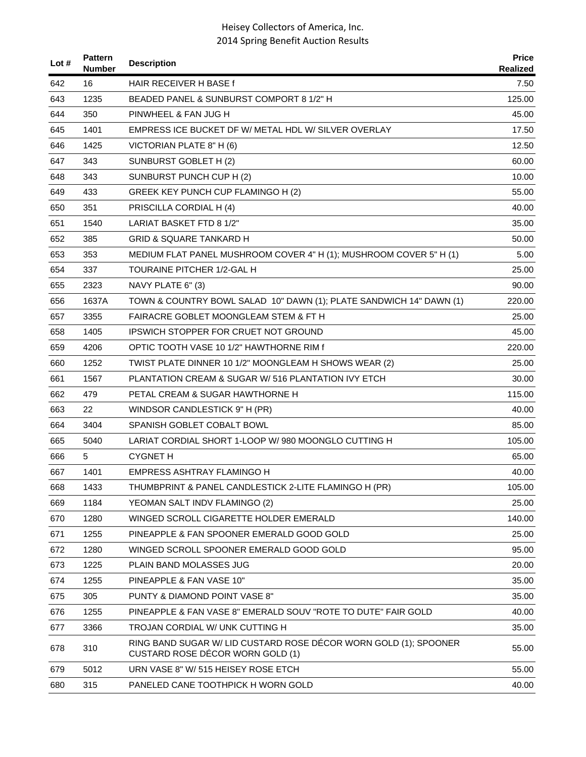| Lot $#$ | <b>Pattern</b><br><b>Number</b> | <b>Description</b>                                                                                   | <b>Price</b><br>Realized |
|---------|---------------------------------|------------------------------------------------------------------------------------------------------|--------------------------|
| 642     | 16                              | HAIR RECEIVER H BASE f                                                                               | 7.50                     |
| 643     | 1235                            | BEADED PANEL & SUNBURST COMPORT 8 1/2" H                                                             | 125.00                   |
| 644     | 350                             | PINWHEEL & FAN JUG H                                                                                 | 45.00                    |
| 645     | 1401                            | EMPRESS ICE BUCKET DF W/ METAL HDL W/ SILVER OVERLAY                                                 | 17.50                    |
| 646     | 1425                            | VICTORIAN PLATE 8" H (6)                                                                             | 12.50                    |
| 647     | 343                             | SUNBURST GOBLET H (2)                                                                                | 60.00                    |
| 648     | 343                             | SUNBURST PUNCH CUP H (2)                                                                             | 10.00                    |
| 649     | 433                             | GREEK KEY PUNCH CUP FLAMINGO H (2)                                                                   | 55.00                    |
| 650     | 351                             | PRISCILLA CORDIAL H (4)                                                                              | 40.00                    |
| 651     | 1540                            | LARIAT BASKET FTD 8 1/2"                                                                             | 35.00                    |
| 652     | 385                             | <b>GRID &amp; SQUARE TANKARD H</b>                                                                   | 50.00                    |
| 653     | 353                             | MEDIUM FLAT PANEL MUSHROOM COVER 4" H (1); MUSHROOM COVER 5" H (1)                                   | 5.00                     |
| 654     | 337                             | TOURAINE PITCHER 1/2-GAL H                                                                           | 25.00                    |
| 655     | 2323                            | NAVY PLATE 6" (3)                                                                                    | 90.00                    |
| 656     | 1637A                           | TOWN & COUNTRY BOWL SALAD 10" DAWN (1); PLATE SANDWICH 14" DAWN (1)                                  | 220.00                   |
| 657     | 3355                            | FAIRACRE GOBLET MOONGLEAM STEM & FT H                                                                | 25.00                    |
| 658     | 1405                            | <b>IPSWICH STOPPER FOR CRUET NOT GROUND</b>                                                          | 45.00                    |
| 659     | 4206                            | OPTIC TOOTH VASE 10 1/2" HAWTHORNE RIM f                                                             | 220.00                   |
| 660     | 1252                            | TWIST PLATE DINNER 10 1/2" MOONGLEAM H SHOWS WEAR (2)                                                | 25.00                    |
| 661     | 1567                            | PLANTATION CREAM & SUGAR W/ 516 PLANTATION IVY ETCH                                                  | 30.00                    |
| 662     | 479                             | PETAL CREAM & SUGAR HAWTHORNE H                                                                      | 115.00                   |
| 663     | 22                              | WINDSOR CANDLESTICK 9" H (PR)                                                                        | 40.00                    |
| 664     | 3404                            | SPANISH GOBLET COBALT BOWL                                                                           | 85.00                    |
| 665     | 5040                            | LARIAT CORDIAL SHORT 1-LOOP W/ 980 MOONGLO CUTTING H                                                 | 105.00                   |
| 666     | 5                               | <b>CYGNET H</b>                                                                                      | 65.00                    |
| 667     | 1401                            | EMPRESS ASHTRAY FLAMINGO H                                                                           | 40.00                    |
| 668     | 1433                            | THUMBPRINT & PANEL CANDLESTICK 2-LITE FLAMINGO H (PR)                                                | 105.00                   |
| 669     | 1184                            | YEOMAN SALT INDV FLAMINGO (2)                                                                        | 25.00                    |
| 670     | 1280                            | WINGED SCROLL CIGARETTE HOLDER EMERALD                                                               | 140.00                   |
| 671     | 1255                            | PINEAPPLE & FAN SPOONER EMERALD GOOD GOLD                                                            | 25.00                    |
| 672     | 1280                            | WINGED SCROLL SPOONER EMERALD GOOD GOLD                                                              | 95.00                    |
| 673     | 1225                            | PLAIN BAND MOLASSES JUG                                                                              | 20.00                    |
| 674     | 1255                            | PINEAPPLE & FAN VASE 10"                                                                             | 35.00                    |
| 675     | 305                             | PUNTY & DIAMOND POINT VASE 8"                                                                        | 35.00                    |
| 676     | 1255                            | PINEAPPLE & FAN VASE 8" EMERALD SOUV "ROTE TO DUTE" FAIR GOLD                                        | 40.00                    |
| 677     | 3366                            | TROJAN CORDIAL W/ UNK CUTTING H                                                                      | 35.00                    |
| 678     | 310                             | RING BAND SUGAR W/ LID CUSTARD ROSE DÉCOR WORN GOLD (1); SPOONER<br>CUSTARD ROSE DÉCOR WORN GOLD (1) | 55.00                    |
| 679     | 5012                            | URN VASE 8" W/ 515 HEISEY ROSE ETCH                                                                  | 55.00                    |
| 680     | 315                             | PANELED CANE TOOTHPICK H WORN GOLD                                                                   | 40.00                    |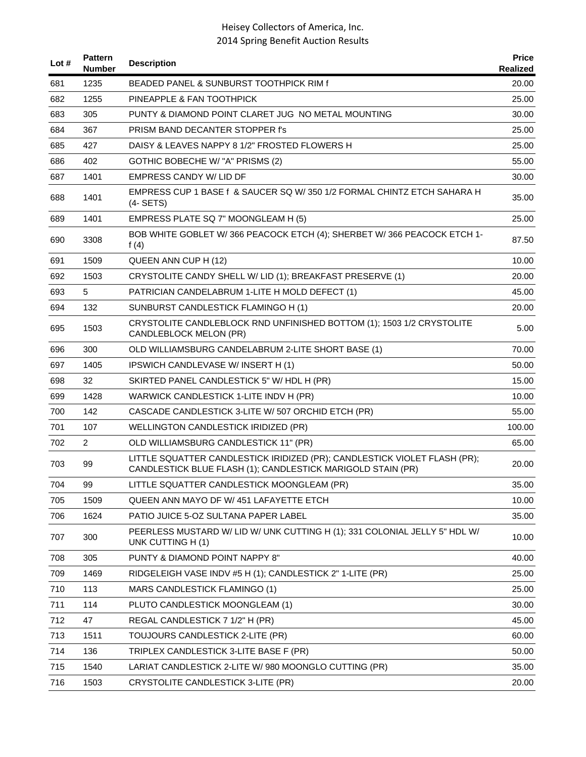| Lot # | <b>Pattern</b><br><b>Number</b> | <b>Description</b>                                                                                                                       | <b>Price</b><br>Realized |
|-------|---------------------------------|------------------------------------------------------------------------------------------------------------------------------------------|--------------------------|
| 681   | 1235                            | BEADED PANEL & SUNBURST TOOTHPICK RIM f                                                                                                  | 20.00                    |
| 682   | 1255                            | PINEAPPLE & FAN TOOTHPICK                                                                                                                | 25.00                    |
| 683   | 305                             | PUNTY & DIAMOND POINT CLARET JUG NO METAL MOUNTING                                                                                       | 30.00                    |
| 684   | 367                             | PRISM BAND DECANTER STOPPER f's                                                                                                          | 25.00                    |
| 685   | 427                             | DAISY & LEAVES NAPPY 8 1/2" FROSTED FLOWERS H                                                                                            | 25.00                    |
| 686   | 402                             | GOTHIC BOBECHE W/ "A" PRISMS (2)                                                                                                         | 55.00                    |
| 687   | 1401                            | <b>EMPRESS CANDY W/ LID DF</b>                                                                                                           | 30.00                    |
| 688   | 1401                            | EMPRESS CUP 1 BASE f & SAUCER SQ W/350 1/2 FORMAL CHINTZ ETCH SAHARA H<br>$(4-SETS)$                                                     | 35.00                    |
| 689   | 1401                            | EMPRESS PLATE SQ 7" MOONGLEAM H (5)                                                                                                      | 25.00                    |
| 690   | 3308                            | BOB WHITE GOBLET W/366 PEACOCK ETCH (4); SHERBET W/366 PEACOCK ETCH 1-<br>f $(4)$                                                        | 87.50                    |
| 691   | 1509                            | QUEEN ANN CUP H (12)                                                                                                                     | 10.00                    |
| 692   | 1503                            | CRYSTOLITE CANDY SHELL W/ LID (1); BREAKFAST PRESERVE (1)                                                                                | 20.00                    |
| 693   | 5                               | PATRICIAN CANDELABRUM 1-LITE H MOLD DEFECT (1)                                                                                           | 45.00                    |
| 694   | 132                             | SUNBURST CANDLESTICK FLAMINGO H (1)                                                                                                      | 20.00                    |
| 695   | 1503                            | CRYSTOLITE CANDLEBLOCK RND UNFINISHED BOTTOM (1); 1503 1/2 CRYSTOLITE<br>CANDLEBLOCK MELON (PR)                                          | 5.00                     |
| 696   | 300                             | OLD WILLIAMSBURG CANDELABRUM 2-LITE SHORT BASE (1)                                                                                       | 70.00                    |
| 697   | 1405                            | IPSWICH CANDLEVASE W/ INSERT H (1)                                                                                                       | 50.00                    |
| 698   | 32                              | SKIRTED PANEL CANDLESTICK 5" W/ HDL H (PR)                                                                                               | 15.00                    |
| 699   | 1428                            | WARWICK CANDLESTICK 1-LITE INDV H (PR)                                                                                                   | 10.00                    |
| 700   | 142                             | CASCADE CANDLESTICK 3-LITE W/ 507 ORCHID ETCH (PR)                                                                                       | 55.00                    |
| 701   | 107                             | WELLINGTON CANDLESTICK IRIDIZED (PR)                                                                                                     | 100.00                   |
| 702   | 2                               | OLD WILLIAMSBURG CANDLESTICK 11" (PR)                                                                                                    | 65.00                    |
| 703   | 99                              | LITTLE SQUATTER CANDLESTICK IRIDIZED (PR); CANDLESTICK VIOLET FLASH (PR);<br>CANDLESTICK BLUE FLASH (1); CANDLESTICK MARIGOLD STAIN (PR) | 20.00                    |
| 704   | 99                              | LITTLE SQUATTER CANDLESTICK MOONGLEAM (PR)                                                                                               | 35.00                    |
| 705   | 1509                            | QUEEN ANN MAYO DF W/ 451 LAFAYETTE ETCH                                                                                                  | 10.00                    |
| 706   | 1624                            | PATIO JUICE 5-OZ SULTANA PAPER LABEL                                                                                                     | 35.00                    |
| 707   | 300                             | PEERLESS MUSTARD W/ LID W/ UNK CUTTING H (1); 331 COLONIAL JELLY 5" HDL W/<br>UNK CUTTING H (1)                                          | 10.00                    |
| 708   | 305                             | PUNTY & DIAMOND POINT NAPPY 8"                                                                                                           | 40.00                    |
| 709   | 1469                            | RIDGELEIGH VASE INDV #5 H (1); CANDLESTICK 2" 1-LITE (PR)                                                                                | 25.00                    |
| 710   | 113                             | MARS CANDLESTICK FLAMINGO (1)                                                                                                            | 25.00                    |
| 711   | 114                             | PLUTO CANDLESTICK MOONGLEAM (1)                                                                                                          | 30.00                    |
| 712   | 47                              | REGAL CANDLESTICK 7 1/2" H (PR)                                                                                                          | 45.00                    |
| 713   | 1511                            | TOUJOURS CANDLESTICK 2-LITE (PR)                                                                                                         | 60.00                    |
| 714   | 136                             | TRIPLEX CANDLESTICK 3-LITE BASE F (PR)                                                                                                   | 50.00                    |
| 715   | 1540                            | LARIAT CANDLESTICK 2-LITE W/ 980 MOONGLO CUTTING (PR)                                                                                    | 35.00                    |
| 716   | 1503                            | CRYSTOLITE CANDLESTICK 3-LITE (PR)                                                                                                       | 20.00                    |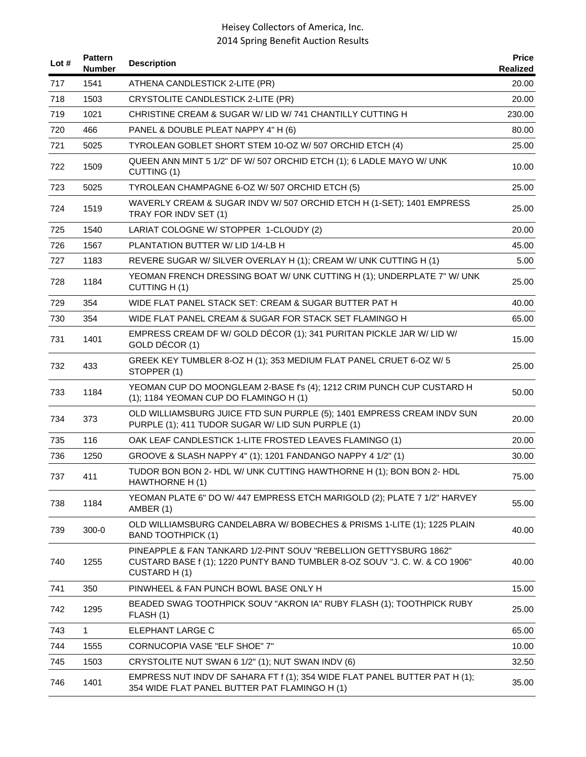| Lot # | <b>Pattern</b><br><b>Number</b> | <b>Description</b>                                                                                                                                              | <b>Price</b><br>Realized |
|-------|---------------------------------|-----------------------------------------------------------------------------------------------------------------------------------------------------------------|--------------------------|
| 717   | 1541                            | ATHENA CANDLESTICK 2-LITE (PR)                                                                                                                                  | 20.00                    |
| 718   | 1503                            | CRYSTOLITE CANDLESTICK 2-LITE (PR)                                                                                                                              | 20.00                    |
| 719   | 1021                            | CHRISTINE CREAM & SUGAR W/ LID W/ 741 CHANTILLY CUTTING H                                                                                                       | 230.00                   |
| 720   | 466                             | PANEL & DOUBLE PLEAT NAPPY 4" H (6)                                                                                                                             | 80.00                    |
| 721   | 5025                            | TYROLEAN GOBLET SHORT STEM 10-OZ W/ 507 ORCHID ETCH (4)                                                                                                         | 25.00                    |
| 722   | 1509                            | QUEEN ANN MINT 5 1/2" DF W/ 507 ORCHID ETCH (1); 6 LADLE MAYO W/ UNK<br>CUTTING (1)                                                                             | 10.00                    |
| 723   | 5025                            | TYROLEAN CHAMPAGNE 6-OZ W/ 507 ORCHID ETCH (5)                                                                                                                  | 25.00                    |
| 724   | 1519                            | WAVERLY CREAM & SUGAR INDV W/ 507 ORCHID ETCH H (1-SET); 1401 EMPRESS<br>TRAY FOR INDV SET (1)                                                                  | 25.00                    |
| 725   | 1540                            | LARIAT COLOGNE W/ STOPPER 1-CLOUDY (2)                                                                                                                          | 20.00                    |
| 726   | 1567                            | PLANTATION BUTTER W/LID 1/4-LB H                                                                                                                                | 45.00                    |
| 727   | 1183                            | REVERE SUGAR W/ SILVER OVERLAY H (1); CREAM W/ UNK CUTTING H (1)                                                                                                | 5.00                     |
| 728   | 1184                            | YEOMAN FRENCH DRESSING BOAT W/ UNK CUTTING H (1); UNDERPLATE 7" W/ UNK<br>CUTTING H(1)                                                                          | 25.00                    |
| 729   | 354                             | WIDE FLAT PANEL STACK SET: CREAM & SUGAR BUTTER PAT H                                                                                                           | 40.00                    |
| 730   | 354                             | WIDE FLAT PANEL CREAM & SUGAR FOR STACK SET FLAMINGO H                                                                                                          | 65.00                    |
| 731   | 1401                            | EMPRESS CREAM DF W/ GOLD DÉCOR (1); 341 PURITAN PICKLE JAR W/ LID W/<br>GOLD DÉCOR (1)                                                                          | 15.00                    |
| 732   | 433                             | GREEK KEY TUMBLER 8-OZ H (1); 353 MEDIUM FLAT PANEL CRUET 6-OZ W/ 5<br>STOPPER (1)                                                                              | 25.00                    |
| 733   | 1184                            | YEOMAN CUP DO MOONGLEAM 2-BASE f's (4); 1212 CRIM PUNCH CUP CUSTARD H<br>(1); 1184 YEOMAN CUP DO FLAMINGO H (1)                                                 | 50.00                    |
| 734   | 373                             | OLD WILLIAMSBURG JUICE FTD SUN PURPLE (5); 1401 EMPRESS CREAM INDV SUN<br>PURPLE (1); 411 TUDOR SUGAR W/ LID SUN PURPLE (1)                                     | 20.00                    |
| 735   | 116                             | OAK LEAF CANDLESTICK 1-LITE FROSTED LEAVES FLAMINGO (1)                                                                                                         | 20.00                    |
| 736   | 1250                            | GROOVE & SLASH NAPPY 4" (1); 1201 FANDANGO NAPPY 4 1/2" (1)                                                                                                     | 30.00                    |
| 737   | 411                             | TUDOR BON BON 2- HDL W/ UNK CUTTING HAWTHORNE H (1); BON BON 2- HDL<br>HAWTHORNE H(1)                                                                           | 75.00                    |
| 738   | 1184                            | YEOMAN PLATE 6" DO W/ 447 EMPRESS ETCH MARIGOLD (2); PLATE 7 1/2" HARVEY<br>AMBER (1)                                                                           | 55.00                    |
| 739   | $300-0$                         | OLD WILLIAMSBURG CANDELABRA W/ BOBECHES & PRISMS 1-LITE (1); 1225 PLAIN<br><b>BAND TOOTHPICK (1)</b>                                                            | 40.00                    |
| 740   | 1255                            | PINEAPPLE & FAN TANKARD 1/2-PINT SOUV "REBELLION GETTYSBURG 1862"<br>CUSTARD BASE f (1); 1220 PUNTY BAND TUMBLER 8-OZ SOUV "J. C. W. & CO 1906"<br>CUSTARD H(1) | 40.00                    |
| 741   | 350                             | PINWHEEL & FAN PUNCH BOWL BASE ONLY H                                                                                                                           | 15.00                    |
| 742   | 1295                            | BEADED SWAG TOOTHPICK SOUV "AKRON IA" RUBY FLASH (1); TOOTHPICK RUBY<br>FLASH (1)                                                                               | 25.00                    |
| 743   | $\mathbf{1}$                    | ELEPHANT LARGE C                                                                                                                                                | 65.00                    |
| 744   | 1555                            | CORNUCOPIA VASE "ELF SHOE" 7"                                                                                                                                   | 10.00                    |
| 745   | 1503                            | CRYSTOLITE NUT SWAN 6 1/2" (1); NUT SWAN INDV (6)                                                                                                               | 32.50                    |
| 746   | 1401                            | EMPRESS NUT INDV DF SAHARA FT f (1); 354 WIDE FLAT PANEL BUTTER PAT H (1);<br>354 WIDE FLAT PANEL BUTTER PAT FLAMINGO H (1)                                     | 35.00                    |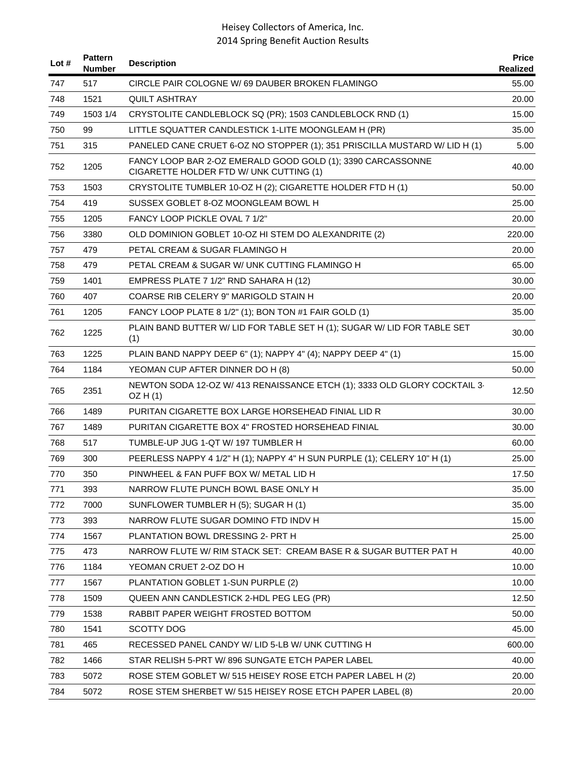| Lot $#$ | <b>Pattern</b><br><b>Number</b> | <b>Description</b>                                                                                     | <b>Price</b><br><b>Realized</b> |
|---------|---------------------------------|--------------------------------------------------------------------------------------------------------|---------------------------------|
| 747     | 517                             | CIRCLE PAIR COLOGNE W/69 DAUBER BROKEN FLAMINGO                                                        | 55.00                           |
| 748     | 1521                            | QUILT ASHTRAY                                                                                          | 20.00                           |
| 749     | 1503 1/4                        | CRYSTOLITE CANDLEBLOCK SQ (PR); 1503 CANDLEBLOCK RND (1)                                               | 15.00                           |
| 750     | 99                              | LITTLE SQUATTER CANDLESTICK 1-LITE MOONGLEAM H (PR)                                                    | 35.00                           |
| 751     | 315                             | PANELED CANE CRUET 6-OZ NO STOPPER (1); 351 PRISCILLA MUSTARD W/ LID H (1)                             | 5.00                            |
| 752     | 1205                            | FANCY LOOP BAR 2-OZ EMERALD GOOD GOLD (1); 3390 CARCASSONNE<br>CIGARETTE HOLDER FTD W/ UNK CUTTING (1) | 40.00                           |
| 753     | 1503                            | CRYSTOLITE TUMBLER 10-OZ H (2); CIGARETTE HOLDER FTD H (1)                                             | 50.00                           |
| 754     | 419                             | SUSSEX GOBLET 8-OZ MOONGLEAM BOWL H                                                                    | 25.00                           |
| 755     | 1205                            | FANCY LOOP PICKLE OVAL 7 1/2"                                                                          | 20.00                           |
| 756     | 3380                            | OLD DOMINION GOBLET 10-OZ HI STEM DO ALEXANDRITE (2)                                                   | 220.00                          |
| 757     | 479                             | PETAL CREAM & SUGAR FLAMINGO H                                                                         | 20.00                           |
| 758     | 479                             | PETAL CREAM & SUGAR W/ UNK CUTTING FLAMINGO H                                                          | 65.00                           |
| 759     | 1401                            | EMPRESS PLATE 7 1/2" RND SAHARA H (12)                                                                 | 30.00                           |
| 760     | 407                             | COARSE RIB CELERY 9" MARIGOLD STAIN H                                                                  | 20.00                           |
| 761     | 1205                            | FANCY LOOP PLATE 8 1/2" (1); BON TON #1 FAIR GOLD (1)                                                  | 35.00                           |
| 762     | 1225                            | PLAIN BAND BUTTER W/ LID FOR TABLE SET H (1); SUGAR W/ LID FOR TABLE SET<br>(1)                        | 30.00                           |
| 763     | 1225                            | PLAIN BAND NAPPY DEEP 6" (1); NAPPY 4" (4); NAPPY DEEP 4" (1)                                          | 15.00                           |
| 764     | 1184                            | YEOMAN CUP AFTER DINNER DO H (8)                                                                       | 50.00                           |
| 765     | 2351                            | NEWTON SODA 12-OZ W/ 413 RENAISSANCE ETCH (1); 3333 OLD GLORY COCKTAIL 3-<br>OZH(1)                    | 12.50                           |
| 766     | 1489                            | PURITAN CIGARETTE BOX LARGE HORSEHEAD FINIAL LID R                                                     | 30.00                           |
| 767     | 1489                            | PURITAN CIGARETTE BOX 4" FROSTED HORSEHEAD FINIAL                                                      | 30.00                           |
| 768     | 517                             | TUMBLE-UP JUG 1-QT W/ 197 TUMBLER H                                                                    | 60.00                           |
| 769     | 300                             | PEERLESS NAPPY 4 1/2" H (1); NAPPY 4" H SUN PURPLE (1); CELERY 10" H (1)                               | 25.00                           |
| 770     | 350                             | PINWHEEL & FAN PUFF BOX W/ METAL LID H                                                                 | 17.50                           |
| 771     | 393                             | NARROW FLUTE PUNCH BOWL BASE ONLY H                                                                    | 35.00                           |
| 772     | 7000                            | SUNFLOWER TUMBLER H (5); SUGAR H (1)                                                                   | 35.00                           |
| 773     | 393                             | NARROW FLUTE SUGAR DOMINO FTD INDV H                                                                   | 15.00                           |
| 774     | 1567                            | PLANTATION BOWL DRESSING 2- PRT H                                                                      | 25.00                           |
| 775     | 473                             | NARROW FLUTE W/ RIM STACK SET: CREAM BASE R & SUGAR BUTTER PAT H                                       | 40.00                           |
| 776     | 1184                            | YEOMAN CRUET 2-OZ DO H                                                                                 | 10.00                           |
| 777     | 1567                            | PLANTATION GOBLET 1-SUN PURPLE (2)                                                                     | 10.00                           |
| 778     | 1509                            | QUEEN ANN CANDLESTICK 2-HDL PEG LEG (PR)                                                               | 12.50                           |
| 779     | 1538                            | RABBIT PAPER WEIGHT FROSTED BOTTOM                                                                     | 50.00                           |
| 780     | 1541                            | <b>SCOTTY DOG</b>                                                                                      | 45.00                           |
| 781     | 465                             | RECESSED PANEL CANDY W/ LID 5-LB W/ UNK CUTTING H                                                      | 600.00                          |
| 782     | 1466                            | STAR RELISH 5-PRT W/896 SUNGATE ETCH PAPER LABEL                                                       | 40.00                           |
| 783     | 5072                            | ROSE STEM GOBLET W/ 515 HEISEY ROSE ETCH PAPER LABEL H (2)                                             | 20.00                           |
| 784     | 5072                            | ROSE STEM SHERBET W/ 515 HEISEY ROSE ETCH PAPER LABEL (8)                                              | 20.00                           |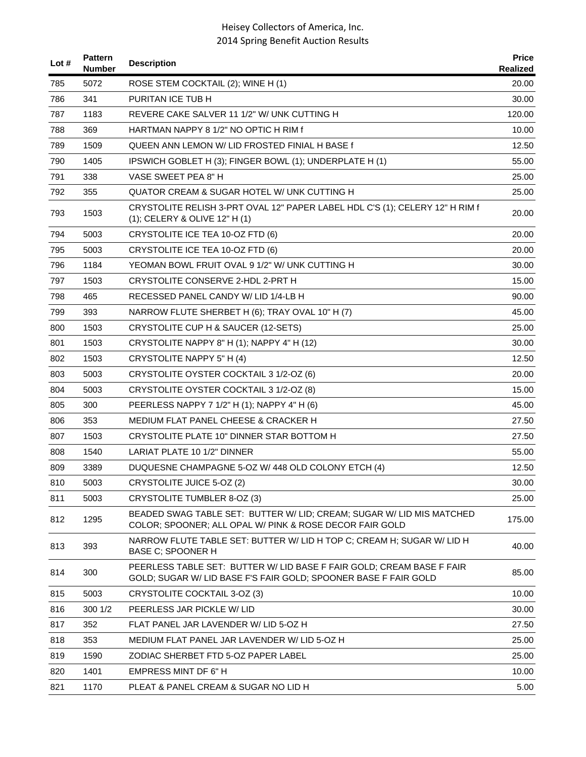| Lot # | <b>Pattern</b><br><b>Number</b> | <b>Description</b>                                                                                                                       | <b>Price</b><br>Realized |
|-------|---------------------------------|------------------------------------------------------------------------------------------------------------------------------------------|--------------------------|
| 785   | 5072                            | ROSE STEM COCKTAIL (2); WINE H (1)                                                                                                       | 20.00                    |
| 786   | 341                             | PURITAN ICE TUB H                                                                                                                        | 30.00                    |
| 787   | 1183                            | REVERE CAKE SALVER 11 1/2" W/ UNK CUTTING H                                                                                              | 120.00                   |
| 788   | 369                             | HARTMAN NAPPY 8 1/2" NO OPTIC H RIM f                                                                                                    | 10.00                    |
| 789   | 1509                            | QUEEN ANN LEMON W/ LID FROSTED FINIAL H BASE f                                                                                           | 12.50                    |
| 790   | 1405                            | IPSWICH GOBLET H (3); FINGER BOWL (1); UNDERPLATE H (1)                                                                                  | 55.00                    |
| 791   | 338                             | VASE SWEET PEA 8" H                                                                                                                      | 25.00                    |
| 792   | 355                             | QUATOR CREAM & SUGAR HOTEL W/ UNK CUTTING H                                                                                              | 25.00                    |
| 793   | 1503                            | CRYSTOLITE RELISH 3-PRT OVAL 12" PAPER LABEL HDL C'S (1); CELERY 12" H RIM f<br>(1); CELERY & OLIVE 12" H (1)                            | 20.00                    |
| 794   | 5003                            | CRYSTOLITE ICE TEA 10-OZ FTD (6)                                                                                                         | 20.00                    |
| 795   | 5003                            | CRYSTOLITE ICE TEA 10-OZ FTD (6)                                                                                                         | 20.00                    |
| 796   | 1184                            | YEOMAN BOWL FRUIT OVAL 9 1/2" W/ UNK CUTTING H                                                                                           | 30.00                    |
| 797   | 1503                            | CRYSTOLITE CONSERVE 2-HDL 2-PRT H                                                                                                        | 15.00                    |
| 798   | 465                             | RECESSED PANEL CANDY W/ LID 1/4-LB H                                                                                                     | 90.00                    |
| 799   | 393                             | NARROW FLUTE SHERBET H (6); TRAY OVAL 10" H (7)                                                                                          | 45.00                    |
| 800   | 1503                            | CRYSTOLITE CUP H & SAUCER (12-SETS)                                                                                                      | 25.00                    |
| 801   | 1503                            | CRYSTOLITE NAPPY 8" H (1); NAPPY 4" H (12)                                                                                               | 30.00                    |
| 802   | 1503                            | CRYSTOLITE NAPPY 5" H (4)                                                                                                                | 12.50                    |
| 803   | 5003                            | CRYSTOLITE OYSTER COCKTAIL 3 1/2-OZ (6)                                                                                                  | 20.00                    |
| 804   | 5003                            | CRYSTOLITE OYSTER COCKTAIL 3 1/2-OZ (8)                                                                                                  | 15.00                    |
| 805   | 300                             | PEERLESS NAPPY 7 1/2" H (1); NAPPY 4" H (6)                                                                                              | 45.00                    |
| 806   | 353                             | MEDIUM FLAT PANEL CHEESE & CRACKER H                                                                                                     | 27.50                    |
| 807   | 1503                            | CRYSTOLITE PLATE 10" DINNER STAR BOTTOM H                                                                                                | 27.50                    |
| 808   | 1540                            | LARIAT PLATE 10 1/2" DINNER                                                                                                              | 55.00                    |
| 809   | 3389                            | DUQUESNE CHAMPAGNE 5-OZ W/ 448 OLD COLONY ETCH (4)                                                                                       | 12.50                    |
| 810   | 5003                            | CRYSTOLITE JUICE 5-OZ (2)                                                                                                                | 30.00                    |
| 811   | 5003                            | CRYSTOLITE TUMBLER 8-OZ (3)                                                                                                              | 25.00                    |
| 812   | 1295                            | BEADED SWAG TABLE SET: BUTTER W/ LID; CREAM; SUGAR W/ LID MIS MATCHED<br>COLOR; SPOONER; ALL OPAL W/ PINK & ROSE DECOR FAIR GOLD         | 175.00                   |
| 813   | 393                             | NARROW FLUTE TABLE SET: BUTTER W/ LID H TOP C; CREAM H; SUGAR W/ LID H<br><b>BASE C; SPOONER H</b>                                       | 40.00                    |
| 814   | 300                             | PEERLESS TABLE SET: BUTTER W/ LID BASE F FAIR GOLD; CREAM BASE F FAIR<br>GOLD; SUGAR W/ LID BASE F'S FAIR GOLD; SPOONER BASE F FAIR GOLD | 85.00                    |
| 815   | 5003                            | CRYSTOLITE COCKTAIL 3-OZ (3)                                                                                                             | 10.00                    |
| 816   | 300 1/2                         | PEERLESS JAR PICKLE W/ LID                                                                                                               | 30.00                    |
| 817   | 352                             | FLAT PANEL JAR LAVENDER W/ LID 5-OZ H                                                                                                    | 27.50                    |
| 818   | 353                             | MEDIUM FLAT PANEL JAR LAVENDER W/ LID 5-OZ H                                                                                             | 25.00                    |
| 819   | 1590                            | ZODIAC SHERBET FTD 5-OZ PAPER LABEL                                                                                                      | 25.00                    |
| 820   | 1401                            | <b>EMPRESS MINT DF 6" H</b>                                                                                                              | 10.00                    |
| 821   | 1170                            | PLEAT & PANEL CREAM & SUGAR NO LID H                                                                                                     | 5.00                     |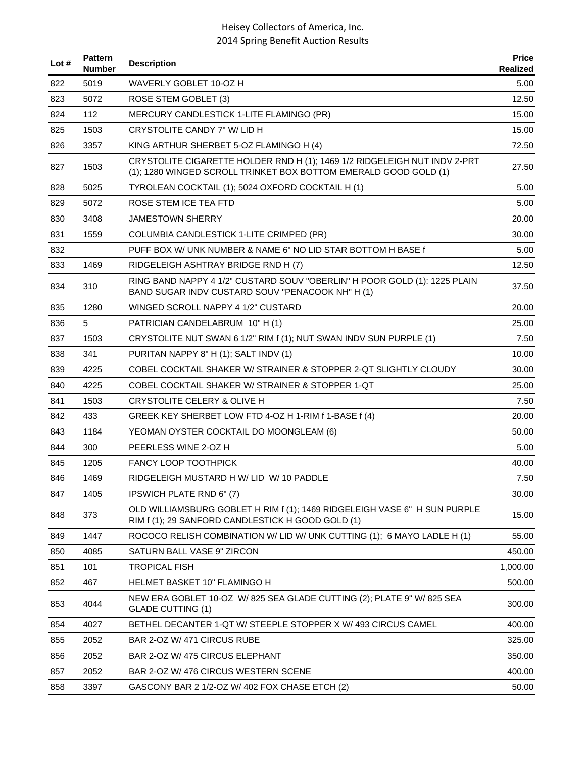| Lot $#$ | <b>Pattern</b><br>Number | <b>Description</b>                                                                                                                            | <b>Price</b><br>Realized |
|---------|--------------------------|-----------------------------------------------------------------------------------------------------------------------------------------------|--------------------------|
| 822     | 5019                     | WAVERLY GOBLET 10-OZ H                                                                                                                        | 5.00                     |
| 823     | 5072                     | ROSE STEM GOBLET (3)                                                                                                                          | 12.50                    |
| 824     | 112                      | MERCURY CANDLESTICK 1-LITE FLAMINGO (PR)                                                                                                      | 15.00                    |
| 825     | 1503                     | CRYSTOLITE CANDY 7" W/ LID H                                                                                                                  | 15.00                    |
| 826     | 3357                     | KING ARTHUR SHERBET 5-OZ FLAMINGO H (4)                                                                                                       | 72.50                    |
| 827     | 1503                     | CRYSTOLITE CIGARETTE HOLDER RND H (1); 1469 1/2 RIDGELEIGH NUT INDV 2-PRT<br>(1); 1280 WINGED SCROLL TRINKET BOX BOTTOM EMERALD GOOD GOLD (1) | 27.50                    |
| 828     | 5025                     | TYROLEAN COCKTAIL (1); 5024 OXFORD COCKTAIL H (1)                                                                                             | 5.00                     |
| 829     | 5072                     | ROSE STEM ICE TEA FTD                                                                                                                         | 5.00                     |
| 830     | 3408                     | JAMESTOWN SHERRY                                                                                                                              | 20.00                    |
| 831     | 1559                     | COLUMBIA CANDLESTICK 1-LITE CRIMPED (PR)                                                                                                      | 30.00                    |
| 832     |                          | PUFF BOX W/ UNK NUMBER & NAME 6" NO LID STAR BOTTOM H BASE f                                                                                  | 5.00                     |
| 833     | 1469                     | RIDGELEIGH ASHTRAY BRIDGE RND H (7)                                                                                                           | 12.50                    |
| 834     | 310                      | RING BAND NAPPY 4 1/2" CUSTARD SOUV "OBERLIN" H POOR GOLD (1): 1225 PLAIN<br>BAND SUGAR INDV CUSTARD SOUV "PENACOOK NH" H (1)                 | 37.50                    |
| 835     | 1280                     | WINGED SCROLL NAPPY 4 1/2" CUSTARD                                                                                                            | 20.00                    |
| 836     | 5                        | PATRICIAN CANDELABRUM 10" H (1)                                                                                                               | 25.00                    |
| 837     | 1503                     | CRYSTOLITE NUT SWAN 6 1/2" RIM f (1); NUT SWAN INDV SUN PURPLE (1)                                                                            | 7.50                     |
| 838     | 341                      | PURITAN NAPPY 8" H (1); SALT INDV (1)                                                                                                         | 10.00                    |
| 839     | 4225                     | COBEL COCKTAIL SHAKER W/ STRAINER & STOPPER 2-QT SLIGHTLY CLOUDY                                                                              | 30.00                    |
| 840     | 4225                     | COBEL COCKTAIL SHAKER W/ STRAINER & STOPPER 1-QT                                                                                              | 25.00                    |
| 841     | 1503                     | CRYSTOLITE CELERY & OLIVE H                                                                                                                   | 7.50                     |
| 842     | 433                      | GREEK KEY SHERBET LOW FTD 4-OZ H 1-RIM f 1-BASE f (4)                                                                                         | 20.00                    |
| 843     | 1184                     | YEOMAN OYSTER COCKTAIL DO MOONGLEAM (6)                                                                                                       | 50.00                    |
| 844     | 300                      | PEERLESS WINE 2-OZ H                                                                                                                          | 5.00                     |
| 845     | 1205                     | <b>FANCY LOOP TOOTHPICK</b>                                                                                                                   | 40.00                    |
| 846     | 1469                     | RIDGELEIGH MUSTARD HW/LID W/10 PADDLE                                                                                                         | 7.50                     |
| 847     | 1405                     | IPSWICH PLATE RND 6" (7)                                                                                                                      | 30.00                    |
| 848     | 373                      | OLD WILLIAMSBURG GOBLET H RIM f (1); 1469 RIDGELEIGH VASE 6" H SUN PURPLE<br>RIM f (1); 29 SANFORD CANDLESTICK H GOOD GOLD (1)                | 15.00                    |
| 849     | 1447                     | ROCOCO RELISH COMBINATION W/ LID W/ UNK CUTTING (1); 6 MAYO LADLE H (1)                                                                       | 55.00                    |
| 850     | 4085                     | SATURN BALL VASE 9" ZIRCON                                                                                                                    | 450.00                   |
| 851     | 101                      | <b>TROPICAL FISH</b>                                                                                                                          | 1,000.00                 |
| 852     | 467                      | <b>HELMET BASKET 10" FLAMINGO H</b>                                                                                                           | 500.00                   |
| 853     | 4044                     | NEW ERA GOBLET 10-OZ W/825 SEA GLADE CUTTING (2); PLATE 9" W/825 SEA<br><b>GLADE CUTTING (1)</b>                                              | 300.00                   |
| 854     | 4027                     | BETHEL DECANTER 1-QT W/ STEEPLE STOPPER X W/ 493 CIRCUS CAMEL                                                                                 | 400.00                   |
| 855     | 2052                     | BAR 2-OZ W/ 471 CIRCUS RUBE                                                                                                                   | 325.00                   |
| 856     | 2052                     | BAR 2-OZ W/ 475 CIRCUS ELEPHANT                                                                                                               | 350.00                   |
| 857     | 2052                     | BAR 2-OZ W/476 CIRCUS WESTERN SCENE                                                                                                           | 400.00                   |
| 858     | 3397                     | GASCONY BAR 2 1/2-OZ W/ 402 FOX CHASE ETCH (2)                                                                                                | 50.00                    |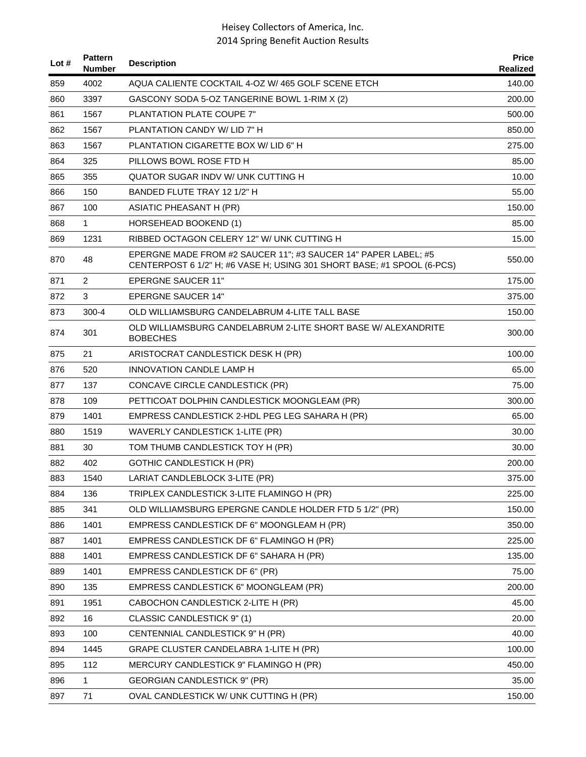| Lot $#$ | <b>Pattern</b><br><b>Number</b> | <b>Description</b>                                                                                                                       | <b>Price</b><br>Realized |
|---------|---------------------------------|------------------------------------------------------------------------------------------------------------------------------------------|--------------------------|
| 859     | 4002                            | AQUA CALIENTE COCKTAIL 4-OZ W/ 465 GOLF SCENE ETCH                                                                                       | 140.00                   |
| 860     | 3397                            | GASCONY SODA 5-OZ TANGERINE BOWL 1-RIM X (2)                                                                                             | 200.00                   |
| 861     | 1567                            | PLANTATION PLATE COUPE 7"                                                                                                                | 500.00                   |
| 862     | 1567                            | PLANTATION CANDY W/ LID 7" H                                                                                                             | 850.00                   |
| 863     | 1567                            | PLANTATION CIGARETTE BOX W/LID 6" H                                                                                                      | 275.00                   |
| 864     | 325                             | PILLOWS BOWL ROSE FTD H                                                                                                                  | 85.00                    |
| 865     | 355                             | QUATOR SUGAR INDV W/ UNK CUTTING H                                                                                                       | 10.00                    |
| 866     | 150                             | BANDED FLUTE TRAY 12 1/2" H                                                                                                              | 55.00                    |
| 867     | 100                             | ASIATIC PHEASANT H (PR)                                                                                                                  | 150.00                   |
| 868     | 1                               | HORSEHEAD BOOKEND (1)                                                                                                                    | 85.00                    |
| 869     | 1231                            | RIBBED OCTAGON CELERY 12" W/ UNK CUTTING H                                                                                               | 15.00                    |
| 870     | 48                              | EPERGNE MADE FROM #2 SAUCER 11"; #3 SAUCER 14" PAPER LABEL; #5<br>CENTERPOST 6 1/2" H; #6 VASE H; USING 301 SHORT BASE; #1 SPOOL (6-PCS) | 550.00                   |
| 871     | $\overline{2}$                  | <b>EPERGNE SAUCER 11"</b>                                                                                                                | 175.00                   |
| 872     | 3                               | <b>EPERGNE SAUCER 14"</b>                                                                                                                | 375.00                   |
| 873     | $300 - 4$                       | OLD WILLIAMSBURG CANDELABRUM 4-LITE TALL BASE                                                                                            | 150.00                   |
| 874     | 301                             | OLD WILLIAMSBURG CANDELABRUM 2-LITE SHORT BASE W/ ALEXANDRITE<br><b>BOBECHES</b>                                                         | 300.00                   |
| 875     | 21                              | ARISTOCRAT CANDLESTICK DESK H (PR)                                                                                                       | 100.00                   |
| 876     | 520                             | <b>INNOVATION CANDLE LAMP H</b>                                                                                                          | 65.00                    |
| 877     | 137                             | CONCAVE CIRCLE CANDLESTICK (PR)                                                                                                          | 75.00                    |
| 878     | 109                             | PETTICOAT DOLPHIN CANDLESTICK MOONGLEAM (PR)                                                                                             | 300.00                   |
| 879     | 1401                            | EMPRESS CANDLESTICK 2-HDL PEG LEG SAHARA H (PR)                                                                                          | 65.00                    |
| 880     | 1519                            | <b>WAVERLY CANDLESTICK 1-LITE (PR)</b>                                                                                                   | 30.00                    |
| 881     | 30                              | TOM THUMB CANDLESTICK TOY H (PR)                                                                                                         | 30.00                    |
| 882     | 402                             | <b>GOTHIC CANDLESTICK H (PR)</b>                                                                                                         | 200.00                   |
| 883     | 1540                            | LARIAT CANDLEBLOCK 3-LITE (PR)                                                                                                           | 375.00                   |
| 884     | 136                             | TRIPLEX CANDLESTICK 3-LITE FLAMINGO H (PR)                                                                                               | 225.00                   |
| 885     | 341                             | OLD WILLIAMSBURG EPERGNE CANDLE HOLDER FTD 5 1/2" (PR)                                                                                   | 150.00                   |
| 886     | 1401                            | EMPRESS CANDLESTICK DF 6" MOONGLEAM H (PR)                                                                                               | 350.00                   |
| 887     | 1401                            | EMPRESS CANDLESTICK DF 6" FLAMINGO H (PR)                                                                                                | 225.00                   |
| 888     | 1401                            | EMPRESS CANDLESTICK DF 6" SAHARA H (PR)                                                                                                  | 135.00                   |
| 889     | 1401                            | EMPRESS CANDLESTICK DF 6" (PR)                                                                                                           | 75.00                    |
| 890     | 135                             | EMPRESS CANDLESTICK 6" MOONGLEAM (PR)                                                                                                    | 200.00                   |
| 891     | 1951                            | CABOCHON CANDLESTICK 2-LITE H (PR)                                                                                                       | 45.00                    |
| 892     | 16                              | CLASSIC CANDLESTICK 9" (1)                                                                                                               | 20.00                    |
| 893     | 100                             | CENTENNIAL CANDLESTICK 9" H (PR)                                                                                                         | 40.00                    |
| 894     | 1445                            | GRAPE CLUSTER CANDELABRA 1-LITE H (PR)                                                                                                   | 100.00                   |
| 895     | 112                             | MERCURY CANDLESTICK 9" FLAMINGO H (PR)                                                                                                   | 450.00                   |
| 896     | 1                               | GEORGIAN CANDLESTICK 9" (PR)                                                                                                             | 35.00                    |
| 897     | 71                              | OVAL CANDLESTICK W/ UNK CUTTING H (PR)                                                                                                   | 150.00                   |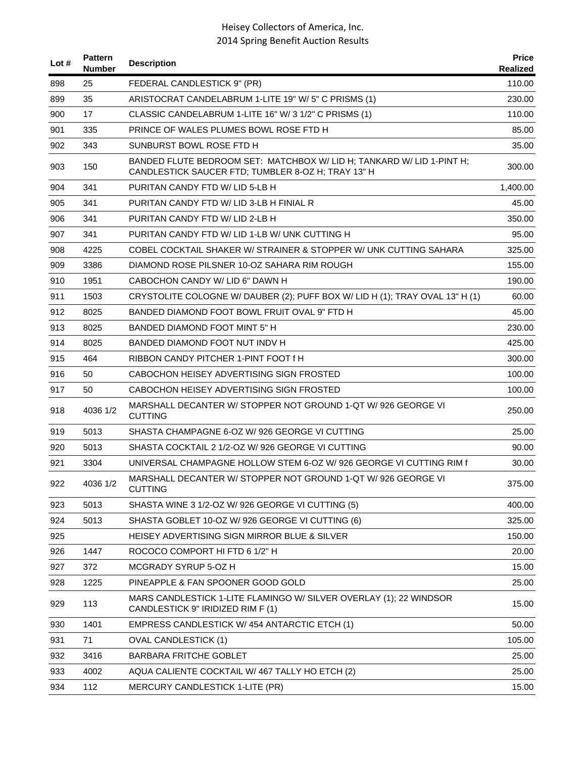| Lot # | <b>Pattern</b><br>Number | <b>Description</b>                                                                                                          | <b>Price</b><br>Realized |
|-------|--------------------------|-----------------------------------------------------------------------------------------------------------------------------|--------------------------|
| 898   | 25                       | FEDERAL CANDLESTICK 9" (PR)                                                                                                 | 110.00                   |
| 899   | 35                       | ARISTOCRAT CANDELABRUM 1-LITE 19" W/ 5" C PRISMS (1)                                                                        | 230.00                   |
| 900   | 17                       | CLASSIC CANDELABRUM 1-LITE 16" W/ 3 1/2" C PRISMS (1)                                                                       | 110.00                   |
| 901   | 335                      | PRINCE OF WALES PLUMES BOWL ROSE FTD H                                                                                      | 85.00                    |
| 902   | 343                      | SUNBURST BOWL ROSE FTD H                                                                                                    | 35.00                    |
| 903   | 150                      | BANDED FLUTE BEDROOM SET: MATCHBOX W/ LID H; TANKARD W/ LID 1-PINT H;<br>CANDLESTICK SAUCER FTD; TUMBLER 8-OZ H; TRAY 13" H | 300.00                   |
| 904   | 341                      | PURITAN CANDY FTD W/LID 5-LB H                                                                                              | 1,400.00                 |
| 905   | 341                      | PURITAN CANDY FTD W/ LID 3-LB H FINIAL R                                                                                    | 45.00                    |
| 906   | 341                      | PURITAN CANDY FTD W/ LID 2-LB H                                                                                             | 350.00                   |
| 907   | 341                      | PURITAN CANDY FTD W/ LID 1-LB W/ UNK CUTTING H                                                                              | 95.00                    |
| 908   | 4225                     | COBEL COCKTAIL SHAKER W/ STRAINER & STOPPER W/ UNK CUTTING SAHARA                                                           | 325.00                   |
| 909   | 3386                     | DIAMOND ROSE PILSNER 10-OZ SAHARA RIM ROUGH                                                                                 | 155.00                   |
| 910   | 1951                     | CABOCHON CANDY W/ LID 6" DAWN H                                                                                             | 190.00                   |
| 911   | 1503                     | CRYSTOLITE COLOGNE W/ DAUBER (2); PUFF BOX W/ LID H (1); TRAY OVAL 13" H (1)                                                | 60.00                    |
| 912   | 8025                     | BANDED DIAMOND FOOT BOWL FRUIT OVAL 9" FTD H                                                                                | 45.00                    |
| 913   | 8025                     | BANDED DIAMOND FOOT MINT 5" H                                                                                               | 230.00                   |
| 914   | 8025                     | BANDED DIAMOND FOOT NUT INDV H                                                                                              | 425.00                   |
| 915   | 464                      | RIBBON CANDY PITCHER 1-PINT FOOT f H                                                                                        | 300.00                   |
| 916   | 50                       | CABOCHON HEISEY ADVERTISING SIGN FROSTED                                                                                    | 100.00                   |
| 917   | 50                       | CABOCHON HEISEY ADVERTISING SIGN FROSTED                                                                                    | 100.00                   |
| 918   | 4036 1/2                 | MARSHALL DECANTER W/ STOPPER NOT GROUND 1-QT W/ 926 GEORGE VI<br><b>CUTTING</b>                                             | 250.00                   |
| 919   | 5013                     | SHASTA CHAMPAGNE 6-OZ W/926 GEORGE VI CUTTING                                                                               | 25.00                    |
| 920   | 5013                     | SHASTA COCKTAIL 2 1/2-OZ W/ 926 GEORGE VI CUTTING                                                                           | 90.00                    |
| 921   | 3304                     | UNIVERSAL CHAMPAGNE HOLLOW STEM 6-OZ W/926 GEORGE VI CUTTING RIM f                                                          | 30.00                    |
| 922   | 4036 1/2                 | MARSHALL DECANTER W/ STOPPER NOT GROUND 1-QT W/ 926 GEORGE VI<br><b>CUTTING</b>                                             | 375.00                   |
| 923   | 5013                     | SHASTA WINE 3 1/2-OZ W/ 926 GEORGE VI CUTTING (5)                                                                           | 400.00                   |
| 924   | 5013                     | SHASTA GOBLET 10-OZ W/ 926 GEORGE VI CUTTING (6)                                                                            | 325.00                   |
| 925   |                          | HEISEY ADVERTISING SIGN MIRROR BLUE & SILVER                                                                                | 150.00                   |
| 926   | 1447                     | ROCOCO COMPORT HI FTD 6 1/2" H                                                                                              | 20.00                    |
| 927   | 372                      | MCGRADY SYRUP 5-OZ H                                                                                                        | 15.00                    |
| 928   | 1225                     | PINEAPPLE & FAN SPOONER GOOD GOLD                                                                                           | 25.00                    |
| 929   | 113                      | MARS CANDLESTICK 1-LITE FLAMINGO W/ SILVER OVERLAY (1); 22 WINDSOR<br>CANDLESTICK 9" IRIDIZED RIM F (1)                     | 15.00                    |
| 930   | 1401                     | EMPRESS CANDLESTICK W/454 ANTARCTIC ETCH (1)                                                                                | 50.00                    |
| 931   | 71                       | <b>OVAL CANDLESTICK (1)</b>                                                                                                 | 105.00                   |
| 932   | 3416                     | <b>BARBARA FRITCHE GOBLET</b>                                                                                               | 25.00                    |
| 933   | 4002                     | AQUA CALIENTE COCKTAIL W/ 467 TALLY HO ETCH (2)                                                                             | 25.00                    |
| 934   | 112                      | MERCURY CANDLESTICK 1-LITE (PR)                                                                                             | 15.00                    |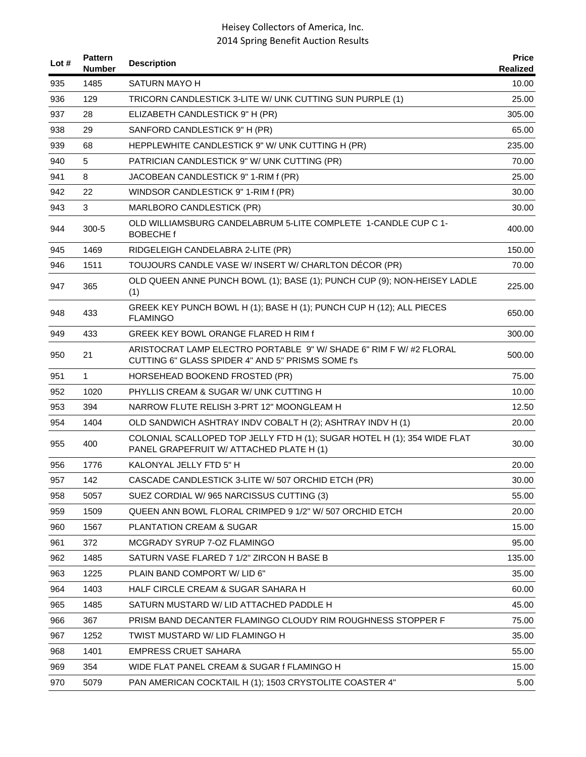| Lot $#$ | <b>Pattern</b><br><b>Number</b> | <b>Description</b>                                                                                                      | <b>Price</b><br>Realized |
|---------|---------------------------------|-------------------------------------------------------------------------------------------------------------------------|--------------------------|
| 935     | 1485                            | <b>SATURN MAYO H</b>                                                                                                    | 10.00                    |
| 936     | 129                             | TRICORN CANDLESTICK 3-LITE W/ UNK CUTTING SUN PURPLE (1)                                                                | 25.00                    |
| 937     | 28                              | ELIZABETH CANDLESTICK 9" H (PR)                                                                                         | 305.00                   |
| 938     | 29                              | SANFORD CANDLESTICK 9" H (PR)                                                                                           | 65.00                    |
| 939     | 68                              | HEPPLEWHITE CANDLESTICK 9" W/ UNK CUTTING H (PR)                                                                        | 235.00                   |
| 940     | 5                               | PATRICIAN CANDLESTICK 9" W/ UNK CUTTING (PR)                                                                            | 70.00                    |
| 941     | 8                               | JACOBEAN CANDLESTICK 9" 1-RIM f (PR)                                                                                    | 25.00                    |
| 942     | 22                              | WINDSOR CANDLESTICK 9" 1-RIM f (PR)                                                                                     | 30.00                    |
| 943     | 3                               | MARLBORO CANDLESTICK (PR)                                                                                               | 30.00                    |
| 944     | $300 - 5$                       | OLD WILLIAMSBURG CANDELABRUM 5-LITE COMPLETE 1-CANDLE CUP C 1-<br><b>BOBECHE</b> f                                      | 400.00                   |
| 945     | 1469                            | RIDGELEIGH CANDELABRA 2-LITE (PR)                                                                                       | 150.00                   |
| 946     | 1511                            | TOUJOURS CANDLE VASE W/INSERT W/ CHARLTON DÉCOR (PR)                                                                    | 70.00                    |
| 947     | 365                             | OLD QUEEN ANNE PUNCH BOWL (1); BASE (1); PUNCH CUP (9); NON-HEISEY LADLE<br>(1)                                         | 225.00                   |
| 948     | 433                             | GREEK KEY PUNCH BOWL H (1); BASE H (1); PUNCH CUP H (12); ALL PIECES<br><b>FLAMINGO</b>                                 | 650.00                   |
| 949     | 433                             | <b>GREEK KEY BOWL ORANGE FLARED H RIM f</b>                                                                             | 300.00                   |
| 950     | 21                              | ARISTOCRAT LAMP ELECTRO PORTABLE 9" W/ SHADE 6" RIM F W/ #2 FLORAL<br>CUTTING 6" GLASS SPIDER 4" AND 5" PRISMS SOME f's | 500.00                   |
| 951     | $\mathbf{1}$                    | HORSEHEAD BOOKEND FROSTED (PR)                                                                                          | 75.00                    |
| 952     | 1020                            | PHYLLIS CREAM & SUGAR W/ UNK CUTTING H                                                                                  | 10.00                    |
| 953     | 394                             | NARROW FLUTE RELISH 3-PRT 12" MOONGLEAM H                                                                               | 12.50                    |
| 954     | 1404                            | OLD SANDWICH ASHTRAY INDV COBALT H (2); ASHTRAY INDV H (1)                                                              | 20.00                    |
| 955     | 400                             | COLONIAL SCALLOPED TOP JELLY FTD H (1); SUGAR HOTEL H (1); 354 WIDE FLAT<br>PANEL GRAPEFRUIT W/ ATTACHED PLATE H (1)    | 30.00                    |
| 956     | 1776                            | KALONYAL JELLY FTD 5" H                                                                                                 | 20.00                    |
| 957     | 142                             | CASCADE CANDLESTICK 3-LITE W/ 507 ORCHID ETCH (PR)                                                                      | 30.00                    |
| 958     | 5057                            | SUEZ CORDIAL W/965 NARCISSUS CUTTING (3)                                                                                | 55.00                    |
| 959     | 1509                            | QUEEN ANN BOWL FLORAL CRIMPED 9 1/2" W/ 507 ORCHID ETCH                                                                 | 20.00                    |
| 960     | 1567                            | PLANTATION CREAM & SUGAR                                                                                                | 15.00                    |
| 961     | 372                             | MCGRADY SYRUP 7-OZ FLAMINGO                                                                                             | 95.00                    |
| 962     | 1485                            | SATURN VASE FLARED 7 1/2" ZIRCON H BASE B                                                                               | 135.00                   |
| 963     | 1225                            | PLAIN BAND COMPORT W/ LID 6"                                                                                            | 35.00                    |
| 964     | 1403                            | HALF CIRCLE CREAM & SUGAR SAHARA H                                                                                      | 60.00                    |
| 965     | 1485                            | SATURN MUSTARD W/ LID ATTACHED PADDLE H                                                                                 | 45.00                    |
| 966     | 367                             | PRISM BAND DECANTER FLAMINGO CLOUDY RIM ROUGHNESS STOPPER F                                                             | 75.00                    |
| 967     | 1252                            | TWIST MUSTARD W/ LID FLAMINGO H                                                                                         | 35.00                    |
| 968     | 1401                            | <b>EMPRESS CRUET SAHARA</b>                                                                                             | 55.00                    |
| 969     | 354                             | WIDE FLAT PANEL CREAM & SUGAR f FLAMINGO H                                                                              | 15.00                    |
| 970     | 5079                            | PAN AMERICAN COCKTAIL H (1); 1503 CRYSTOLITE COASTER 4"                                                                 | 5.00                     |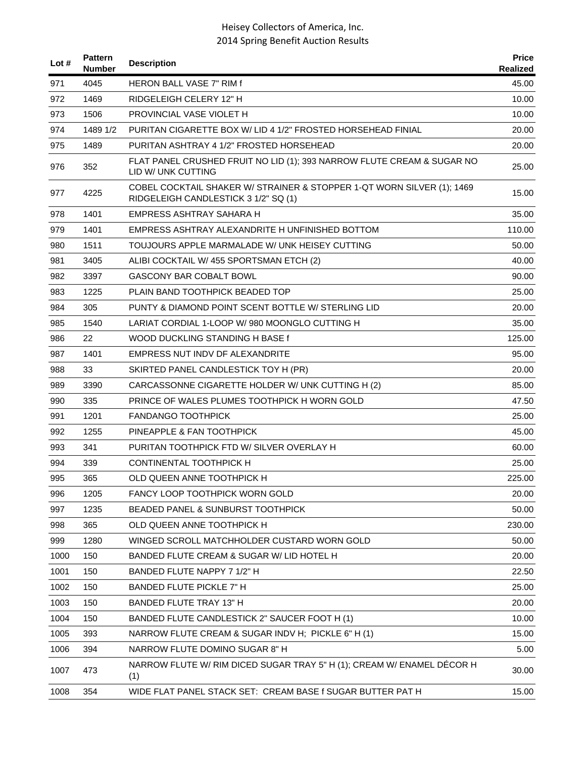| Lot $#$ | <b>Pattern</b><br><b>Number</b> | <b>Description</b>                                                                                             | <b>Price</b><br>Realized |
|---------|---------------------------------|----------------------------------------------------------------------------------------------------------------|--------------------------|
| 971     | 4045                            | <b>HERON BALL VASE 7" RIM f</b>                                                                                | 45.00                    |
| 972     | 1469                            | RIDGELEIGH CELERY 12" H                                                                                        | 10.00                    |
| 973     | 1506                            | PROVINCIAL VASE VIOLET H                                                                                       | 10.00                    |
| 974     | 1489 1/2                        | PURITAN CIGARETTE BOX W/ LID 4 1/2" FROSTED HORSEHEAD FINIAL                                                   | 20.00                    |
| 975     | 1489                            | PURITAN ASHTRAY 4 1/2" FROSTED HORSEHEAD                                                                       | 20.00                    |
| 976     | 352                             | FLAT PANEL CRUSHED FRUIT NO LID (1); 393 NARROW FLUTE CREAM & SUGAR NO<br>LID W/ UNK CUTTING                   | 25.00                    |
| 977     | 4225                            | COBEL COCKTAIL SHAKER W/ STRAINER & STOPPER 1-QT WORN SILVER (1); 1469<br>RIDGELEIGH CANDLESTICK 3 1/2" SQ (1) | 15.00                    |
| 978     | 1401                            | EMPRESS ASHTRAY SAHARA H                                                                                       | 35.00                    |
| 979     | 1401                            | EMPRESS ASHTRAY ALEXANDRITE H UNFINISHED BOTTOM                                                                | 110.00                   |
| 980     | 1511                            | TOUJOURS APPLE MARMALADE W/ UNK HEISEY CUTTING                                                                 | 50.00                    |
| 981     | 3405                            | ALIBI COCKTAIL W/ 455 SPORTSMAN ETCH (2)                                                                       | 40.00                    |
| 982     | 3397                            | <b>GASCONY BAR COBALT BOWL</b>                                                                                 | 90.00                    |
| 983     | 1225                            | PLAIN BAND TOOTHPICK BEADED TOP                                                                                | 25.00                    |
| 984     | 305                             | PUNTY & DIAMOND POINT SCENT BOTTLE W/ STERLING LID                                                             | 20.00                    |
| 985     | 1540                            | LARIAT CORDIAL 1-LOOP W/980 MOONGLO CUTTING H                                                                  | 35.00                    |
| 986     | 22                              | WOOD DUCKLING STANDING H BASE f                                                                                | 125.00                   |
| 987     | 1401                            | EMPRESS NUT INDV DF ALEXANDRITE                                                                                | 95.00                    |
| 988     | 33                              | SKIRTED PANEL CANDLESTICK TOY H (PR)                                                                           | 20.00                    |
| 989     | 3390                            | CARCASSONNE CIGARETTE HOLDER W/ UNK CUTTING H (2)                                                              | 85.00                    |
| 990     | 335                             | PRINCE OF WALES PLUMES TOOTHPICK H WORN GOLD                                                                   | 47.50                    |
| 991     | 1201                            | <b>FANDANGO TOOTHPICK</b>                                                                                      | 25.00                    |
| 992     | 1255                            | PINEAPPLE & FAN TOOTHPICK                                                                                      | 45.00                    |
| 993     | 341                             | PURITAN TOOTHPICK FTD W/ SILVER OVERLAY H                                                                      | 60.00                    |
| 994     | 339                             | <b>CONTINENTAL TOOTHPICK H</b>                                                                                 | 25.00                    |
| 995     | 365                             | OLD QUEEN ANNE TOOTHPICK H                                                                                     | 225.00                   |
| 996     | 1205                            | <b>FANCY LOOP TOOTHPICK WORN GOLD</b>                                                                          | 20.00                    |
| 997     | 1235                            | BEADED PANEL & SUNBURST TOOTHPICK                                                                              | 50.00                    |
| 998     | 365                             | OLD QUEEN ANNE TOOTHPICK H                                                                                     | 230.00                   |
| 999     | 1280                            | WINGED SCROLL MATCHHOLDER CUSTARD WORN GOLD                                                                    | 50.00                    |
| 1000    | 150                             | BANDED FLUTE CREAM & SUGAR W/ LID HOTEL H                                                                      | 20.00                    |
| 1001    | 150                             | BANDED FLUTE NAPPY 7 1/2" H                                                                                    | 22.50                    |
| 1002    | 150                             | BANDED FLUTE PICKLE 7" H                                                                                       | 25.00                    |
| 1003    | 150                             | BANDED FLUTE TRAY 13" H                                                                                        | 20.00                    |
| 1004    | 150                             | BANDED FLUTE CANDLESTICK 2" SAUCER FOOT H (1)                                                                  | 10.00                    |
| 1005    | 393                             | NARROW FLUTE CREAM & SUGAR INDV H: PICKLE 6" H (1)                                                             | 15.00                    |
| 1006    | 394                             | NARROW FLUTE DOMINO SUGAR 8" H                                                                                 | 5.00                     |
| 1007    | 473                             | NARROW FLUTE W/ RIM DICED SUGAR TRAY 5" H (1); CREAM W/ ENAMEL DÉCOR H<br>(1)                                  | 30.00                    |
| 1008    | 354                             | WIDE FLAT PANEL STACK SET: CREAM BASE f SUGAR BUTTER PAT H                                                     | 15.00                    |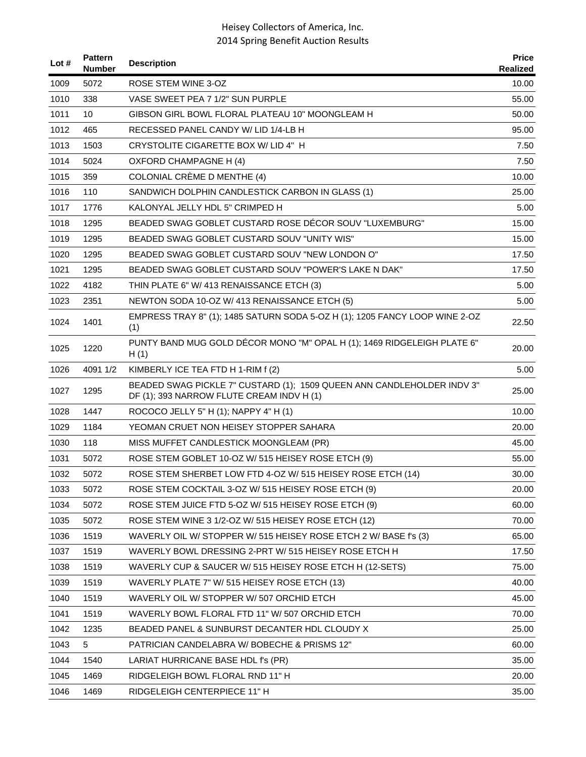| Lot $#$ | <b>Pattern</b><br><b>Number</b> | <b>Description</b>                                                                                                  | <b>Price</b><br>Realized |
|---------|---------------------------------|---------------------------------------------------------------------------------------------------------------------|--------------------------|
| 1009    | 5072                            | ROSE STEM WINE 3-OZ                                                                                                 | 10.00                    |
| 1010    | 338                             | VASE SWEET PEA 7 1/2" SUN PURPLE                                                                                    | 55.00                    |
| 1011    | 10                              | GIBSON GIRL BOWL FLORAL PLATEAU 10" MOONGLEAM H                                                                     | 50.00                    |
| 1012    | 465                             | RECESSED PANEL CANDY W/ LID 1/4-LB H                                                                                | 95.00                    |
| 1013    | 1503                            | CRYSTOLITE CIGARETTE BOX W/ LID 4" H                                                                                | 7.50                     |
| 1014    | 5024                            | <b>OXFORD CHAMPAGNE H (4)</b>                                                                                       | 7.50                     |
| 1015    | 359                             | COLONIAL CRÈME D MENTHE (4)                                                                                         | 10.00                    |
| 1016    | 110                             | SANDWICH DOLPHIN CANDLESTICK CARBON IN GLASS (1)                                                                    | 25.00                    |
| 1017    | 1776                            | KALONYAL JELLY HDL 5" CRIMPED H                                                                                     | 5.00                     |
| 1018    | 1295                            | BEADED SWAG GOBLET CUSTARD ROSE DÉCOR SOUV "LUXEMBURG"                                                              | 15.00                    |
| 1019    | 1295                            | BEADED SWAG GOBLET CUSTARD SOUV "UNITY WIS"                                                                         | 15.00                    |
| 1020    | 1295                            | BEADED SWAG GOBLET CUSTARD SOUV "NEW LONDON O"                                                                      | 17.50                    |
| 1021    | 1295                            | BEADED SWAG GOBLET CUSTARD SOUV "POWER'S LAKE N DAK"                                                                | 17.50                    |
| 1022    | 4182                            | THIN PLATE 6" W/ 413 RENAISSANCE ETCH (3)                                                                           | 5.00                     |
| 1023    | 2351                            | NEWTON SODA 10-OZ W/ 413 RENAISSANCE ETCH (5)                                                                       | 5.00                     |
| 1024    | 1401                            | EMPRESS TRAY 8" (1); 1485 SATURN SODA 5-OZ H (1); 1205 FANCY LOOP WINE 2-OZ<br>(1)                                  | 22.50                    |
| 1025    | 1220                            | PUNTY BAND MUG GOLD DÉCOR MONO "M" OPAL H (1); 1469 RIDGELEIGH PLATE 6"<br>H(1)                                     | 20.00                    |
| 1026    | 4091 1/2                        | KIMBERLY ICE TEA FTD H 1-RIM f (2)                                                                                  | 5.00                     |
| 1027    | 1295                            | BEADED SWAG PICKLE 7" CUSTARD (1); 1509 QUEEN ANN CANDLEHOLDER INDV 3"<br>DF (1); 393 NARROW FLUTE CREAM INDV H (1) | 25.00                    |
| 1028    | 1447                            | ROCOCO JELLY 5" H (1); NAPPY 4" H (1)                                                                               | 10.00                    |
| 1029    | 1184                            | YEOMAN CRUET NON HEISEY STOPPER SAHARA                                                                              | 20.00                    |
| 1030    | 118                             | MISS MUFFET CANDLESTICK MOONGLEAM (PR)                                                                              | 45.00                    |
| 1031    | 5072                            | ROSE STEM GOBLET 10-OZ W/ 515 HEISEY ROSE ETCH (9)                                                                  | 55.00                    |
| 1032    | 5072                            | ROSE STEM SHERBET LOW FTD 4-OZ W/ 515 HEISEY ROSE ETCH (14)                                                         | 30.00                    |
| 1033    | 5072                            | ROSE STEM COCKTAIL 3-OZ W/ 515 HEISEY ROSE ETCH (9)                                                                 | 20.00                    |
| 1034    | 5072                            | ROSE STEM JUICE FTD 5-OZ W/ 515 HEISEY ROSE ETCH (9)                                                                | 60.00                    |
| 1035    | 5072                            | ROSE STEM WINE 3 1/2-OZ W/ 515 HEISEY ROSE ETCH (12)                                                                | 70.00                    |
| 1036    | 1519                            | WAVERLY OIL W/ STOPPER W/ 515 HEISEY ROSE ETCH 2 W/ BASE f's (3)                                                    | 65.00                    |
| 1037    | 1519                            | WAVERLY BOWL DRESSING 2-PRT W/ 515 HEISEY ROSE ETCH H                                                               | 17.50                    |
| 1038    | 1519                            | WAVERLY CUP & SAUCER W/ 515 HEISEY ROSE ETCH H (12-SETS)                                                            | 75.00                    |
| 1039    | 1519                            | WAVERLY PLATE 7" W/ 515 HEISEY ROSE ETCH (13)                                                                       | 40.00                    |
| 1040    | 1519                            | WAVERLY OIL W/ STOPPER W/ 507 ORCHID ETCH                                                                           | 45.00                    |
| 1041    | 1519                            | WAVERLY BOWL FLORAL FTD 11" W/ 507 ORCHID ETCH                                                                      | 70.00                    |
| 1042    | 1235                            | BEADED PANEL & SUNBURST DECANTER HDL CLOUDY X                                                                       | 25.00                    |
| 1043    | 5                               | PATRICIAN CANDELABRA W/BOBECHE & PRISMS 12"                                                                         | 60.00                    |
| 1044    | 1540                            | LARIAT HURRICANE BASE HDL f's (PR)                                                                                  | 35.00                    |
| 1045    | 1469                            | RIDGELEIGH BOWL FLORAL RND 11" H                                                                                    | 20.00                    |
| 1046    | 1469                            | RIDGELEIGH CENTERPIECE 11" H                                                                                        | 35.00                    |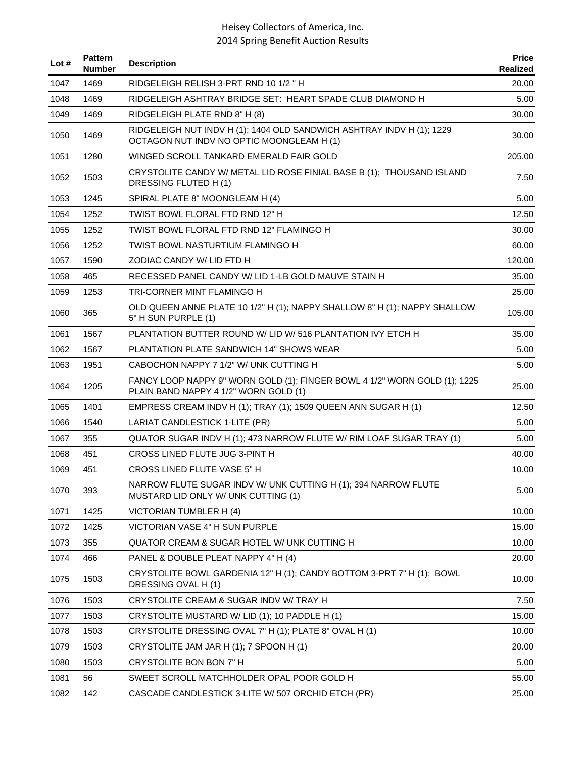| Lot $#$ | <b>Pattern</b><br><b>Number</b> | <b>Description</b>                                                                                                 | <b>Price</b><br>Realized |
|---------|---------------------------------|--------------------------------------------------------------------------------------------------------------------|--------------------------|
| 1047    | 1469                            | RIDGELEIGH RELISH 3-PRT RND 10 1/2 "H                                                                              | 20.00                    |
| 1048    | 1469                            | RIDGELEIGH ASHTRAY BRIDGE SET: HEART SPADE CLUB DIAMOND H                                                          | 5.00                     |
| 1049    | 1469                            | RIDGELEIGH PLATE RND 8" H (8)                                                                                      | 30.00                    |
| 1050    | 1469                            | RIDGELEIGH NUT INDV H (1); 1404 OLD SANDWICH ASHTRAY INDV H (1); 1229<br>OCTAGON NUT INDV NO OPTIC MOONGLEAM H (1) | 30.00                    |
| 1051    | 1280                            | WINGED SCROLL TANKARD EMERALD FAIR GOLD                                                                            | 205.00                   |
| 1052    | 1503                            | CRYSTOLITE CANDY W/ METAL LID ROSE FINIAL BASE B (1); THOUSAND ISLAND<br>DRESSING FLUTED H(1)                      | 7.50                     |
| 1053    | 1245                            | SPIRAL PLATE 8" MOONGLEAM H (4)                                                                                    | 5.00                     |
| 1054    | 1252                            | TWIST BOWL FLORAL FTD RND 12" H                                                                                    | 12.50                    |
| 1055    | 1252                            | TWIST BOWL FLORAL FTD RND 12" FLAMINGO H                                                                           | 30.00                    |
| 1056    | 1252                            | TWIST BOWL NASTURTIUM FLAMINGO H                                                                                   | 60.00                    |
| 1057    | 1590                            | ZODIAC CANDY W/ LID FTD H                                                                                          | 120.00                   |
| 1058    | 465                             | RECESSED PANEL CANDY W/ LID 1-LB GOLD MAUVE STAIN H                                                                | 35.00                    |
| 1059    | 1253                            | TRI-CORNER MINT FLAMINGO H                                                                                         | 25.00                    |
| 1060    | 365                             | OLD QUEEN ANNE PLATE 10 1/2" H (1); NAPPY SHALLOW 8" H (1); NAPPY SHALLOW<br>5" H SUN PURPLE (1)                   | 105.00                   |
| 1061    | 1567                            | PLANTATION BUTTER ROUND W/ LID W/ 516 PLANTATION IVY ETCH H                                                        | 35.00                    |
| 1062    | 1567                            | PLANTATION PLATE SANDWICH 14" SHOWS WEAR                                                                           | 5.00                     |
| 1063    | 1951                            | CABOCHON NAPPY 7 1/2" W/ UNK CUTTING H                                                                             | 5.00                     |
| 1064    | 1205                            | FANCY LOOP NAPPY 9" WORN GOLD (1); FINGER BOWL 4 1/2" WORN GOLD (1); 1225<br>PLAIN BAND NAPPY 4 1/2" WORN GOLD (1) | 25.00                    |
| 1065    | 1401                            | EMPRESS CREAM INDV H (1); TRAY (1); 1509 QUEEN ANN SUGAR H (1)                                                     | 12.50                    |
| 1066    | 1540                            | LARIAT CANDLESTICK 1-LITE (PR)                                                                                     | 5.00                     |
| 1067    | 355                             | QUATOR SUGAR INDV H (1); 473 NARROW FLUTE W/ RIM LOAF SUGAR TRAY (1)                                               | 5.00                     |
| 1068    | 451                             | CROSS LINED FLUTE JUG 3-PINT H                                                                                     | 40.00                    |
| 1069    | 451                             | CROSS LINED FLUTE VASE 5" H                                                                                        | 10.00                    |
| 1070    | 393                             | NARROW FLUTE SUGAR INDV W/ UNK CUTTING H (1); 394 NARROW FLUTE<br>MUSTARD LID ONLY W/ UNK CUTTING (1)              | 5.00                     |
| 1071    | 1425                            | VICTORIAN TUMBLER H (4)                                                                                            | 10.00                    |
| 1072    | 1425                            | VICTORIAN VASE 4" H SUN PURPLE                                                                                     | 15.00                    |
| 1073    | 355                             | QUATOR CREAM & SUGAR HOTEL W/ UNK CUTTING H                                                                        | 10.00                    |
| 1074    | 466                             | PANEL & DOUBLE PLEAT NAPPY 4" H (4)                                                                                | 20.00                    |
| 1075    | 1503                            | CRYSTOLITE BOWL GARDENIA 12" H (1); CANDY BOTTOM 3-PRT 7" H (1); BOWL<br>DRESSING OVAL H(1)                        | 10.00                    |
| 1076    | 1503                            | CRYSTOLITE CREAM & SUGAR INDV W/ TRAY H                                                                            | 7.50                     |
| 1077    | 1503                            | CRYSTOLITE MUSTARD W/ LID (1); 10 PADDLE H (1)                                                                     | 15.00                    |
| 1078    | 1503                            | CRYSTOLITE DRESSING OVAL 7" H (1); PLATE 8" OVAL H (1)                                                             | 10.00                    |
| 1079    | 1503                            | CRYSTOLITE JAM JAR H (1); 7 SPOON H (1)                                                                            | 20.00                    |
| 1080    | 1503                            | CRYSTOLITE BON BON 7" H                                                                                            | 5.00                     |
| 1081    | 56                              | SWEET SCROLL MATCHHOLDER OPAL POOR GOLD H                                                                          | 55.00                    |
| 1082    | 142                             | CASCADE CANDLESTICK 3-LITE W/ 507 ORCHID ETCH (PR)                                                                 | 25.00                    |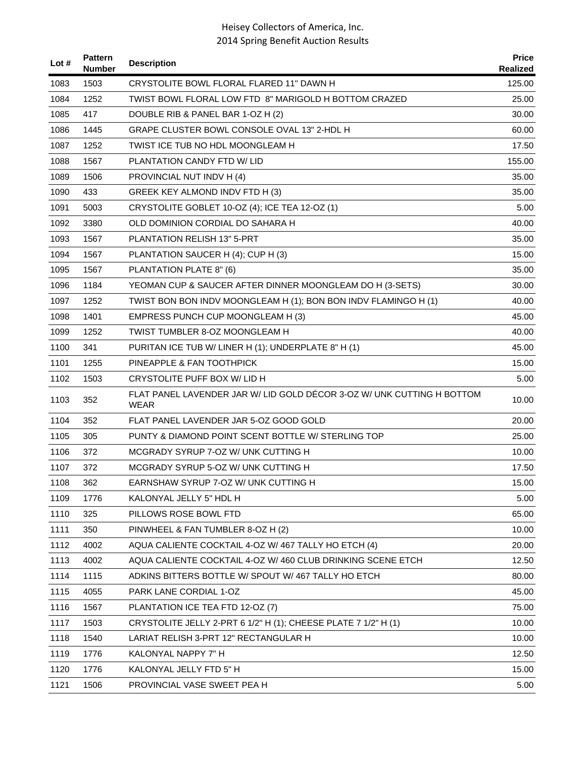| Lot # | <b>Pattern</b><br><b>Number</b> | <b>Description</b>                                                                    | <b>Price</b><br>Realized |
|-------|---------------------------------|---------------------------------------------------------------------------------------|--------------------------|
| 1083  | 1503                            | CRYSTOLITE BOWL FLORAL FLARED 11" DAWN H                                              | 125.00                   |
| 1084  | 1252                            | TWIST BOWL FLORAL LOW FTD 8" MARIGOLD H BOTTOM CRAZED                                 | 25.00                    |
| 1085  | 417                             | DOUBLE RIB & PANEL BAR 1-OZ H (2)                                                     | 30.00                    |
| 1086  | 1445                            | GRAPE CLUSTER BOWL CONSOLE OVAL 13" 2-HDL H                                           | 60.00                    |
| 1087  | 1252                            | TWIST ICE TUB NO HDL MOONGLEAM H                                                      | 17.50                    |
| 1088  | 1567                            | PLANTATION CANDY FTD W/ LID                                                           | 155.00                   |
| 1089  | 1506                            | PROVINCIAL NUT INDV H (4)                                                             | 35.00                    |
| 1090  | 433                             | GREEK KEY ALMOND INDV FTD H (3)                                                       | 35.00                    |
| 1091  | 5003                            | CRYSTOLITE GOBLET 10-OZ (4); ICE TEA 12-OZ (1)                                        | 5.00                     |
| 1092  | 3380                            | OLD DOMINION CORDIAL DO SAHARA H                                                      | 40.00                    |
| 1093  | 1567                            | PLANTATION RELISH 13" 5-PRT                                                           | 35.00                    |
| 1094  | 1567                            | PLANTATION SAUCER H (4); CUP H (3)                                                    | 15.00                    |
| 1095  | 1567                            | PLANTATION PLATE 8" (6)                                                               | 35.00                    |
| 1096  | 1184                            | YEOMAN CUP & SAUCER AFTER DINNER MOONGLEAM DO H (3-SETS)                              | 30.00                    |
| 1097  | 1252                            | TWIST BON BON INDV MOONGLEAM H (1); BON BON INDV FLAMINGO H (1)                       | 40.00                    |
| 1098  | 1401                            | EMPRESS PUNCH CUP MOONGLEAM H (3)                                                     | 45.00                    |
| 1099  | 1252                            | TWIST TUMBLER 8-OZ MOONGLEAM H                                                        | 40.00                    |
| 1100  | 341                             | PURITAN ICE TUB W/ LINER H (1); UNDERPLATE 8" H (1)                                   | 45.00                    |
| 1101  | 1255                            | PINEAPPLE & FAN TOOTHPICK                                                             | 15.00                    |
| 1102  | 1503                            | CRYSTOLITE PUFF BOX W/ LID H                                                          | 5.00                     |
| 1103  | 352                             | FLAT PANEL LAVENDER JAR W/ LID GOLD DÉCOR 3-OZ W/ UNK CUTTING H BOTTOM<br><b>WEAR</b> | 10.00                    |
| 1104  | 352                             | FLAT PANEL LAVENDER JAR 5-OZ GOOD GOLD                                                | 20.00                    |
| 1105  | 305                             | PUNTY & DIAMOND POINT SCENT BOTTLE W/ STERLING TOP                                    | 25.00                    |
| 1106  | 372                             | MCGRADY SYRUP 7-OZ W/ UNK CUTTING H                                                   | 10.00                    |
| 1107  | 372                             | MCGRADY SYRUP 5-OZ W/ UNK CUTTING H                                                   | 17.50                    |
| 1108  | 362                             | EARNSHAW SYRUP 7-OZ W/ UNK CUTTING H                                                  | 15.00                    |
| 1109  | 1776                            | KALONYAL JELLY 5" HDL H                                                               | 5.00                     |
| 1110  | 325                             | PILLOWS ROSE BOWL FTD                                                                 | 65.00                    |
| 1111  | 350                             | PINWHEEL & FAN TUMBLER 8-OZ H (2)                                                     | 10.00                    |
| 1112  | 4002                            | AQUA CALIENTE COCKTAIL 4-OZ W/ 467 TALLY HO ETCH (4)                                  | 20.00                    |
| 1113  | 4002                            | AQUA CALIENTE COCKTAIL 4-OZ W/ 460 CLUB DRINKING SCENE ETCH                           | 12.50                    |
| 1114  | 1115                            | ADKINS BITTERS BOTTLE W/ SPOUT W/ 467 TALLY HO ETCH                                   | 80.00                    |
| 1115  | 4055                            | PARK LANE CORDIAL 1-OZ                                                                | 45.00                    |
| 1116  | 1567                            | PLANTATION ICE TEA FTD 12-OZ (7)                                                      | 75.00                    |
| 1117  | 1503                            | CRYSTOLITE JELLY 2-PRT 6 1/2" H (1); CHEESE PLATE 7 1/2" H (1)                        | 10.00                    |
| 1118  | 1540                            | LARIAT RELISH 3-PRT 12" RECTANGULAR H                                                 | 10.00                    |
| 1119  | 1776                            | KALONYAL NAPPY 7" H                                                                   | 12.50                    |
| 1120  | 1776                            | KALONYAL JELLY FTD 5" H                                                               | 15.00                    |
| 1121  | 1506                            | PROVINCIAL VASE SWEET PEA H                                                           | 5.00                     |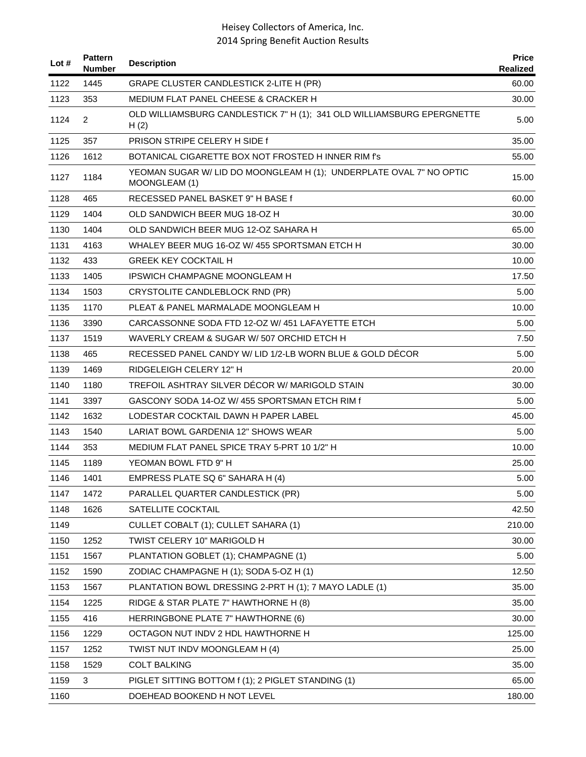| Lot # | <b>Pattern</b><br><b>Number</b> | <b>Description</b>                                                                   | <b>Price</b><br>Realized |
|-------|---------------------------------|--------------------------------------------------------------------------------------|--------------------------|
| 1122  | 1445                            | GRAPE CLUSTER CANDLESTICK 2-LITE H (PR)                                              | 60.00                    |
| 1123  | 353                             | MEDIUM FLAT PANEL CHEESE & CRACKER H                                                 | 30.00                    |
| 1124  | $\overline{2}$                  | OLD WILLIAMSBURG CANDLESTICK 7" H (1); 341 OLD WILLIAMSBURG EPERGNETTE<br>H(2)       | 5.00                     |
| 1125  | 357                             | PRISON STRIPE CELERY H SIDE f                                                        | 35.00                    |
| 1126  | 1612                            | BOTANICAL CIGARETTE BOX NOT FROSTED H INNER RIM f's                                  | 55.00                    |
| 1127  | 1184                            | YEOMAN SUGAR W/ LID DO MOONGLEAM H (1); UNDERPLATE OVAL 7" NO OPTIC<br>MOONGLEAM (1) | 15.00                    |
| 1128  | 465                             | RECESSED PANEL BASKET 9" H BASE f                                                    | 60.00                    |
| 1129  | 1404                            | OLD SANDWICH BEER MUG 18-OZ H                                                        | 30.00                    |
| 1130  | 1404                            | OLD SANDWICH BEER MUG 12-OZ SAHARA H                                                 | 65.00                    |
| 1131  | 4163                            | WHALEY BEER MUG 16-OZ W/ 455 SPORTSMAN ETCH H                                        | 30.00                    |
| 1132  | 433                             | <b>GREEK KEY COCKTAIL H</b>                                                          | 10.00                    |
| 1133  | 1405                            | IPSWICH CHAMPAGNE MOONGLEAM H                                                        | 17.50                    |
| 1134  | 1503                            | CRYSTOLITE CANDLEBLOCK RND (PR)                                                      | 5.00                     |
| 1135  | 1170                            | PLEAT & PANEL MARMALADE MOONGLEAM H                                                  | 10.00                    |
| 1136  | 3390                            | CARCASSONNE SODA FTD 12-OZ W/451 LAFAYETTE ETCH                                      | 5.00                     |
| 1137  | 1519                            | WAVERLY CREAM & SUGAR W/507 ORCHID ETCH H                                            | 7.50                     |
| 1138  | 465                             | RECESSED PANEL CANDY W/ LID 1/2-LB WORN BLUE & GOLD DÉCOR                            | 5.00                     |
| 1139  | 1469                            | RIDGELEIGH CELERY 12" H                                                              | 20.00                    |
| 1140  | 1180                            | TREFOIL ASHTRAY SILVER DÉCOR W/ MARIGOLD STAIN                                       | 30.00                    |
| 1141  | 3397                            | GASCONY SODA 14-OZ W/455 SPORTSMAN ETCH RIM f                                        | 5.00                     |
| 1142  | 1632                            | LODESTAR COCKTAIL DAWN H PAPER LABEL                                                 | 45.00                    |
| 1143  | 1540                            | LARIAT BOWL GARDENIA 12" SHOWS WEAR                                                  | 5.00                     |
| 1144  | 353                             | MEDIUM FLAT PANEL SPICE TRAY 5-PRT 10 1/2" H                                         | 10.00                    |
| 1145  | 1189                            | YEOMAN BOWL FTD 9" H                                                                 | 25.00                    |
| 1146  | 1401                            | EMPRESS PLATE SQ 6" SAHARA H (4)                                                     | 5.00                     |
| 1147  | 1472                            | PARALLEL QUARTER CANDLESTICK (PR)                                                    | 5.00                     |
| 1148  | 1626                            | SATELLITE COCKTAIL                                                                   | 42.50                    |
| 1149  |                                 | CULLET COBALT (1); CULLET SAHARA (1)                                                 | 210.00                   |
| 1150  | 1252                            | TWIST CELERY 10" MARIGOLD H                                                          | 30.00                    |
| 1151  | 1567                            | PLANTATION GOBLET (1); CHAMPAGNE (1)                                                 | 5.00                     |
| 1152  | 1590                            | ZODIAC CHAMPAGNE H (1); SODA 5-OZ H (1)                                              | 12.50                    |
| 1153  | 1567                            | PLANTATION BOWL DRESSING 2-PRT H (1); 7 MAYO LADLE (1)                               | 35.00                    |
| 1154  | 1225                            | RIDGE & STAR PLATE 7" HAWTHORNE H (8)                                                | 35.00                    |
| 1155  | 416                             | HERRINGBONE PLATE 7" HAWTHORNE (6)                                                   | 30.00                    |
| 1156  | 1229                            | OCTAGON NUT INDV 2 HDL HAWTHORNE H                                                   | 125.00                   |
| 1157  | 1252                            | TWIST NUT INDV MOONGLEAM H (4)                                                       | 25.00                    |
| 1158  | 1529                            | <b>COLT BALKING</b>                                                                  | 35.00                    |
| 1159  | 3                               | PIGLET SITTING BOTTOM f (1); 2 PIGLET STANDING (1)                                   | 65.00                    |
| 1160  |                                 | DOEHEAD BOOKEND H NOT LEVEL                                                          | 180.00                   |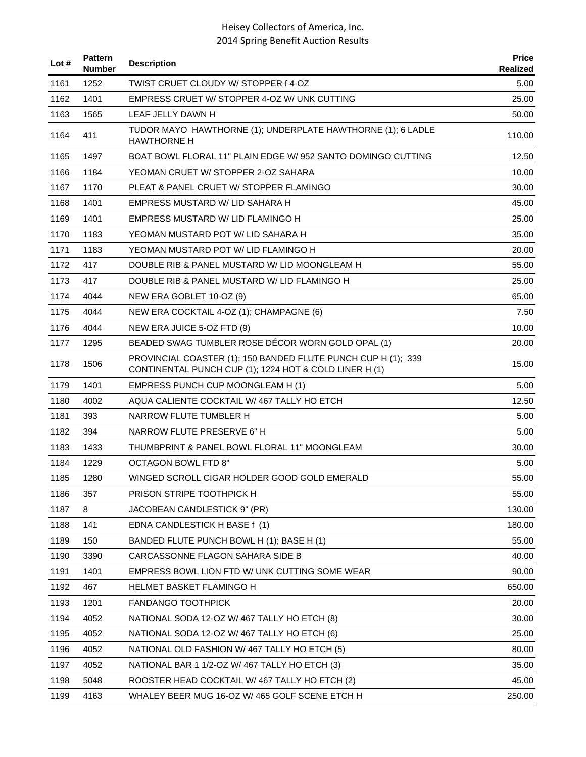| Lot $#$ | <b>Pattern</b><br><b>Number</b> | <b>Description</b>                                                                                                      | <b>Price</b><br>Realized |
|---------|---------------------------------|-------------------------------------------------------------------------------------------------------------------------|--------------------------|
| 1161    | 1252                            | TWIST CRUET CLOUDY W/ STOPPER f 4-OZ                                                                                    | 5.00                     |
| 1162    | 1401                            | EMPRESS CRUET W/ STOPPER 4-OZ W/ UNK CUTTING                                                                            | 25.00                    |
| 1163    | 1565                            | LEAF JELLY DAWN H                                                                                                       | 50.00                    |
| 1164    | 411                             | TUDOR MAYO HAWTHORNE (1); UNDERPLATE HAWTHORNE (1); 6 LADLE<br><b>HAWTHORNE H</b>                                       | 110.00                   |
| 1165    | 1497                            | BOAT BOWL FLORAL 11" PLAIN EDGE W/952 SANTO DOMINGO CUTTING                                                             | 12.50                    |
| 1166    | 1184                            | YEOMAN CRUET W/ STOPPER 2-OZ SAHARA                                                                                     | 10.00                    |
| 1167    | 1170                            | PLEAT & PANEL CRUET W/ STOPPER FLAMINGO                                                                                 | 30.00                    |
| 1168    | 1401                            | EMPRESS MUSTARD W/ LID SAHARA H                                                                                         | 45.00                    |
| 1169    | 1401                            | EMPRESS MUSTARD W/ LID FLAMINGO H                                                                                       | 25.00                    |
| 1170    | 1183                            | YEOMAN MUSTARD POT W/ LID SAHARA H                                                                                      | 35.00                    |
| 1171    | 1183                            | YEOMAN MUSTARD POT W/ LID FLAMINGO H                                                                                    | 20.00                    |
| 1172    | 417                             | DOUBLE RIB & PANEL MUSTARD W/ LID MOONGLEAM H                                                                           | 55.00                    |
| 1173    | 417                             | DOUBLE RIB & PANEL MUSTARD W/ LID FLAMINGO H                                                                            | 25.00                    |
| 1174    | 4044                            | NEW ERA GOBLET 10-OZ (9)                                                                                                | 65.00                    |
| 1175    | 4044                            | NEW ERA COCKTAIL 4-OZ (1); CHAMPAGNE (6)                                                                                | 7.50                     |
| 1176    | 4044                            | NEW ERA JUICE 5-OZ FTD (9)                                                                                              | 10.00                    |
| 1177    | 1295                            | BEADED SWAG TUMBLER ROSE DÉCOR WORN GOLD OPAL (1)                                                                       | 20.00                    |
| 1178    | 1506                            | PROVINCIAL COASTER (1); 150 BANDED FLUTE PUNCH CUP H (1); 339<br>CONTINENTAL PUNCH CUP (1); 1224 HOT & COLD LINER H (1) | 15.00                    |
| 1179    | 1401                            | EMPRESS PUNCH CUP MOONGLEAM H (1)                                                                                       | 5.00                     |
| 1180    | 4002                            | AQUA CALIENTE COCKTAIL W/467 TALLY HO ETCH                                                                              | 12.50                    |
| 1181    | 393                             | NARROW FLUTE TUMBLER H                                                                                                  | 5.00                     |
| 1182    | 394                             | NARROW FLUTE PRESERVE 6" H                                                                                              | 5.00                     |
| 1183    | 1433                            | THUMBPRINT & PANEL BOWL FLORAL 11" MOONGLEAM                                                                            | 30.00                    |
| 1184    | 1229                            | <b>OCTAGON BOWL FTD 8"</b>                                                                                              | 5.00                     |
| 1185    | 1280                            | WINGED SCROLL CIGAR HOLDER GOOD GOLD EMERALD                                                                            | 55.00                    |
| 1186    | 357                             | PRISON STRIPE TOOTHPICK H                                                                                               | 55.00                    |
| 1187    | 8                               | JACOBEAN CANDLESTICK 9" (PR)                                                                                            | 130.00                   |
| 1188    | 141                             | EDNA CANDLESTICK H BASE f (1)                                                                                           | 180.00                   |
| 1189    | 150                             | BANDED FLUTE PUNCH BOWL H (1); BASE H (1)                                                                               | 55.00                    |
| 1190    | 3390                            | CARCASSONNE FLAGON SAHARA SIDE B                                                                                        | 40.00                    |
| 1191    | 1401                            | EMPRESS BOWL LION FTD W/ UNK CUTTING SOME WEAR                                                                          | 90.00                    |
| 1192    | 467                             | HELMET BASKET FLAMINGO H                                                                                                | 650.00                   |
| 1193    | 1201                            | FANDANGO TOOTHPICK                                                                                                      | 20.00                    |
| 1194    | 4052                            | NATIONAL SODA 12-OZ W/467 TALLY HO ETCH (8)                                                                             | 30.00                    |
| 1195    | 4052                            | NATIONAL SODA 12-OZ W/467 TALLY HO ETCH (6)                                                                             | 25.00                    |
| 1196    | 4052                            | NATIONAL OLD FASHION W/467 TALLY HO ETCH (5)                                                                            | 80.00                    |
| 1197    | 4052                            | NATIONAL BAR 1 1/2-OZ W/ 467 TALLY HO ETCH (3)                                                                          | 35.00                    |
| 1198    | 5048                            | ROOSTER HEAD COCKTAIL W/467 TALLY HO ETCH (2)                                                                           | 45.00                    |
| 1199    | 4163                            | WHALEY BEER MUG 16-OZ W/ 465 GOLF SCENE ETCH H                                                                          | 250.00                   |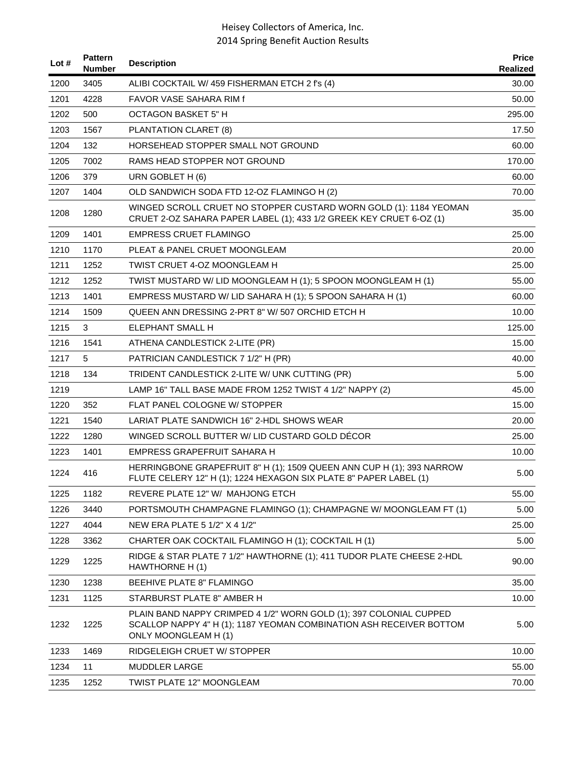| Lot # | <b>Pattern</b><br><b>Number</b> | <b>Description</b>                                                                                                                                                | <b>Price</b><br><b>Realized</b> |
|-------|---------------------------------|-------------------------------------------------------------------------------------------------------------------------------------------------------------------|---------------------------------|
| 1200  | 3405                            | ALIBI COCKTAIL W/ 459 FISHERMAN ETCH 2 f's (4)                                                                                                                    | 30.00                           |
| 1201  | 4228                            | FAVOR VASE SAHARA RIM f                                                                                                                                           | 50.00                           |
| 1202  | 500                             | <b>OCTAGON BASKET 5" H</b>                                                                                                                                        | 295.00                          |
| 1203  | 1567                            | PLANTATION CLARET (8)                                                                                                                                             | 17.50                           |
| 1204  | 132                             | HORSEHEAD STOPPER SMALL NOT GROUND                                                                                                                                | 60.00                           |
| 1205  | 7002                            | RAMS HEAD STOPPER NOT GROUND                                                                                                                                      | 170.00                          |
| 1206  | 379                             | URN GOBLET H (6)                                                                                                                                                  | 60.00                           |
| 1207  | 1404                            | OLD SANDWICH SODA FTD 12-OZ FLAMINGO H (2)                                                                                                                        | 70.00                           |
| 1208  | 1280                            | WINGED SCROLL CRUET NO STOPPER CUSTARD WORN GOLD (1): 1184 YEOMAN<br>CRUET 2-OZ SAHARA PAPER LABEL (1); 433 1/2 GREEK KEY CRUET 6-OZ (1)                          | 35.00                           |
| 1209  | 1401                            | <b>EMPRESS CRUET FLAMINGO</b>                                                                                                                                     | 25.00                           |
| 1210  | 1170                            | PLEAT & PANEL CRUET MOONGLEAM                                                                                                                                     | 20.00                           |
| 1211  | 1252                            | TWIST CRUET 4-OZ MOONGLEAM H                                                                                                                                      | 25.00                           |
| 1212  | 1252                            | TWIST MUSTARD W/ LID MOONGLEAM H (1); 5 SPOON MOONGLEAM H (1)                                                                                                     | 55.00                           |
| 1213  | 1401                            | EMPRESS MUSTARD W/ LID SAHARA H (1); 5 SPOON SAHARA H (1)                                                                                                         | 60.00                           |
| 1214  | 1509                            | QUEEN ANN DRESSING 2-PRT 8" W/ 507 ORCHID ETCH H                                                                                                                  | 10.00                           |
| 1215  | 3                               | <b>ELEPHANT SMALL H</b>                                                                                                                                           | 125.00                          |
| 1216  | 1541                            | ATHENA CANDLESTICK 2-LITE (PR)                                                                                                                                    | 15.00                           |
| 1217  | 5                               | PATRICIAN CANDLESTICK 7 1/2" H (PR)                                                                                                                               | 40.00                           |
| 1218  | 134                             | TRIDENT CANDLESTICK 2-LITE W/ UNK CUTTING (PR)                                                                                                                    | 5.00                            |
| 1219  |                                 | LAMP 16" TALL BASE MADE FROM 1252 TWIST 4 1/2" NAPPY (2)                                                                                                          | 45.00                           |
| 1220  | 352                             | FLAT PANEL COLOGNE W/ STOPPER                                                                                                                                     | 15.00                           |
| 1221  | 1540                            | LARIAT PLATE SANDWICH 16" 2-HDL SHOWS WEAR                                                                                                                        | 20.00                           |
| 1222  | 1280                            | WINGED SCROLL BUTTER W/ LID CUSTARD GOLD DECOR                                                                                                                    | 25.00                           |
| 1223  | 1401                            | EMPRESS GRAPEFRUIT SAHARA H                                                                                                                                       | 10.00                           |
| 1224  | 416                             | HERRINGBONE GRAPEFRUIT 8" H (1); 1509 QUEEN ANN CUP H (1); 393 NARROW<br>FLUTE CELERY 12" H (1); 1224 HEXAGON SIX PLATE 8" PAPER LABEL (1)                        | 5.00                            |
| 1225  | 1182                            | REVERE PLATE 12" W/ MAHJONG ETCH                                                                                                                                  | 55.00                           |
| 1226  | 3440                            | PORTSMOUTH CHAMPAGNE FLAMINGO (1); CHAMPAGNE W/ MOONGLEAM FT (1)                                                                                                  | 5.00                            |
| 1227  | 4044                            | NEW ERA PLATE 5 1/2" X 4 1/2"                                                                                                                                     | 25.00                           |
| 1228  | 3362                            | CHARTER OAK COCKTAIL FLAMINGO H (1); COCKTAIL H (1)                                                                                                               | 5.00                            |
| 1229  | 1225                            | RIDGE & STAR PLATE 7 1/2" HAWTHORNE (1); 411 TUDOR PLATE CHEESE 2-HDL<br>HAWTHORNE H (1)                                                                          | 90.00                           |
| 1230  | 1238                            | <b>BEEHIVE PLATE 8" FLAMINGO</b>                                                                                                                                  | 35.00                           |
| 1231  | 1125                            | STARBURST PLATE 8" AMBER H                                                                                                                                        | 10.00                           |
| 1232  | 1225                            | PLAIN BAND NAPPY CRIMPED 4 1/2" WORN GOLD (1); 397 COLONIAL CUPPED<br>SCALLOP NAPPY 4" H (1); 1187 YEOMAN COMBINATION ASH RECEIVER BOTTOM<br>ONLY MOONGLEAM H (1) | 5.00                            |
| 1233  | 1469                            | RIDGELEIGH CRUET W/ STOPPER                                                                                                                                       | 10.00                           |
| 1234  | 11                              | <b>MUDDLER LARGE</b>                                                                                                                                              | 55.00                           |
| 1235  | 1252                            | TWIST PLATE 12" MOONGLEAM                                                                                                                                         | 70.00                           |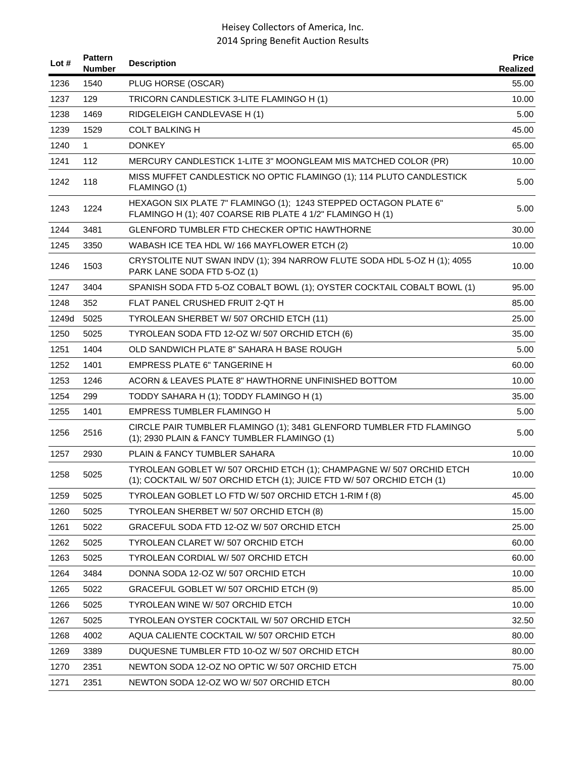| Lot # | <b>Pattern</b><br><b>Number</b> | <b>Description</b>                                                                                                                             | <b>Price</b><br>Realized |
|-------|---------------------------------|------------------------------------------------------------------------------------------------------------------------------------------------|--------------------------|
| 1236  | 1540                            | PLUG HORSE (OSCAR)                                                                                                                             | 55.00                    |
| 1237  | 129                             | TRICORN CANDLESTICK 3-LITE FLAMINGO H (1)                                                                                                      | 10.00                    |
| 1238  | 1469                            | RIDGELEIGH CANDLEVASE H (1)                                                                                                                    | 5.00                     |
| 1239  | 1529                            | <b>COLT BALKING H</b>                                                                                                                          | 45.00                    |
| 1240  | $\mathbf{1}$                    | <b>DONKEY</b>                                                                                                                                  | 65.00                    |
| 1241  | 112                             | MERCURY CANDLESTICK 1-LITE 3" MOONGLEAM MIS MATCHED COLOR (PR)                                                                                 | 10.00                    |
| 1242  | 118                             | MISS MUFFET CANDLESTICK NO OPTIC FLAMINGO (1); 114 PLUTO CANDLESTICK<br>FLAMINGO (1)                                                           | 5.00                     |
| 1243  | 1224                            | HEXAGON SIX PLATE 7" FLAMINGO (1); 1243 STEPPED OCTAGON PLATE 6"<br>FLAMINGO H (1); 407 COARSE RIB PLATE 4 1/2" FLAMINGO H (1)                 | 5.00                     |
| 1244  | 3481                            | GLENFORD TUMBLER FTD CHECKER OPTIC HAWTHORNE                                                                                                   | 30.00                    |
| 1245  | 3350                            | WABASH ICE TEA HDL W/ 166 MAYFLOWER ETCH (2)                                                                                                   | 10.00                    |
| 1246  | 1503                            | CRYSTOLITE NUT SWAN INDV (1); 394 NARROW FLUTE SODA HDL 5-OZ H (1); 4055<br>PARK LANE SODA FTD 5-OZ (1)                                        | 10.00                    |
| 1247  | 3404                            | SPANISH SODA FTD 5-OZ COBALT BOWL (1); OYSTER COCKTAIL COBALT BOWL (1)                                                                         | 95.00                    |
| 1248  | 352                             | FLAT PANEL CRUSHED FRUIT 2-QT H                                                                                                                | 85.00                    |
| 1249d | 5025                            | TYROLEAN SHERBET W/507 ORCHID ETCH (11)                                                                                                        | 25.00                    |
| 1250  | 5025                            | TYROLEAN SODA FTD 12-OZ W/ 507 ORCHID ETCH (6)                                                                                                 | 35.00                    |
| 1251  | 1404                            | OLD SANDWICH PLATE 8" SAHARA H BASE ROUGH                                                                                                      | 5.00                     |
| 1252  | 1401                            | <b>EMPRESS PLATE 6" TANGERINE H</b>                                                                                                            | 60.00                    |
| 1253  | 1246                            | ACORN & LEAVES PLATE 8" HAWTHORNE UNFINISHED BOTTOM                                                                                            | 10.00                    |
| 1254  | 299                             | TODDY SAHARA H (1); TODDY FLAMINGO H (1)                                                                                                       | 35.00                    |
| 1255  | 1401                            | EMPRESS TUMBLER FLAMINGO H                                                                                                                     | 5.00                     |
| 1256  | 2516                            | CIRCLE PAIR TUMBLER FLAMINGO (1); 3481 GLENFORD TUMBLER FTD FLAMINGO<br>(1); 2930 PLAIN & FANCY TUMBLER FLAMINGO (1)                           | 5.00                     |
| 1257  | 2930                            | PLAIN & FANCY TUMBLER SAHARA                                                                                                                   | 10.00                    |
| 1258  | 5025                            | TYROLEAN GOBLET W/ 507 ORCHID ETCH (1); CHAMPAGNE W/ 507 ORCHID ETCH<br>(1); COCKTAIL W/ 507 ORCHID ETCH (1); JUICE FTD W/ 507 ORCHID ETCH (1) | 10.00                    |
| 1259  | 5025                            | TYROLEAN GOBLET LO FTD W/ 507 ORCHID ETCH 1-RIM f (8)                                                                                          | 45.00                    |
| 1260  | 5025                            | TYROLEAN SHERBET W/ 507 ORCHID ETCH (8)                                                                                                        | 15.00                    |
| 1261  | 5022                            | GRACEFUL SODA FTD 12-OZ W/507 ORCHID ETCH                                                                                                      | 25.00                    |
| 1262  | 5025                            | TYROLEAN CLARET W/ 507 ORCHID ETCH                                                                                                             | 60.00                    |
| 1263  | 5025                            | TYROLEAN CORDIAL W/ 507 ORCHID ETCH                                                                                                            | 60.00                    |
| 1264  | 3484                            | DONNA SODA 12-OZ W/ 507 ORCHID ETCH                                                                                                            | 10.00                    |
| 1265  | 5022                            | GRACEFUL GOBLET W/ 507 ORCHID ETCH (9)                                                                                                         | 85.00                    |
| 1266  | 5025                            | TYROLEAN WINE W/ 507 ORCHID ETCH                                                                                                               | 10.00                    |
| 1267  | 5025                            | TYROLEAN OYSTER COCKTAIL W/ 507 ORCHID ETCH                                                                                                    | 32.50                    |
| 1268  | 4002                            | AQUA CALIENTE COCKTAIL W/ 507 ORCHID ETCH                                                                                                      | 80.00                    |
| 1269  | 3389                            | DUQUESNE TUMBLER FTD 10-OZ W/ 507 ORCHID ETCH                                                                                                  | 80.00                    |
| 1270  | 2351                            | NEWTON SODA 12-OZ NO OPTIC W/507 ORCHID ETCH                                                                                                   | 75.00                    |
| 1271  | 2351                            | NEWTON SODA 12-OZ WO W/ 507 ORCHID ETCH                                                                                                        | 80.00                    |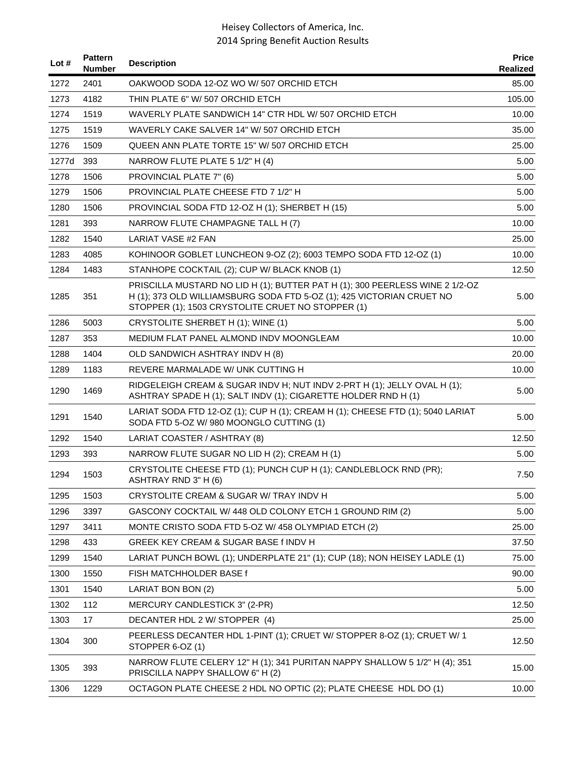| Lot # | <b>Pattern</b><br><b>Number</b> | <b>Description</b>                                                                                                                                                                                         | <b>Price</b><br>Realized |
|-------|---------------------------------|------------------------------------------------------------------------------------------------------------------------------------------------------------------------------------------------------------|--------------------------|
| 1272  | 2401                            | OAKWOOD SODA 12-OZ WO W/507 ORCHID ETCH                                                                                                                                                                    | 85.00                    |
| 1273  | 4182                            | THIN PLATE 6" W/ 507 ORCHID ETCH                                                                                                                                                                           | 105.00                   |
| 1274  | 1519                            | WAVERLY PLATE SANDWICH 14" CTR HDL W/ 507 ORCHID ETCH                                                                                                                                                      | 10.00                    |
| 1275  | 1519                            | WAVERLY CAKE SALVER 14" W/ 507 ORCHID ETCH                                                                                                                                                                 | 35.00                    |
| 1276  | 1509                            | QUEEN ANN PLATE TORTE 15" W/ 507 ORCHID ETCH                                                                                                                                                               | 25.00                    |
| 1277d | 393                             | NARROW FLUTE PLATE 5 1/2" H (4)                                                                                                                                                                            | 5.00                     |
| 1278  | 1506                            | PROVINCIAL PLATE 7" (6)                                                                                                                                                                                    | 5.00                     |
| 1279  | 1506                            | PROVINCIAL PLATE CHEESE FTD 7 1/2" H                                                                                                                                                                       | 5.00                     |
| 1280  | 1506                            | PROVINCIAL SODA FTD 12-OZ H (1); SHERBET H (15)                                                                                                                                                            | 5.00                     |
| 1281  | 393                             | NARROW FLUTE CHAMPAGNE TALL H (7)                                                                                                                                                                          | 10.00                    |
| 1282  | 1540                            | <b>LARIAT VASE #2 FAN</b>                                                                                                                                                                                  | 25.00                    |
| 1283  | 4085                            | KOHINOOR GOBLET LUNCHEON 9-OZ (2); 6003 TEMPO SODA FTD 12-OZ (1)                                                                                                                                           | 10.00                    |
| 1284  | 1483                            | STANHOPE COCKTAIL (2); CUP W/ BLACK KNOB (1)                                                                                                                                                               | 12.50                    |
| 1285  | 351                             | PRISCILLA MUSTARD NO LID H (1); BUTTER PAT H (1); 300 PEERLESS WINE 2 1/2-OZ<br>H (1); 373 OLD WILLIAMSBURG SODA FTD 5-OZ (1); 425 VICTORIAN CRUET NO<br>STOPPER (1); 1503 CRYSTOLITE CRUET NO STOPPER (1) | 5.00                     |
| 1286  | 5003                            | CRYSTOLITE SHERBET H (1); WINE (1)                                                                                                                                                                         | 5.00                     |
| 1287  | 353                             | MEDIUM FLAT PANEL ALMOND INDV MOONGLEAM                                                                                                                                                                    | 10.00                    |
| 1288  | 1404                            | OLD SANDWICH ASHTRAY INDV H (8)                                                                                                                                                                            | 20.00                    |
| 1289  | 1183                            | REVERE MARMALADE W/ UNK CUTTING H                                                                                                                                                                          | 10.00                    |
| 1290  | 1469                            | RIDGELEIGH CREAM & SUGAR INDV H; NUT INDV 2-PRT H (1); JELLY OVAL H (1);<br>ASHTRAY SPADE H (1); SALT INDV (1); CIGARETTE HOLDER RND H (1)                                                                 | 5.00                     |
| 1291  | 1540                            | LARIAT SODA FTD 12-OZ (1); CUP H (1); CREAM H (1); CHEESE FTD (1); 5040 LARIAT<br>SODA FTD 5-OZ W/ 980 MOONGLO CUTTING (1)                                                                                 | 5.00                     |
| 1292  | 1540                            | LARIAT COASTER / ASHTRAY (8)                                                                                                                                                                               | 12.50                    |
| 1293  | 393                             | NARROW FLUTE SUGAR NO LID H (2); CREAM H (1)                                                                                                                                                               | 5.00                     |
| 1294  | 1503                            | CRYSTOLITE CHEESE FTD (1); PUNCH CUP H (1); CANDLEBLOCK RND (PR);<br>ASHTRAY RND 3" H (6)                                                                                                                  | 7.50                     |
| 1295  | 1503                            | CRYSTOLITE CREAM & SUGAR W/ TRAY INDV H                                                                                                                                                                    | 5.00                     |
| 1296  | 3397                            | GASCONY COCKTAIL W/ 448 OLD COLONY ETCH 1 GROUND RIM (2)                                                                                                                                                   | 5.00                     |
| 1297  | 3411                            | MONTE CRISTO SODA FTD 5-OZ W/458 OLYMPIAD ETCH (2)                                                                                                                                                         | 25.00                    |
| 1298  | 433                             | GREEK KEY CREAM & SUGAR BASE f INDV H                                                                                                                                                                      | 37.50                    |
| 1299  | 1540                            | LARIAT PUNCH BOWL (1); UNDERPLATE 21" (1); CUP (18); NON HEISEY LADLE (1)                                                                                                                                  | 75.00                    |
| 1300  | 1550                            | FISH MATCHHOLDER BASE f                                                                                                                                                                                    | 90.00                    |
| 1301  | 1540                            | LARIAT BON BON (2)                                                                                                                                                                                         | 5.00                     |
| 1302  | 112                             | MERCURY CANDLESTICK 3" (2-PR)                                                                                                                                                                              | 12.50                    |
| 1303  | 17                              | DECANTER HDL 2 W/ STOPPER (4)                                                                                                                                                                              | 25.00                    |
| 1304  | 300                             | PEERLESS DECANTER HDL 1-PINT (1); CRUET W/ STOPPER 8-OZ (1); CRUET W/ 1<br>STOPPER 6-OZ (1)                                                                                                                | 12.50                    |
| 1305  | 393                             | NARROW FLUTE CELERY 12" H (1); 341 PURITAN NAPPY SHALLOW 5 1/2" H (4); 351<br>PRISCILLA NAPPY SHALLOW 6" H (2)                                                                                             | 15.00                    |
| 1306  | 1229                            | OCTAGON PLATE CHEESE 2 HDL NO OPTIC (2); PLATE CHEESE HDL DO (1)                                                                                                                                           | 10.00                    |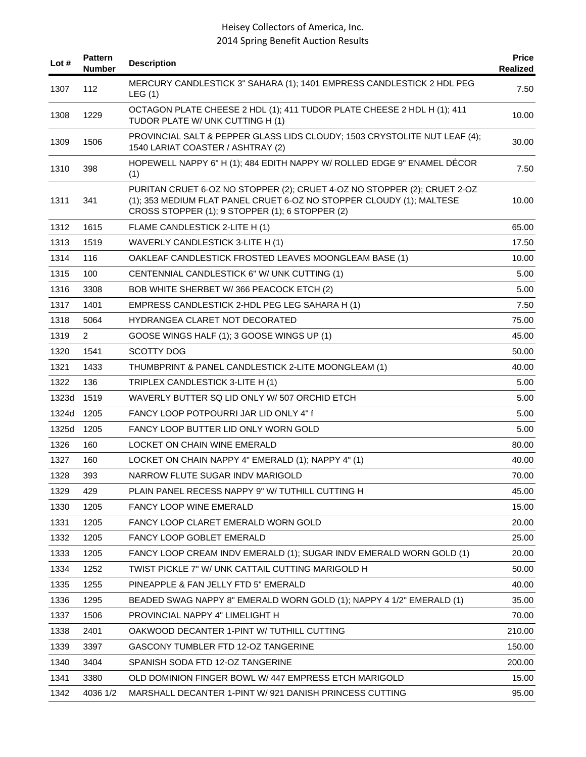| Lot $#$ | <b>Pattern</b><br>Number | <b>Description</b>                                                                                                                                                                                  | <b>Price</b><br>Realized |
|---------|--------------------------|-----------------------------------------------------------------------------------------------------------------------------------------------------------------------------------------------------|--------------------------|
| 1307    | 112                      | MERCURY CANDLESTICK 3" SAHARA (1); 1401 EMPRESS CANDLESTICK 2 HDL PEG<br>LEG(1)                                                                                                                     | 7.50                     |
| 1308    | 1229                     | OCTAGON PLATE CHEESE 2 HDL (1); 411 TUDOR PLATE CHEESE 2 HDL H (1); 411<br>TUDOR PLATE W/ UNK CUTTING H (1)                                                                                         | 10.00                    |
| 1309    | 1506                     | PROVINCIAL SALT & PEPPER GLASS LIDS CLOUDY; 1503 CRYSTOLITE NUT LEAF (4);<br>1540 LARIAT COASTER / ASHTRAY (2)                                                                                      | 30.00                    |
| 1310    | 398                      | HOPEWELL NAPPY 6" H (1); 484 EDITH NAPPY W/ ROLLED EDGE 9" ENAMEL DÉCOR<br>(1)                                                                                                                      | 7.50                     |
| 1311    | 341                      | PURITAN CRUET 6-OZ NO STOPPER (2); CRUET 4-OZ NO STOPPER (2); CRUET 2-OZ<br>(1); 353 MEDIUM FLAT PANEL CRUET 6-OZ NO STOPPER CLOUDY (1); MALTESE<br>CROSS STOPPER (1); 9 STOPPER (1); 6 STOPPER (2) | 10.00                    |
| 1312    | 1615                     | FLAME CANDLESTICK 2-LITE H (1)                                                                                                                                                                      | 65.00                    |
| 1313    | 1519                     | WAVERLY CANDLESTICK 3-LITE H (1)                                                                                                                                                                    | 17.50                    |
| 1314    | 116                      | OAKLEAF CANDLESTICK FROSTED LEAVES MOONGLEAM BASE (1)                                                                                                                                               | 10.00                    |
| 1315    | 100                      | CENTENNIAL CANDLESTICK 6" W/ UNK CUTTING (1)                                                                                                                                                        | 5.00                     |
| 1316    | 3308                     | BOB WHITE SHERBET W/366 PEACOCK ETCH (2)                                                                                                                                                            | 5.00                     |
| 1317    | 1401                     | EMPRESS CANDLESTICK 2-HDL PEG LEG SAHARA H (1)                                                                                                                                                      | 7.50                     |
| 1318    | 5064                     | <b>HYDRANGEA CLARET NOT DECORATED</b>                                                                                                                                                               | 75.00                    |
| 1319    | $\overline{2}$           | GOOSE WINGS HALF (1); 3 GOOSE WINGS UP (1)                                                                                                                                                          | 45.00                    |
| 1320    | 1541                     | <b>SCOTTY DOG</b>                                                                                                                                                                                   | 50.00                    |
| 1321    | 1433                     | THUMBPRINT & PANEL CANDLESTICK 2-LITE MOONGLEAM (1)                                                                                                                                                 | 40.00                    |
| 1322    | 136                      | TRIPLEX CANDLESTICK 3-LITE H (1)                                                                                                                                                                    | 5.00                     |
| 1323d   | 1519                     | WAVERLY BUTTER SQ LID ONLY W/507 ORCHID ETCH                                                                                                                                                        | 5.00                     |
| 1324d   | 1205                     | FANCY LOOP POTPOURRI JAR LID ONLY 4" f                                                                                                                                                              | 5.00                     |
| 1325d   | 1205                     | FANCY LOOP BUTTER LID ONLY WORN GOLD                                                                                                                                                                | 5.00                     |
| 1326    | 160                      | LOCKET ON CHAIN WINE EMERALD                                                                                                                                                                        | 80.00                    |
| 1327    | 160                      | LOCKET ON CHAIN NAPPY 4" EMERALD (1); NAPPY 4" (1)                                                                                                                                                  | 40.00                    |
| 1328    | 393                      | NARROW FLUTE SUGAR INDV MARIGOLD                                                                                                                                                                    | 70.00                    |
| 1329    | 429                      | PLAIN PANEL RECESS NAPPY 9" W/ TUTHILL CUTTING H                                                                                                                                                    | 45.00                    |
| 1330    | 1205                     | <b>FANCY LOOP WINE EMERALD</b>                                                                                                                                                                      | 15.00                    |
| 1331    | 1205                     | FANCY LOOP CLARET EMERALD WORN GOLD                                                                                                                                                                 | 20.00                    |
| 1332    | 1205                     | FANCY LOOP GOBLET EMERALD                                                                                                                                                                           | 25.00                    |
| 1333    | 1205                     | FANCY LOOP CREAM INDV EMERALD (1); SUGAR INDV EMERALD WORN GOLD (1)                                                                                                                                 | 20.00                    |
| 1334    | 1252                     | TWIST PICKLE 7" W/ UNK CATTAIL CUTTING MARIGOLD H                                                                                                                                                   | 50.00                    |
| 1335    | 1255                     | PINEAPPLE & FAN JELLY FTD 5" EMERALD                                                                                                                                                                | 40.00                    |
| 1336    | 1295                     | BEADED SWAG NAPPY 8" EMERALD WORN GOLD (1); NAPPY 4 1/2" EMERALD (1)                                                                                                                                | 35.00                    |
| 1337    | 1506                     | PROVINCIAL NAPPY 4" LIMELIGHT H                                                                                                                                                                     | 70.00                    |
| 1338    | 2401                     | OAKWOOD DECANTER 1-PINT W/ TUTHILL CUTTING                                                                                                                                                          | 210.00                   |
| 1339    | 3397                     | GASCONY TUMBLER FTD 12-OZ TANGERINE                                                                                                                                                                 | 150.00                   |
| 1340    | 3404                     | SPANISH SODA FTD 12-OZ TANGERINE                                                                                                                                                                    | 200.00                   |
| 1341    | 3380                     | OLD DOMINION FINGER BOWL W/ 447 EMPRESS ETCH MARIGOLD                                                                                                                                               | 15.00                    |
| 1342    | 4036 1/2                 | MARSHALL DECANTER 1-PINT W/ 921 DANISH PRINCESS CUTTING                                                                                                                                             | 95.00                    |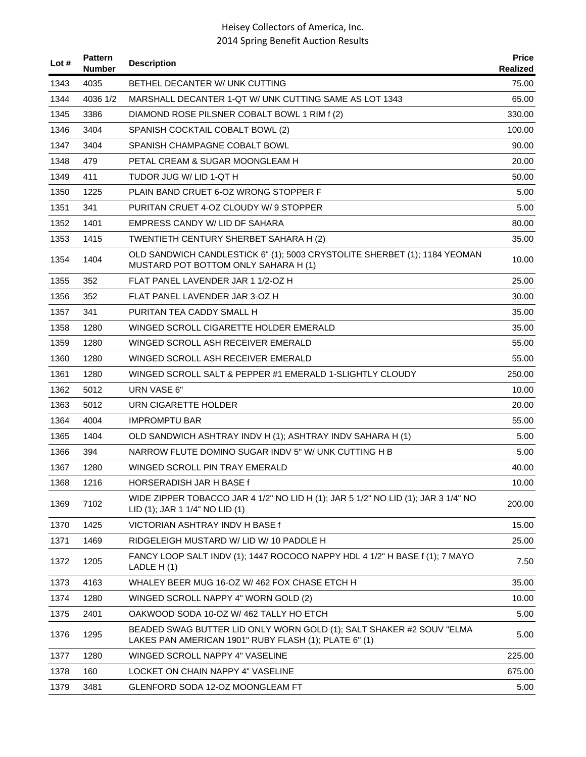| Lot # | <b>Pattern</b><br><b>Number</b> | <b>Description</b>                                                                                                            | <b>Price</b><br>Realized |
|-------|---------------------------------|-------------------------------------------------------------------------------------------------------------------------------|--------------------------|
| 1343  | 4035                            | BETHEL DECANTER W/ UNK CUTTING                                                                                                | 75.00                    |
| 1344  | 4036 1/2                        | MARSHALL DECANTER 1-QT W/ UNK CUTTING SAME AS LOT 1343                                                                        | 65.00                    |
| 1345  | 3386                            | DIAMOND ROSE PILSNER COBALT BOWL 1 RIM f (2)                                                                                  | 330.00                   |
| 1346  | 3404                            | SPANISH COCKTAIL COBALT BOWL (2)                                                                                              | 100.00                   |
| 1347  | 3404                            | SPANISH CHAMPAGNE COBALT BOWL                                                                                                 | 90.00                    |
| 1348  | 479                             | PETAL CREAM & SUGAR MOONGLEAM H                                                                                               | 20.00                    |
| 1349  | 411                             | TUDOR JUG W/ LID 1-QT H                                                                                                       | 50.00                    |
| 1350  | 1225                            | PLAIN BAND CRUET 6-OZ WRONG STOPPER F                                                                                         | 5.00                     |
| 1351  | 341                             | PURITAN CRUET 4-OZ CLOUDY W/9 STOPPER                                                                                         | 5.00                     |
| 1352  | 1401                            | EMPRESS CANDY W/ LID DF SAHARA                                                                                                | 80.00                    |
| 1353  | 1415                            | TWENTIETH CENTURY SHERBET SAHARA H (2)                                                                                        | 35.00                    |
| 1354  | 1404                            | OLD SANDWICH CANDLESTICK 6" (1); 5003 CRYSTOLITE SHERBET (1); 1184 YEOMAN<br>MUSTARD POT BOTTOM ONLY SAHARA H (1)             | 10.00                    |
| 1355  | 352                             | FLAT PANEL LAVENDER JAR 1 1/2-OZ H                                                                                            | 25.00                    |
| 1356  | 352                             | FLAT PANEL LAVENDER JAR 3-OZ H                                                                                                | 30.00                    |
| 1357  | 341                             | PURITAN TEA CADDY SMALL H                                                                                                     | 35.00                    |
| 1358  | 1280                            | WINGED SCROLL CIGARETTE HOLDER EMERALD                                                                                        | 35.00                    |
| 1359  | 1280                            | WINGED SCROLL ASH RECEIVER EMERALD                                                                                            | 55.00                    |
| 1360  | 1280                            | WINGED SCROLL ASH RECEIVER EMERALD                                                                                            | 55.00                    |
| 1361  | 1280                            | WINGED SCROLL SALT & PEPPER #1 EMERALD 1-SLIGHTLY CLOUDY                                                                      | 250.00                   |
| 1362  | 5012                            | URN VASE 6"                                                                                                                   | 10.00                    |
| 1363  | 5012                            | URN CIGARETTE HOLDER                                                                                                          | 20.00                    |
| 1364  | 4004                            | <b>IMPROMPTU BAR</b>                                                                                                          | 55.00                    |
| 1365  | 1404                            | OLD SANDWICH ASHTRAY INDV H (1); ASHTRAY INDV SAHARA H (1)                                                                    | 5.00                     |
| 1366  | 394                             | NARROW FLUTE DOMINO SUGAR INDV 5" W/ UNK CUTTING H B                                                                          | 5.00                     |
| 1367  | 1280                            | WINGED SCROLL PIN TRAY EMERALD                                                                                                | 40.00                    |
| 1368  | 1216                            | HORSERADISH JAR H BASE f                                                                                                      | 10.00                    |
| 1369  | 7102                            | WIDE ZIPPER TOBACCO JAR 4 1/2" NO LID H (1); JAR 5 1/2" NO LID (1); JAR 3 1/4" NO<br>LID (1); JAR 1 1/4" NO LID (1)           | 200.00                   |
| 1370  | 1425                            | VICTORIAN ASHTRAY INDV H BASE f                                                                                               | 15.00                    |
| 1371  | 1469                            | RIDGELEIGH MUSTARD W/LID W/10 PADDLE H                                                                                        | 25.00                    |
| 1372  | 1205                            | FANCY LOOP SALT INDV (1); 1447 ROCOCO NAPPY HDL 4 1/2" H BASE f (1); 7 MAYO<br>LADLE H(1)                                     | 7.50                     |
| 1373  | 4163                            | WHALEY BEER MUG 16-OZ W/ 462 FOX CHASE ETCH H                                                                                 | 35.00                    |
| 1374  | 1280                            | WINGED SCROLL NAPPY 4" WORN GOLD (2)                                                                                          | 10.00                    |
| 1375  | 2401                            | OAKWOOD SODA 10-OZ W/462 TALLY HO ETCH                                                                                        | 5.00                     |
| 1376  | 1295                            | BEADED SWAG BUTTER LID ONLY WORN GOLD (1); SALT SHAKER #2 SOUV "ELMA<br>LAKES PAN AMERICAN 1901" RUBY FLASH (1); PLATE 6" (1) | 5.00                     |
| 1377  | 1280                            | WINGED SCROLL NAPPY 4" VASELINE                                                                                               | 225.00                   |
| 1378  | 160                             | LOCKET ON CHAIN NAPPY 4" VASELINE                                                                                             | 675.00                   |
| 1379  | 3481                            | GLENFORD SODA 12-OZ MOONGLEAM FT                                                                                              | 5.00                     |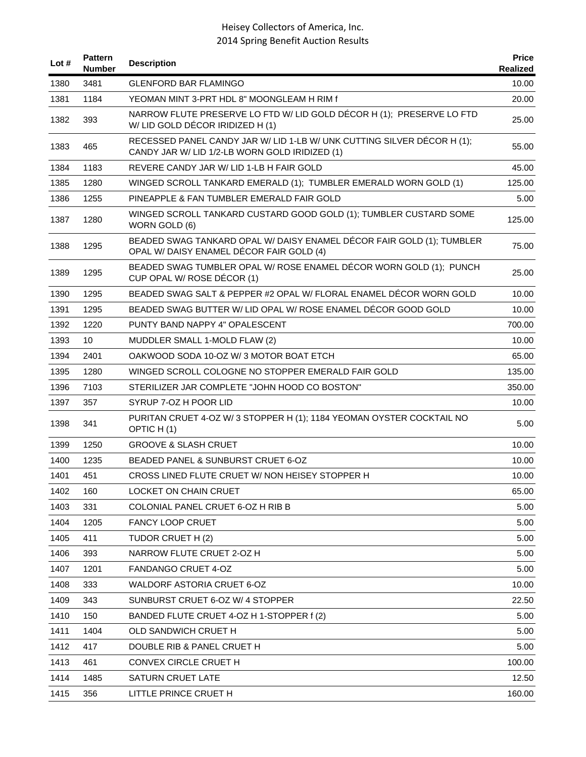| Lot # | <b>Pattern</b><br><b>Number</b> | <b>Description</b>                                                                                                        | <b>Price</b><br>Realized |
|-------|---------------------------------|---------------------------------------------------------------------------------------------------------------------------|--------------------------|
| 1380  | 3481                            | <b>GLENFORD BAR FLAMINGO</b>                                                                                              | 10.00                    |
| 1381  | 1184                            | YEOMAN MINT 3-PRT HDL 8" MOONGLEAM H RIM f                                                                                | 20.00                    |
| 1382  | 393                             | NARROW FLUTE PRESERVE LO FTD W/ LID GOLD DÉCOR H (1); PRESERVE LO FTD<br>W/LID GOLD DÉCOR IRIDIZED H (1)                  | 25.00                    |
| 1383  | 465                             | RECESSED PANEL CANDY JAR W/ LID 1-LB W/ UNK CUTTING SILVER DÉCOR H (1);<br>CANDY JAR W/ LID 1/2-LB WORN GOLD IRIDIZED (1) | 55.00                    |
| 1384  | 1183                            | REVERE CANDY JAR W/ LID 1-LB H FAIR GOLD                                                                                  | 45.00                    |
| 1385  | 1280                            | WINGED SCROLL TANKARD EMERALD (1); TUMBLER EMERALD WORN GOLD (1)                                                          | 125.00                   |
| 1386  | 1255                            | PINEAPPLE & FAN TUMBLER EMERALD FAIR GOLD                                                                                 | 5.00                     |
| 1387  | 1280                            | WINGED SCROLL TANKARD CUSTARD GOOD GOLD (1); TUMBLER CUSTARD SOME<br>WORN GOLD (6)                                        | 125.00                   |
| 1388  | 1295                            | BEADED SWAG TANKARD OPAL W/ DAISY ENAMEL DÉCOR FAIR GOLD (1); TUMBLER<br>OPAL W/ DAISY ENAMEL DÉCOR FAIR GOLD (4)         | 75.00                    |
| 1389  | 1295                            | BEADED SWAG TUMBLER OPAL W/ ROSE ENAMEL DÉCOR WORN GOLD (1); PUNCH<br>CUP OPAL W/ ROSE DÉCOR (1)                          | 25.00                    |
| 1390  | 1295                            | BEADED SWAG SALT & PEPPER #2 OPAL W/ FLORAL ENAMEL DÉCOR WORN GOLD                                                        | 10.00                    |
| 1391  | 1295                            | BEADED SWAG BUTTER W/ LID OPAL W/ ROSE ENAMEL DÉCOR GOOD GOLD                                                             | 10.00                    |
| 1392  | 1220                            | PUNTY BAND NAPPY 4" OPALESCENT                                                                                            | 700.00                   |
| 1393  | 10                              | MUDDLER SMALL 1-MOLD FLAW (2)                                                                                             | 10.00                    |
| 1394  | 2401                            | OAKWOOD SODA 10-OZ W/3 MOTOR BOAT ETCH                                                                                    | 65.00                    |
| 1395  | 1280                            | WINGED SCROLL COLOGNE NO STOPPER EMERALD FAIR GOLD                                                                        | 135.00                   |
| 1396  | 7103                            | STERILIZER JAR COMPLETE "JOHN HOOD CO BOSTON"                                                                             | 350.00                   |
| 1397  | 357                             | SYRUP 7-OZ H POOR LID                                                                                                     | 10.00                    |
| 1398  | 341                             | PURITAN CRUET 4-OZ W/3 STOPPER H (1); 1184 YEOMAN OYSTER COCKTAIL NO<br>OPTIC H(1)                                        | 5.00                     |
| 1399  | 1250                            | <b>GROOVE &amp; SLASH CRUET</b>                                                                                           | 10.00                    |
| 1400  | 1235                            | BEADED PANEL & SUNBURST CRUET 6-OZ                                                                                        | 10.00                    |
| 1401  | 451                             | CROSS LINED FLUTE CRUET W/ NON HEISEY STOPPER H                                                                           | 10.00                    |
| 1402  | 160                             | LOCKET ON CHAIN CRUET                                                                                                     | 65.00                    |
| 1403  | 331                             | COLONIAL PANEL CRUET 6-OZ H RIB B                                                                                         | 5.00                     |
| 1404  | 1205                            | <b>FANCY LOOP CRUET</b>                                                                                                   | 5.00                     |
| 1405  | 411                             | TUDOR CRUET H (2)                                                                                                         | 5.00                     |
| 1406  | 393                             | NARROW FLUTE CRUET 2-OZ H                                                                                                 | 5.00                     |
| 1407  | 1201                            | FANDANGO CRUET 4-OZ                                                                                                       | 5.00                     |
| 1408  | 333                             | <b>WALDORF ASTORIA CRUET 6-OZ</b>                                                                                         | 10.00                    |
| 1409  | 343                             | SUNBURST CRUET 6-OZ W/ 4 STOPPER                                                                                          | 22.50                    |
| 1410  | 150                             | BANDED FLUTE CRUET 4-OZ H 1-STOPPER f (2)                                                                                 | 5.00                     |
| 1411  | 1404                            | OLD SANDWICH CRUET H                                                                                                      | 5.00                     |
| 1412  | 417                             | DOUBLE RIB & PANEL CRUET H                                                                                                | 5.00                     |
| 1413  | 461                             | CONVEX CIRCLE CRUET H                                                                                                     | 100.00                   |
| 1414  | 1485                            | SATURN CRUET LATE                                                                                                         | 12.50                    |
| 1415  | 356                             | LITTLE PRINCE CRUET H                                                                                                     | 160.00                   |